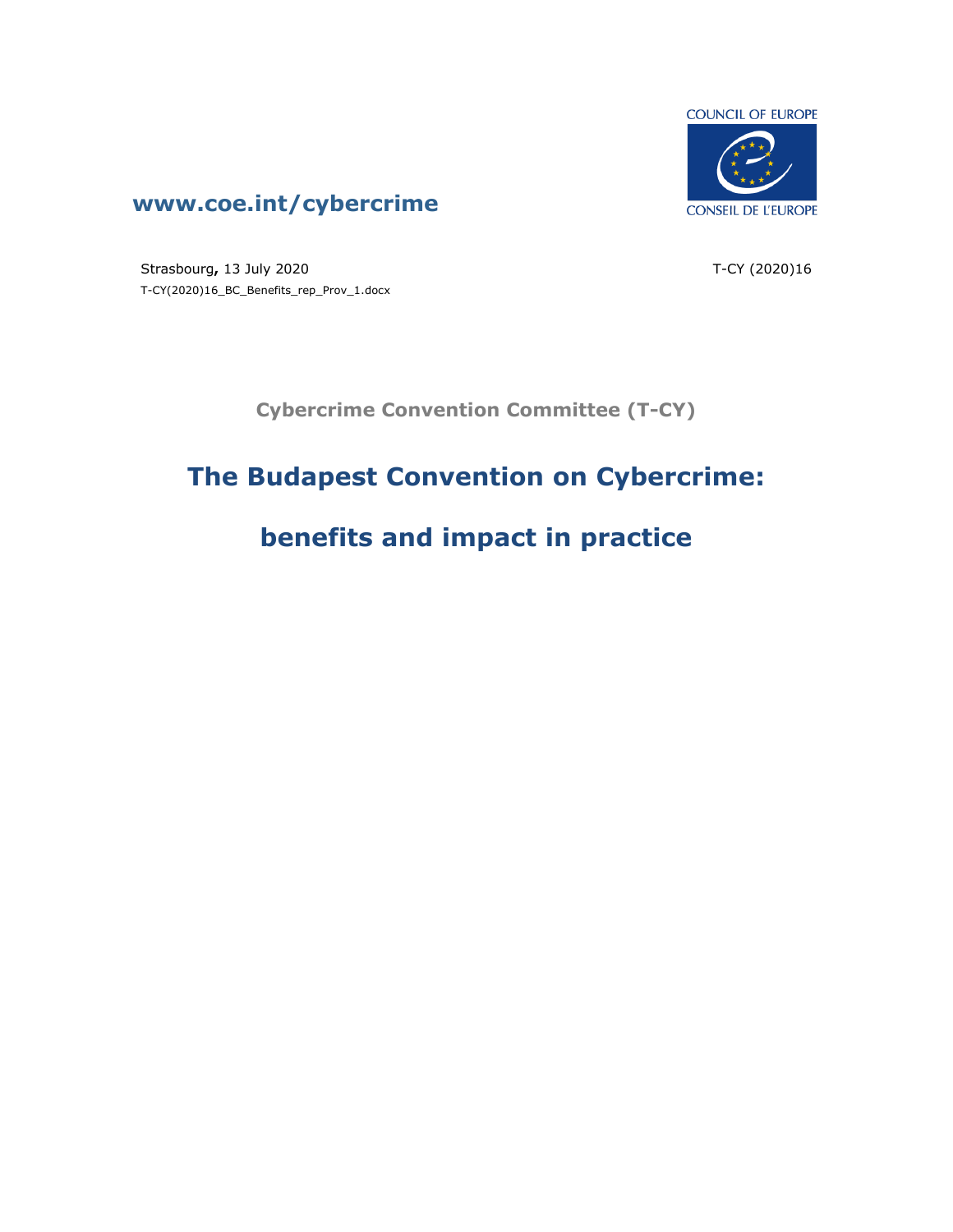

### **www.coe.int/cybercrime**

Strasbourg**,** 13 July 2020 T-CY(2020)16\_BC\_Benefits\_rep\_Prov\_1.docx T-CY (2020)16

**Cybercrime Convention Committee (T-CY)**

# **The Budapest Convention on Cybercrime:**

# **benefits and impact in practice**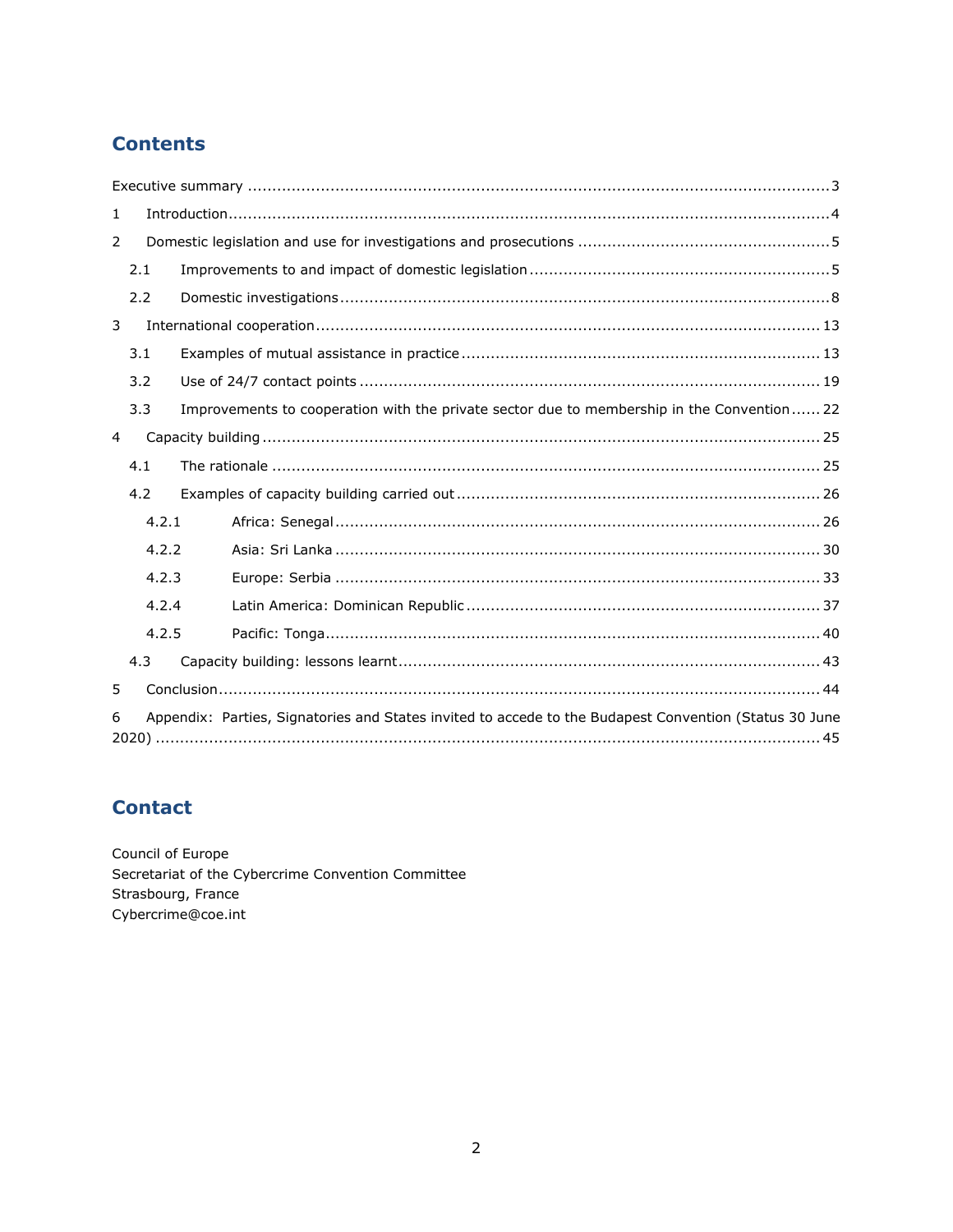### **Contents**

| 1 |                                                                                                        |       |                                                                                            |  |  |  |
|---|--------------------------------------------------------------------------------------------------------|-------|--------------------------------------------------------------------------------------------|--|--|--|
| 2 |                                                                                                        |       |                                                                                            |  |  |  |
|   | 2.1                                                                                                    |       |                                                                                            |  |  |  |
|   | 2.2                                                                                                    |       |                                                                                            |  |  |  |
| 3 |                                                                                                        |       |                                                                                            |  |  |  |
|   | 3.1                                                                                                    |       |                                                                                            |  |  |  |
|   | 3.2                                                                                                    |       |                                                                                            |  |  |  |
|   | 3.3                                                                                                    |       | Improvements to cooperation with the private sector due to membership in the Convention 22 |  |  |  |
| 4 |                                                                                                        |       |                                                                                            |  |  |  |
|   | 4.1                                                                                                    |       |                                                                                            |  |  |  |
|   | 4.2                                                                                                    |       |                                                                                            |  |  |  |
|   |                                                                                                        | 4.2.1 |                                                                                            |  |  |  |
|   |                                                                                                        | 4.2.2 |                                                                                            |  |  |  |
|   |                                                                                                        | 4.2.3 |                                                                                            |  |  |  |
|   |                                                                                                        | 4.2.4 |                                                                                            |  |  |  |
|   |                                                                                                        | 4.2.5 |                                                                                            |  |  |  |
|   | 4.3                                                                                                    |       |                                                                                            |  |  |  |
| 5 |                                                                                                        |       |                                                                                            |  |  |  |
| 6 | Appendix: Parties, Signatories and States invited to accede to the Budapest Convention (Status 30 June |       |                                                                                            |  |  |  |

### **Contact**

Council of Europe Secretariat of the Cybercrime Convention Committee Strasbourg, France Cybercrime@coe.int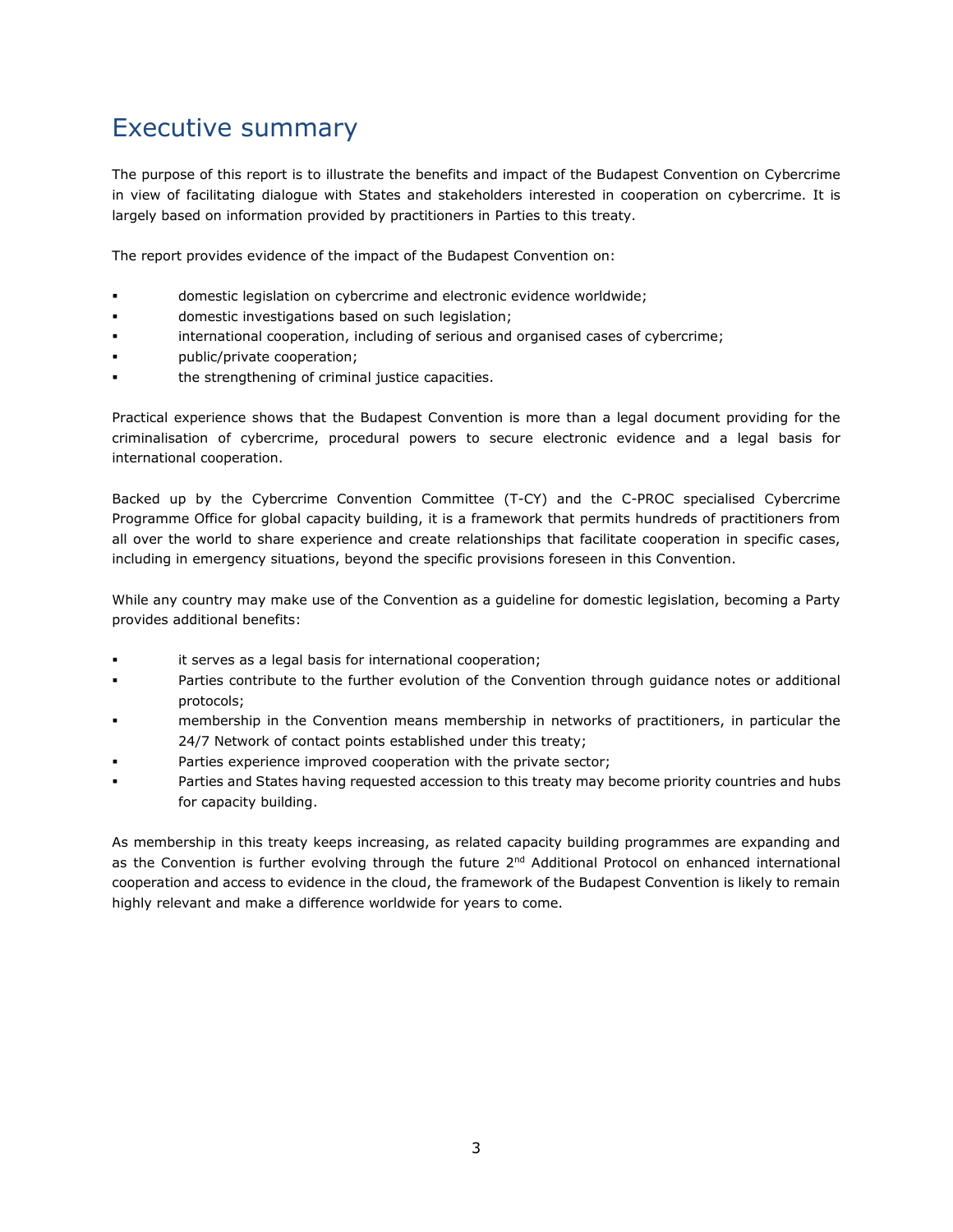## <span id="page-2-0"></span>Executive summary

The purpose of this report is to illustrate the benefits and impact of the Budapest Convention on Cybercrime in view of facilitating dialogue with States and stakeholders interested in cooperation on cybercrime. It is largely based on information provided by practitioners in Parties to this treaty.

The report provides evidence of the impact of the Budapest Convention on:

- domestic legislation on cybercrime and electronic evidence worldwide;
- domestic investigations based on such legislation;
- international cooperation, including of serious and organised cases of cybercrime;
- public/private cooperation;
- the strengthening of criminal justice capacities.

Practical experience shows that the Budapest Convention is more than a legal document providing for the criminalisation of cybercrime, procedural powers to secure electronic evidence and a legal basis for international cooperation.

Backed up by the Cybercrime Convention Committee (T-CY) and the C-PROC specialised Cybercrime Programme Office for global capacity building, it is a framework that permits hundreds of practitioners from all over the world to share experience and create relationships that facilitate cooperation in specific cases, including in emergency situations, beyond the specific provisions foreseen in this Convention.

While any country may make use of the Convention as a guideline for domestic legislation, becoming a Party provides additional benefits:

- it serves as a legal basis for international cooperation;
- Parties contribute to the further evolution of the Convention through guidance notes or additional protocols;
- membership in the Convention means membership in networks of practitioners, in particular the 24/7 Network of contact points established under this treaty;
- Parties experience improved cooperation with the private sector;
- Parties and States having requested accession to this treaty may become priority countries and hubs for capacity building.

As membership in this treaty keeps increasing, as related capacity building programmes are expanding and as the Convention is further evolving through the future  $2<sup>nd</sup>$  Additional Protocol on enhanced international cooperation and access to evidence in the cloud, the framework of the Budapest Convention is likely to remain highly relevant and make a difference worldwide for years to come.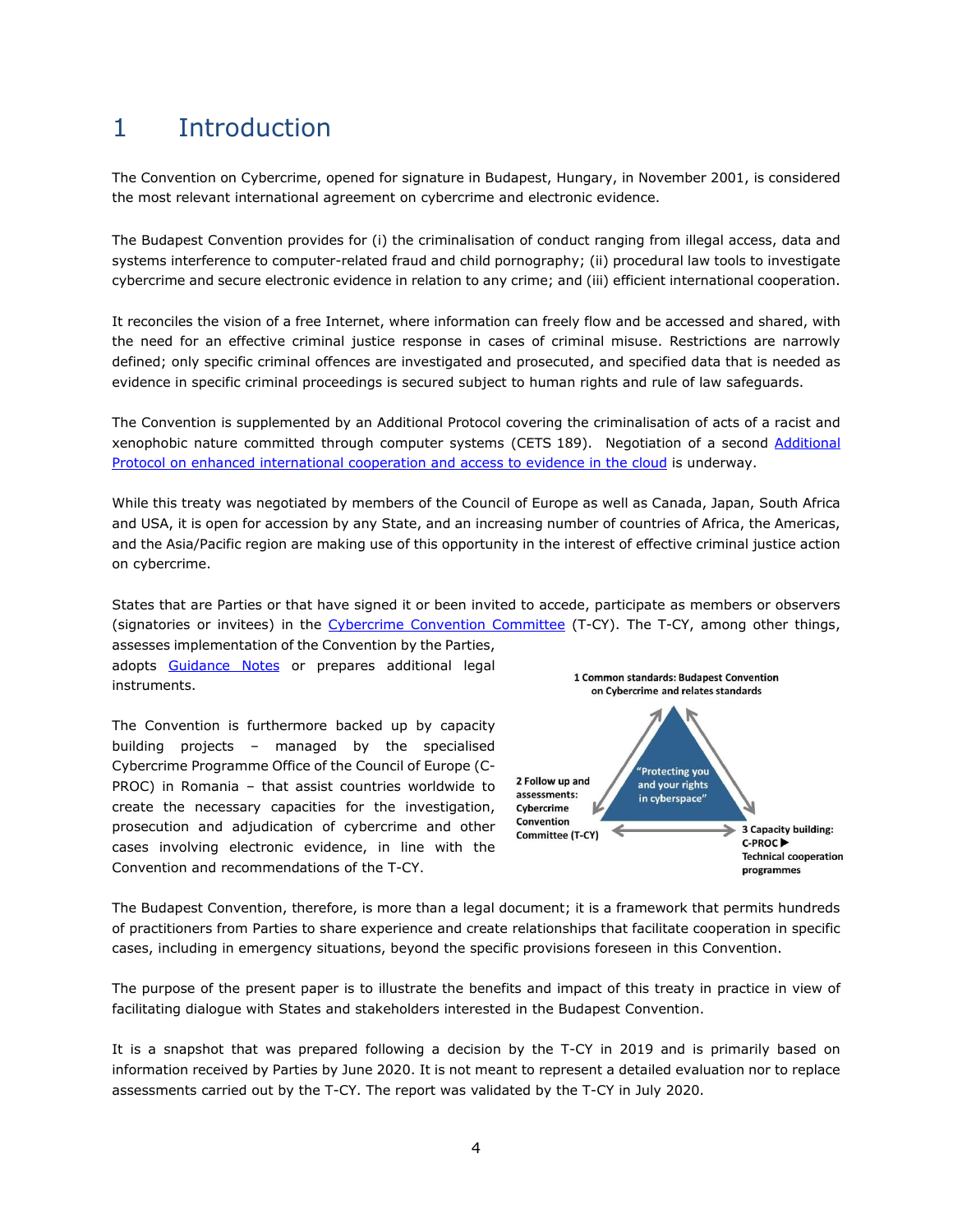### <span id="page-3-0"></span>1 Introduction

The Convention on Cybercrime, opened for signature in Budapest, Hungary, in November 2001, is considered the most relevant international agreement on cybercrime and electronic evidence.

The Budapest Convention provides for (i) the criminalisation of conduct ranging from illegal access, data and systems interference to computer-related fraud and child pornography; (ii) procedural law tools to investigate cybercrime and secure electronic evidence in relation to any crime; and (iii) efficient international cooperation.

It reconciles the vision of a free Internet, where information can freely flow and be accessed and shared, with the need for an effective criminal justice response in cases of criminal misuse. Restrictions are narrowly defined; only specific criminal offences are investigated and prosecuted, and specified data that is needed as evidence in specific criminal proceedings is secured subject to human rights and rule of law safeguards.

The Convention is supplemented by an Additional Protocol covering the criminalisation of acts of a racist and xenophobic nature committed through computer systems (CETS 189). Negotiation of a second [Additional](https://www.coe.int/en/web/cybercrime/t-cy-drafting-group)  [Protocol on enhanced international cooperation and access to evidence in the cloud](https://www.coe.int/en/web/cybercrime/t-cy-drafting-group) is underway.

While this treaty was negotiated by members of the Council of Europe as well as Canada, Japan, South Africa and USA, it is open for accession by any State, and an increasing number of countries of Africa, the Americas, and the Asia/Pacific region are making use of this opportunity in the interest of effective criminal justice action on cybercrime.

States that are Parties or that have signed it or been invited to accede, participate as members or observers (signatories or invitees) in the [Cybercrime Convention Committee](http://www.coe.int/tcy) (T-CY). The T-CY, among other things, assesses implementation of the Convention by the Parties,

adopts [Guidance Notes](https://www.coe.int/en/web/cybercrime/guidance-notes) or prepares additional legal instruments.

The Convention is furthermore backed up by capacity building projects – managed by the specialised Cybercrime Programme Office of the Council of Europe (C-PROC) in Romania – that assist countries worldwide to create the necessary capacities for the investigation, prosecution and adjudication of cybercrime and other cases involving electronic evidence, in line with the Convention and recommendations of the T-CY.



The Budapest Convention, therefore, is more than a legal document; it is a framework that permits hundreds of practitioners from Parties to share experience and create relationships that facilitate cooperation in specific cases, including in emergency situations, beyond the specific provisions foreseen in this Convention.

The purpose of the present paper is to illustrate the benefits and impact of this treaty in practice in view of facilitating dialogue with States and stakeholders interested in the Budapest Convention.

It is a snapshot that was prepared following a decision by the T-CY in 2019 and is primarily based on information received by Parties by June 2020. It is not meant to represent a detailed evaluation nor to replace assessments carried out by the T-CY. The report was validated by the T-CY in July 2020.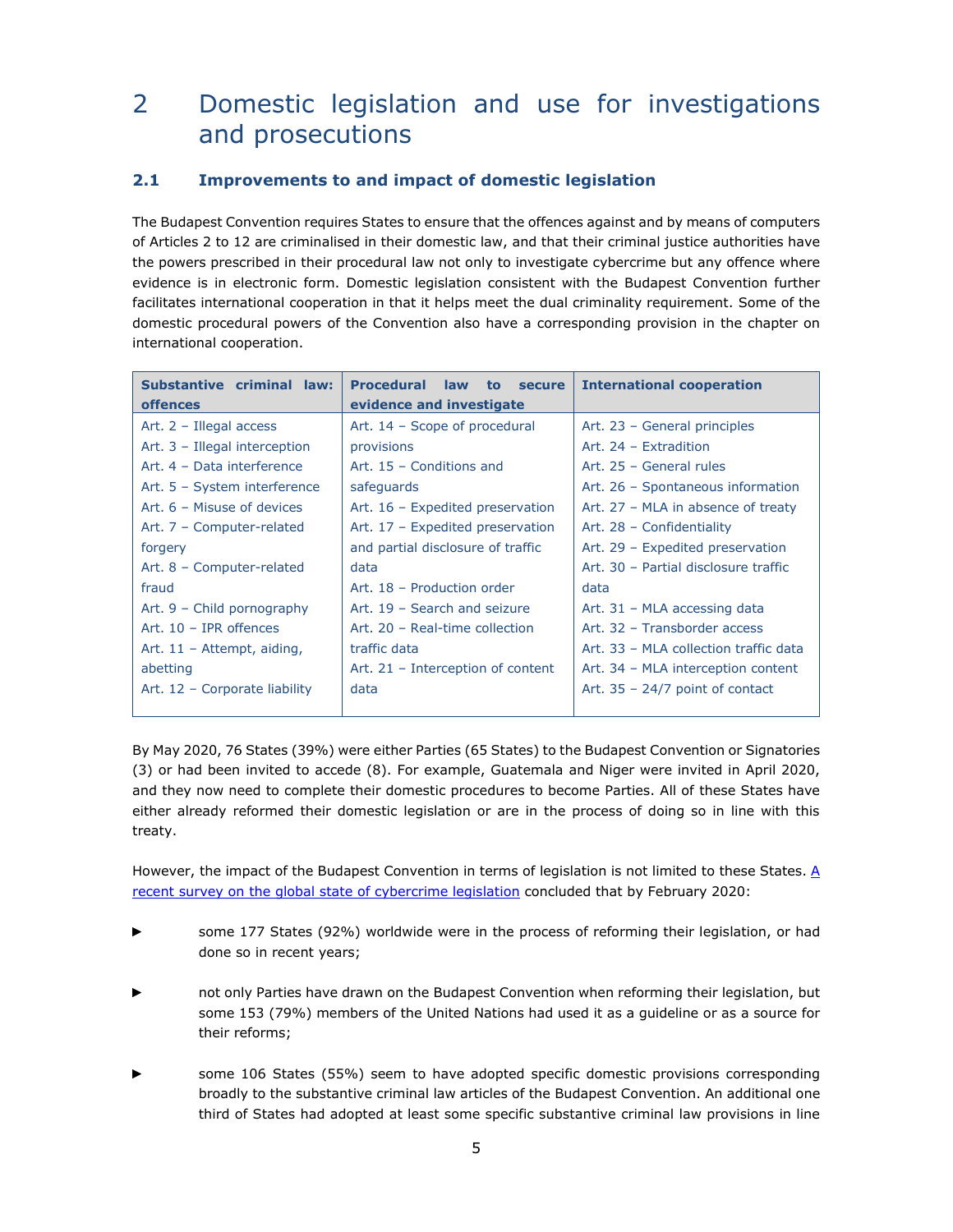### <span id="page-4-0"></span>2 Domestic legislation and use for investigations and prosecutions

#### <span id="page-4-1"></span>**2.1 Improvements to and impact of domestic legislation**

The Budapest Convention requires States to ensure that the offences against and by means of computers of Articles 2 to 12 are criminalised in their domestic law, and that their criminal justice authorities have the powers prescribed in their procedural law not only to investigate cybercrime but any offence where evidence is in electronic form. Domestic legislation consistent with the Budapest Convention further facilitates international cooperation in that it helps meet the dual criminality requirement. Some of the domestic procedural powers of the Convention also have a corresponding provision in the chapter on international cooperation.

| Substantive criminal law:     | <b>Procedural law</b><br>to<br>secure | <b>International cooperation</b>      |
|-------------------------------|---------------------------------------|---------------------------------------|
| <b>offences</b>               | evidence and investigate              |                                       |
| Art. $2$ – Illegal access     | Art. 14 - Scope of procedural         | Art. 23 - General principles          |
| Art. 3 - Illegal interception | provisions                            | Art. 24 - Extradition                 |
| Art. 4 - Data interference    | Art. 15 - Conditions and              | Art. 25 - General rules               |
| Art. 5 - System interference  | safeguards                            | Art. 26 - Spontaneous information     |
| Art. 6 - Misuse of devices    | Art. 16 - Expedited preservation      | Art. 27 - MLA in absence of treaty    |
| Art. 7 - Computer-related     | Art. 17 - Expedited preservation      | Art. 28 - Confidentiality             |
| forgery                       | and partial disclosure of traffic     | Art. 29 - Expedited preservation      |
| Art. 8 - Computer-related     | data                                  | Art. 30 - Partial disclosure traffic  |
| fraud                         | Art. 18 - Production order            | data                                  |
| Art. $9$ – Child pornography  | Art. 19 - Search and seizure          | Art. 31 - MLA accessing data          |
| Art. $10$ – IPR offences      | Art. 20 - Real-time collection        | Art. 32 - Transborder access          |
| Art. $11 -$ Attempt, aiding,  | traffic data                          | Art. 33 - MLA collection traffic data |
| abetting                      | Art. $21$ – Interception of content   | Art. 34 - MLA interception content    |
| Art. 12 - Corporate liability | data                                  | Art. $35 - 24/7$ point of contact     |
|                               |                                       |                                       |

By May 2020, 76 States (39%) were either Parties (65 States) to the Budapest Convention or Signatories (3) or had been invited to accede (8). For example, Guatemala and Niger were invited in April 2020, and they now need to complete their domestic procedures to become Parties. All of these States have either already reformed their domestic legislation or are in the process of doing so in line with this treaty.

However, the impact of the Budapest Convention in terms of legislation is not limited to these States. A [recent survey on the global state of cybercrime legislation](https://www.coe.int/en/web/cybercrime/-/global-state-of-cybercrime-legislation-update-) concluded that by February 2020:

- some 177 States (92%) worldwide were in the process of reforming their legislation, or had done so in recent years;
- not only Parties have drawn on the Budapest Convention when reforming their legislation, but some 153 (79%) members of the United Nations had used it as a guideline or as a source for their reforms;
- ► some 106 States (55%) seem to have adopted specific domestic provisions corresponding broadly to the substantive criminal law articles of the Budapest Convention. An additional one third of States had adopted at least some specific substantive criminal law provisions in line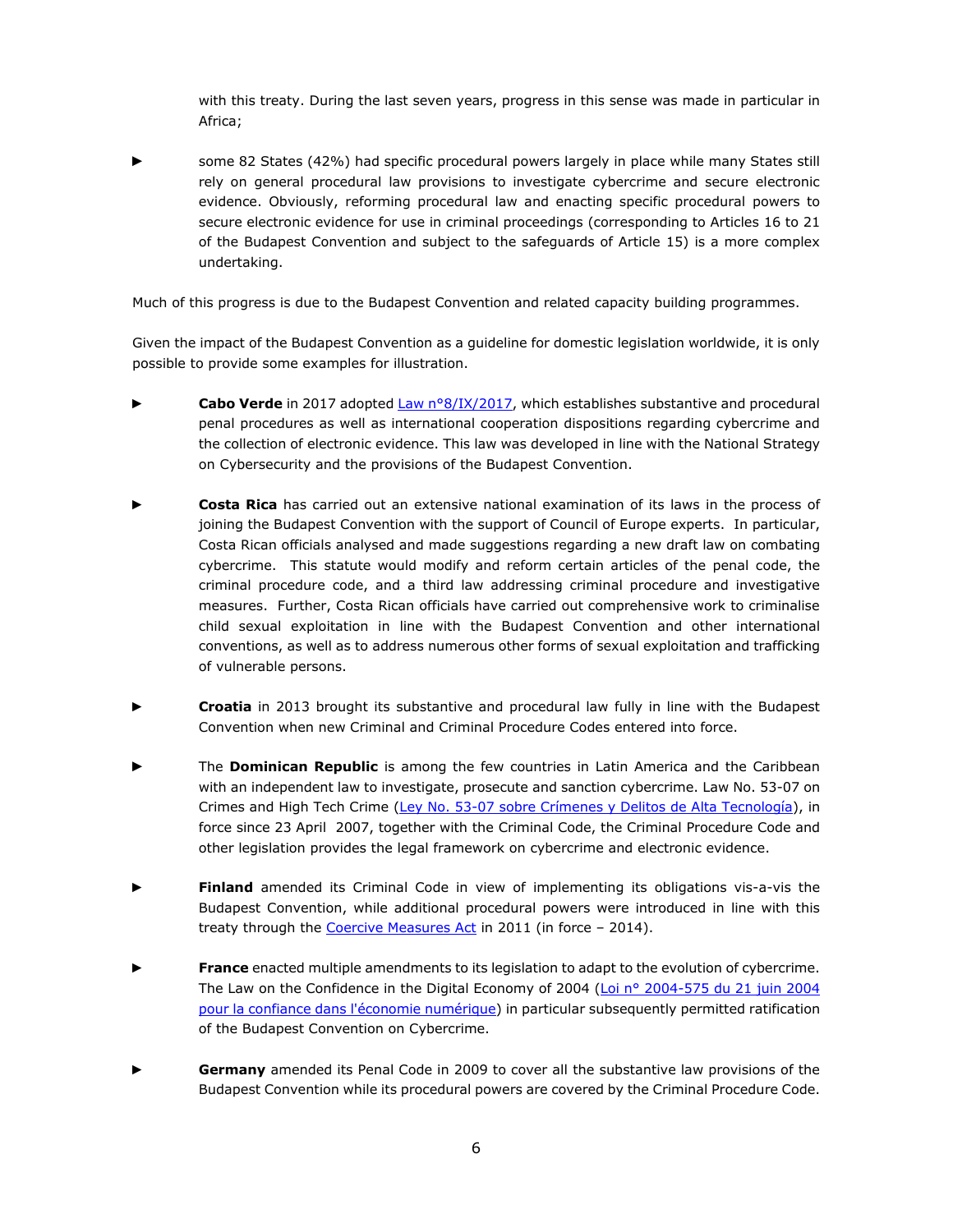with this treaty. During the last seven years, progress in this sense was made in particular in Africa;

► some 82 States (42%) had specific procedural powers largely in place while many States still rely on general procedural law provisions to investigate cybercrime and secure electronic evidence. Obviously, reforming procedural law and enacting specific procedural powers to secure electronic evidence for use in criminal proceedings (corresponding to Articles 16 to 21 of the Budapest Convention and subject to the safeguards of Article 15) is a more complex undertaking.

Much of this progress is due to the Budapest Convention and related capacity building programmes.

Given the impact of the Budapest Convention as a guideline for domestic legislation worldwide, it is only possible to provide some examples for illustration.

- Cabo Verde in 2017 adopte[d Law n°8/IX/2017,](https://kiosk.incv.cv/V/2017/3/20/1.1.13.2306/) which establishes substantive and procedural penal procedures as well as international cooperation dispositions regarding cybercrime and the collection of electronic evidence. This law was developed in line with the National Strategy on Cybersecurity and the provisions of the Budapest Convention.
- **Costa Rica** has carried out an extensive national examination of its laws in the process of joining the Budapest Convention with the support of Council of Europe experts. In particular, Costa Rican officials analysed and made suggestions regarding a new draft law on combating cybercrime. This statute would modify and reform certain articles of the penal code, the criminal procedure code, and a third law addressing criminal procedure and investigative measures. Further, Costa Rican officials have carried out comprehensive work to criminalise child sexual exploitation in line with the Budapest Convention and other international conventions, as well as to address numerous other forms of sexual exploitation and trafficking of vulnerable persons.
- **Croatia** in 2013 brought its substantive and procedural law fully in line with the Budapest Convention when new Criminal and Criminal Procedure Codes entered into force.
- The **Dominican Republic** is among the few countries in Latin America and the Caribbean with an independent law to investigate, prosecute and sanction cybercrime. Law No. 53-07 on Crimes and High Tech Crime [\(Ley No. 53-07 sobre Crímenes y Delitos de Alta Tecnología\)](http://dominicana.gob.do/index.php/seguridad-y-delito-electronico), in force since 23 April 2007, together with the Criminal Code, the Criminal Procedure Code and other legislation provides the legal framework on cybercrime and electronic evidence.
- ► **Finland** amended its Criminal Code in view of implementing its obligations vis-a-vis the Budapest Convention, while additional procedural powers were introduced in line with this treaty through the [Coercive Measures Act](https://www.finlex.fi/en/laki/kaannokset/2011/en20110806_20131146.pdf) in 2011 (in force - 2014).
- ► **France** enacted multiple amendments to its legislation to adapt to the evolution of cybercrime. The Law on the Confidence in the Digital Economy of 2004 (Loi nº 2004-575 du 21 juin 2004 [pour la confiance dans l'économie numérique\)](https://www.legifrance.gouv.fr/affichTexte.do?cidTexte=JORFTEXT000000801164) in particular subsequently permitted ratification of the Budapest Convention on Cybercrime.
- Germany amended its Penal Code in 2009 to cover all the substantive law provisions of the Budapest Convention while its procedural powers are covered by the Criminal Procedure Code.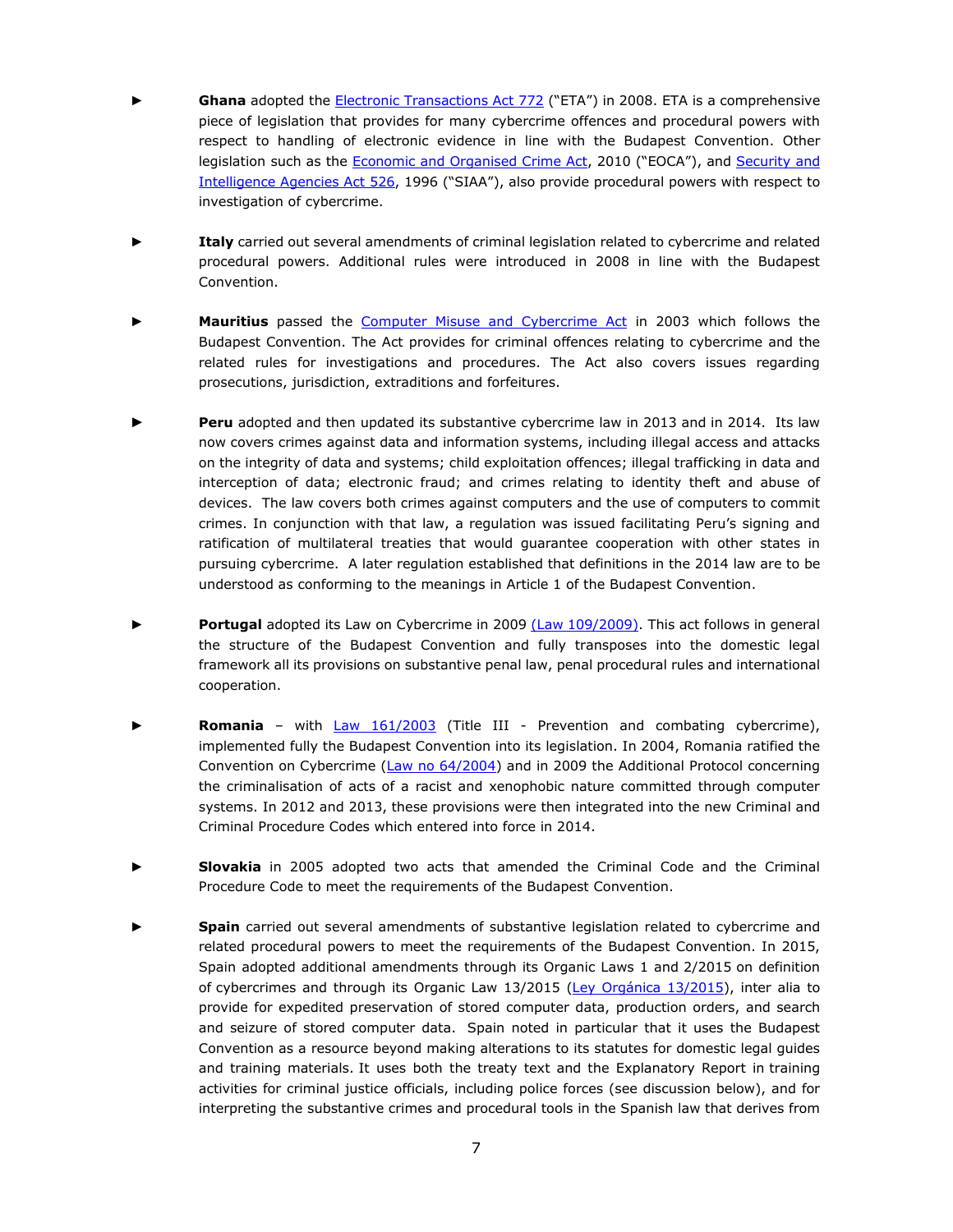- Ghana adopted the **Electronic Transactions Act 772** ("ETA") in 2008. ETA is a comprehensive piece of legislation that provides for many cybercrime offences and procedural powers with respect to handling of electronic evidence in line with the Budapest Convention. Other legislation such as the [Economic and Organised Crime Act](https://www.mint.gov.gh/wp-content/uploads/2017/06/EOCO-Act-804.pdf), 2010 ("EOCA"), and Security and [Intelligence Agencies Act 526](https://acts.ghanajustice.com/actsofparliament/security-and-intelligence-agencies-act-1996-act-526/), 1996 ("SIAA"), also provide procedural powers with respect to investigation of cybercrime.
- **Italy** carried out several amendments of criminal legislation related to cybercrime and related procedural powers. Additional rules were introduced in 2008 in line with the Budapest Convention.
- **Mauritius** passed the [Computer Misuse and Cybercrime Act](https://www.icta.mu/docs/laws/cyber.pdf) in 2003 which follows the Budapest Convention. The Act provides for criminal offences relating to cybercrime and the related rules for investigations and procedures. The Act also covers issues regarding prosecutions, jurisdiction, extraditions and forfeitures.
- **Peru** adopted and then updated its substantive cybercrime law in 2013 and in 2014. Its law now covers crimes against data and information systems, including illegal access and attacks on the integrity of data and systems; child exploitation offences; illegal trafficking in data and interception of data; electronic fraud; and crimes relating to identity theft and abuse of devices. The law covers both crimes against computers and the use of computers to commit crimes. In conjunction with that law, a regulation was issued facilitating Peru's signing and ratification of multilateral treaties that would guarantee cooperation with other states in pursuing cybercrime. A later regulation established that definitions in the 2014 law are to be understood as conforming to the meanings in Article 1 of the Budapest Convention.
- Portugal adopted its Law on Cybercrime in 2009 [\(Law 109/2009\).](https://dre.pt/application/file/a/489631) This act follows in general the structure of the Budapest Convention and fully transposes into the domestic legal framework all its provisions on substantive penal law, penal procedural rules and international cooperation.
- **Romania** with **[Law 161/2003](http://legislatie.just.ro/Public/DetaliiDocument/43323)** (Title III Prevention and combating cybercrime), implemented fully the Budapest Convention into its legislation. In 2004, Romania ratified the Convention on Cybercrime [\(Law no 64/2004\)](http://legislatie.just.ro/Public/DetaliiDocument/51288) and in 2009 the Additional Protocol concerning the criminalisation of acts of a racist and xenophobic nature committed through computer systems. In 2012 and 2013, these provisions were then integrated into the new Criminal and Criminal Procedure Codes which entered into force in 2014.
- **Slovakia** in 2005 adopted two acts that amended the Criminal Code and the Criminal Procedure Code to meet the requirements of the Budapest Convention.
- **Spain** carried out several amendments of substantive legislation related to cybercrime and related procedural powers to meet the requirements of the Budapest Convention. In 2015, Spain adopted additional amendments through its Organic Laws 1 and 2/2015 on definition of cybercrimes and through its Organic Law  $13/2015$  (Ley Orgánica  $13/2015$ ), inter alia to provide for expedited preservation of stored computer data, production orders, and search and seizure of stored computer data. Spain noted in particular that it uses the Budapest Convention as a resource beyond making alterations to its statutes for domestic legal guides and training materials. It uses both the treaty text and the Explanatory Report in training activities for criminal justice officials, including police forces (see discussion below), and for interpreting the substantive crimes and procedural tools in the Spanish law that derives from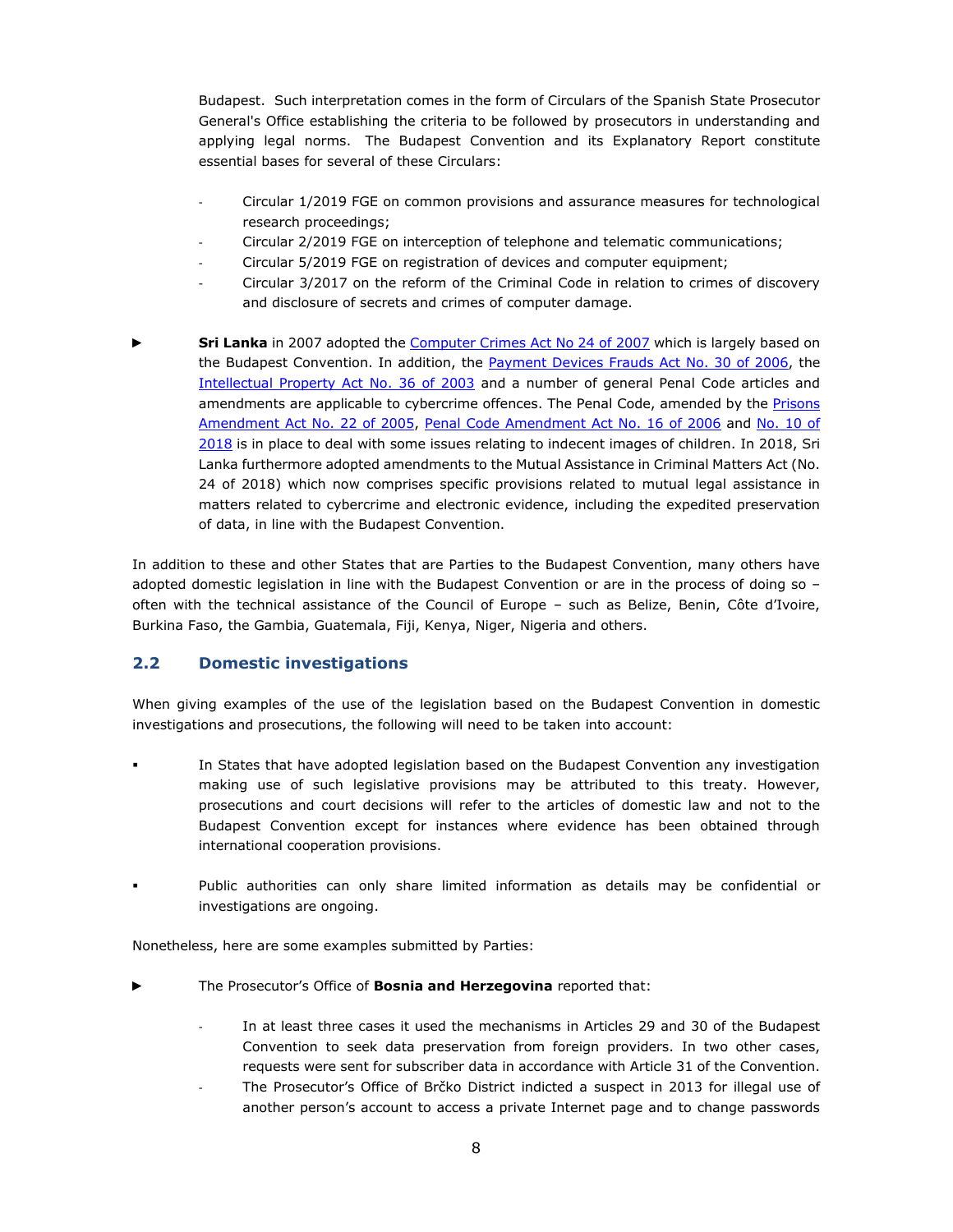Budapest. Such interpretation comes in the form of Circulars of the Spanish State Prosecutor General's Office establishing the criteria to be followed by prosecutors in understanding and applying legal norms. The Budapest Convention and its Explanatory Report constitute essential bases for several of these Circulars:

- Circular 1/2019 FGE on common provisions and assurance measures for technological research proceedings;
- Circular 2/2019 FGE on interception of telephone and telematic communications;
- Circular 5/2019 FGE on registration of devices and computer equipment;
- Circular 3/2017 on the reform of the Criminal Code in relation to crimes of discovery and disclosure of secrets and crimes of computer damage.
- **Sri Lanka** in 2007 adopted the *Computer Crimes Act No 24 of 2007* which is largely based on the Budapest Convention. In addition, the [Payment Devices Frauds Act No. 30 of 2006,](http://www.commonlii.org/lk/legis/num_act/pdfa30o2006277/) the [Intellectual Property Act No. 36 of 2003](http://www.commonlii.org/lk/legis/num_act/ipa36o2003314/) and a number of general Penal Code articles and amendments are applicable to cybercrime offences. The Penal Code, amended by the Prisons [Amendment Act No. 22 of 2005,](http://www.commonlii.org/lk/legis/num_act/pa22o2005250/) [Penal Code Amendment Act No. 16 of 2006](http://www.commonlii.org/lk/legis/num_act/pca16o2006213/) and [No. 10 of](http://www.ilo.org/dyn/natlex/docs/ELECTRONIC/106575/130809/F-1027413093/lka106575.pdf)  [2018](http://www.ilo.org/dyn/natlex/docs/ELECTRONIC/106575/130809/F-1027413093/lka106575.pdf) is in place to deal with some issues relating to indecent images of children. In 2018, Sri Lanka furthermore adopted amendments to the Mutual Assistance in Criminal Matters Act (No. 24 of 2018) which now comprises specific provisions related to mutual legal assistance in matters related to cybercrime and electronic evidence, including the expedited preservation of data, in line with the Budapest Convention.

In addition to these and other States that are Parties to the Budapest Convention, many others have adopted domestic legislation in line with the Budapest Convention or are in the process of doing so – often with the technical assistance of the Council of Europe – such as Belize, Benin, Côte d'Ivoire, Burkina Faso, the Gambia, Guatemala, Fiji, Kenya, Niger, Nigeria and others.

#### <span id="page-7-0"></span>**2.2 Domestic investigations**

When giving examples of the use of the legislation based on the Budapest Convention in domestic investigations and prosecutions, the following will need to be taken into account:

- In States that have adopted legislation based on the Budapest Convention any investigation making use of such legislative provisions may be attributed to this treaty. However, prosecutions and court decisions will refer to the articles of domestic law and not to the Budapest Convention except for instances where evidence has been obtained through international cooperation provisions.
- Public authorities can only share limited information as details may be confidential or investigations are ongoing.

Nonetheless, here are some examples submitted by Parties:

- The Prosecutor's Office of **Bosnia and Herzegovina** reported that:
	- In at least three cases it used the mechanisms in Articles 29 and 30 of the Budapest Convention to seek data preservation from foreign providers. In two other cases, requests were sent for subscriber data in accordance with Article 31 of the Convention.
	- The Prosecutor's Office of Brčko District indicted a suspect in 2013 for illegal use of another person's account to access a private Internet page and to change passwords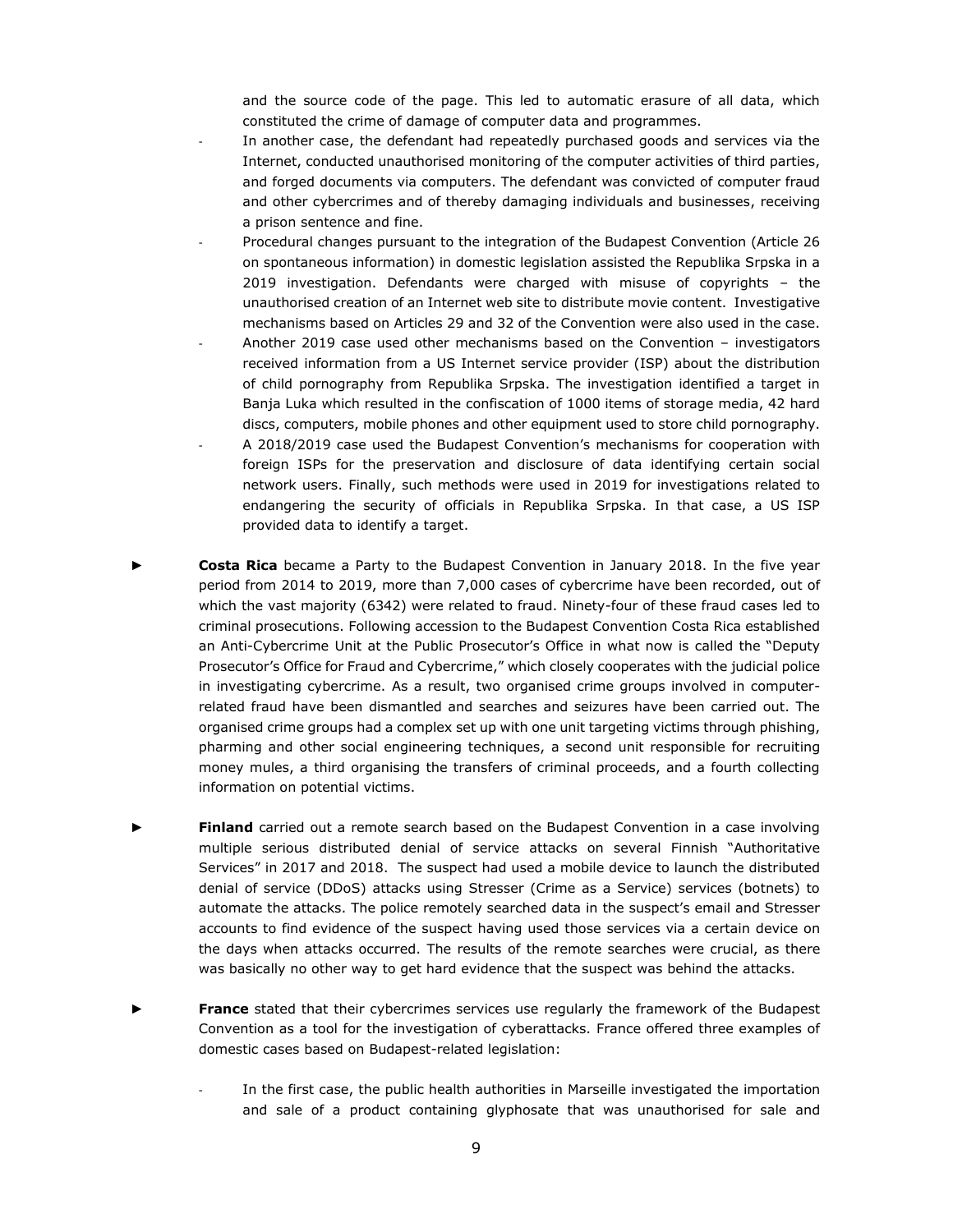and the source code of the page. This led to automatic erasure of all data, which constituted the crime of damage of computer data and programmes.

- In another case, the defendant had repeatedly purchased goods and services via the Internet, conducted unauthorised monitoring of the computer activities of third parties, and forged documents via computers. The defendant was convicted of computer fraud and other cybercrimes and of thereby damaging individuals and businesses, receiving a prison sentence and fine.
- Procedural changes pursuant to the integration of the Budapest Convention (Article 26 on spontaneous information) in domestic legislation assisted the Republika Srpska in a 2019 investigation. Defendants were charged with misuse of copyrights – the unauthorised creation of an Internet web site to distribute movie content. Investigative mechanisms based on Articles 29 and 32 of the Convention were also used in the case.
- Another 2019 case used other mechanisms based on the Convention investigators received information from a US Internet service provider (ISP) about the distribution of child pornography from Republika Srpska. The investigation identified a target in Banja Luka which resulted in the confiscation of 1000 items of storage media, 42 hard discs, computers, mobile phones and other equipment used to store child pornography.
- A 2018/2019 case used the Budapest Convention's mechanisms for cooperation with foreign ISPs for the preservation and disclosure of data identifying certain social network users. Finally, such methods were used in 2019 for investigations related to endangering the security of officials in Republika Srpska. In that case, a US ISP provided data to identify a target.
- **Costa Rica** became a Party to the Budapest Convention in January 2018. In the five year period from 2014 to 2019, more than 7,000 cases of cybercrime have been recorded, out of which the vast majority (6342) were related to fraud. Ninety-four of these fraud cases led to criminal prosecutions. Following accession to the Budapest Convention Costa Rica established an Anti-Cybercrime Unit at the Public Prosecutor's Office in what now is called the "Deputy Prosecutor's Office for Fraud and Cybercrime," which closely cooperates with the judicial police in investigating cybercrime. As a result, two organised crime groups involved in computerrelated fraud have been dismantled and searches and seizures have been carried out. The organised crime groups had a complex set up with one unit targeting victims through phishing, pharming and other social engineering techniques, a second unit responsible for recruiting money mules, a third organising the transfers of criminal proceeds, and a fourth collecting information on potential victims.
- **Finland** carried out a remote search based on the Budapest Convention in a case involving multiple serious distributed denial of service attacks on several Finnish "Authoritative Services" in 2017 and 2018. The suspect had used a mobile device to launch the distributed denial of service (DDoS) attacks using Stresser (Crime as a Service) services (botnets) to automate the attacks. The police remotely searched data in the suspect's email and Stresser accounts to find evidence of the suspect having used those services via a certain device on the days when attacks occurred. The results of the remote searches were crucial, as there was basically no other way to get hard evidence that the suspect was behind the attacks.
- **France** stated that their cybercrimes services use regularly the framework of the Budapest Convention as a tool for the investigation of cyberattacks. France offered three examples of domestic cases based on Budapest-related legislation:
	- In the first case, the public health authorities in Marseille investigated the importation and sale of a product containing glyphosate that was unauthorised for sale and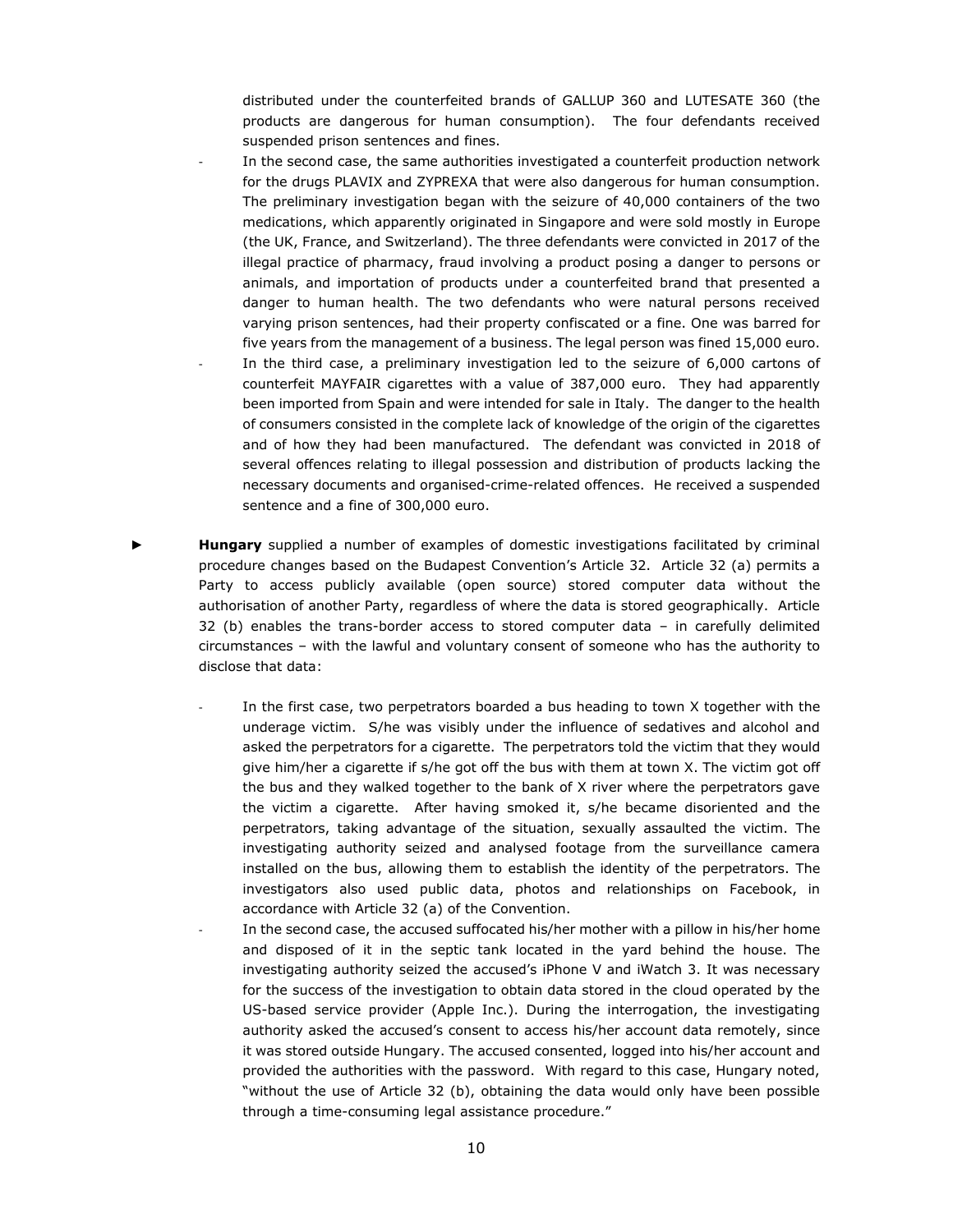distributed under the counterfeited brands of GALLUP 360 and LUTESATE 360 (the products are dangerous for human consumption). The four defendants received suspended prison sentences and fines.

- In the second case, the same authorities investigated a counterfeit production network for the drugs PLAVIX and ZYPREXA that were also dangerous for human consumption. The preliminary investigation began with the seizure of 40,000 containers of the two medications, which apparently originated in Singapore and were sold mostly in Europe (the UK, France, and Switzerland). The three defendants were convicted in 2017 of the illegal practice of pharmacy, fraud involving a product posing a danger to persons or animals, and importation of products under a counterfeited brand that presented a danger to human health. The two defendants who were natural persons received varying prison sentences, had their property confiscated or a fine. One was barred for five years from the management of a business. The legal person was fined 15,000 euro. In the third case, a preliminary investigation led to the seizure of 6,000 cartons of counterfeit MAYFAIR cigarettes with a value of 387,000 euro. They had apparently been imported from Spain and were intended for sale in Italy. The danger to the health of consumers consisted in the complete lack of knowledge of the origin of the cigarettes and of how they had been manufactured. The defendant was convicted in 2018 of several offences relating to illegal possession and distribution of products lacking the necessary documents and organised-crime-related offences. He received a suspended sentence and a fine of 300,000 euro.
- **Hungary** supplied a number of examples of domestic investigations facilitated by criminal procedure changes based on the Budapest Convention's Article 32. Article 32 (a) permits a Party to access publicly available (open source) stored computer data without the authorisation of another Party, regardless of where the data is stored geographically. Article 32 (b) enables the trans-border access to stored computer data – in carefully delimited circumstances – with the lawful and voluntary consent of someone who has the authority to disclose that data:
	- In the first case, two perpetrators boarded a bus heading to town X together with the underage victim. S/he was visibly under the influence of sedatives and alcohol and asked the perpetrators for a cigarette. The perpetrators told the victim that they would give him/her a cigarette if s/he got off the bus with them at town X. The victim got off the bus and they walked together to the bank of X river where the perpetrators gave the victim a cigarette. After having smoked it, s/he became disoriented and the perpetrators, taking advantage of the situation, sexually assaulted the victim. The investigating authority seized and analysed footage from the surveillance camera installed on the bus, allowing them to establish the identity of the perpetrators. The investigators also used public data, photos and relationships on Facebook, in accordance with Article 32 (a) of the Convention.
	- In the second case, the accused suffocated his/her mother with a pillow in his/her home and disposed of it in the septic tank located in the yard behind the house. The investigating authority seized the accused's iPhone V and iWatch 3. It was necessary for the success of the investigation to obtain data stored in the cloud operated by the US-based service provider (Apple Inc.). During the interrogation, the investigating authority asked the accused's consent to access his/her account data remotely, since it was stored outside Hungary. The accused consented, logged into his/her account and provided the authorities with the password. With regard to this case, Hungary noted, "without the use of Article 32 (b), obtaining the data would only have been possible through a time-consuming legal assistance procedure."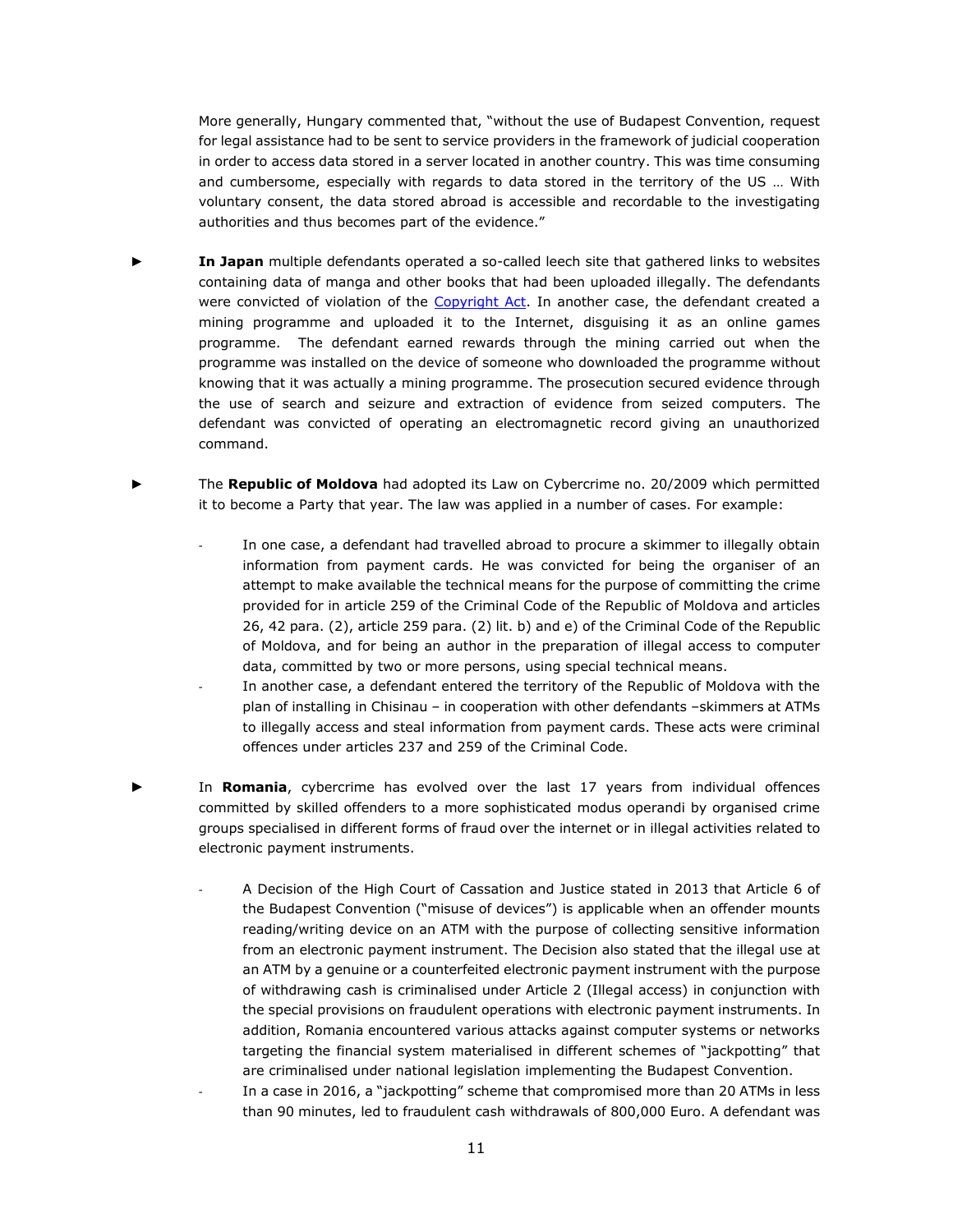More generally, Hungary commented that, "without the use of Budapest Convention, request for legal assistance had to be sent to service providers in the framework of judicial cooperation in order to access data stored in a server located in another country. This was time consuming and cumbersome, especially with regards to data stored in the territory of the US … With voluntary consent, the data stored abroad is accessible and recordable to the investigating authorities and thus becomes part of the evidence."

- **In Japan** multiple defendants operated a so-called leech site that gathered links to websites containing data of manga and other books that had been uploaded illegally. The defendants were convicted of violation of the [Copyright Act.](https://www.cric.or.jp/english/clj/cl2.html) In another case, the defendant created a mining programme and uploaded it to the Internet, disguising it as an online games programme. The defendant earned rewards through the mining carried out when the programme was installed on the device of someone who downloaded the programme without knowing that it was actually a mining programme. The prosecution secured evidence through the use of search and seizure and extraction of evidence from seized computers. The defendant was convicted of operating an electromagnetic record giving an unauthorized command.
- ► The **Republic of Moldova** had adopted its Law on Cybercrime no. 20/2009 which permitted it to become a Party that year. The law was applied in a number of cases. For example:
	- In one case, a defendant had travelled abroad to procure a skimmer to illegally obtain information from payment cards. He was convicted for being the organiser of an attempt to make available the technical means for the purpose of committing the crime provided for in article 259 of the Criminal Code of the Republic of Moldova and articles 26, 42 para. (2), article 259 para. (2) lit. b) and e) of the Criminal Code of the Republic of Moldova, and for being an author in the preparation of illegal access to computer data, committed by two or more persons, using special technical means.
	- In another case, a defendant entered the territory of the Republic of Moldova with the plan of installing in Chisinau – in cooperation with other defendants –skimmers at ATMs to illegally access and steal information from payment cards. These acts were criminal offences under articles 237 and 259 of the Criminal Code.
- In **Romania**, cybercrime has evolved over the last 17 years from individual offences committed by skilled offenders to a more sophisticated modus operandi by organised crime groups specialised in different forms of fraud over the internet or in illegal activities related to electronic payment instruments.
	- A Decision of the High Court of Cassation and Justice stated in 2013 that Article 6 of the Budapest Convention ("misuse of devices") is applicable when an offender mounts reading/writing device on an ATM with the purpose of collecting sensitive information from an electronic payment instrument. The Decision also stated that the illegal use at an ATM by a genuine or a counterfeited electronic payment instrument with the purpose of withdrawing cash is criminalised under Article 2 (Illegal access) in conjunction with the special provisions on fraudulent operations with electronic payment instruments. In addition, Romania encountered various attacks against computer systems or networks targeting the financial system materialised in different schemes of "jackpotting" that are criminalised under national legislation implementing the Budapest Convention.
	- In a case in 2016, a "jackpotting" scheme that compromised more than 20 ATMs in less than 90 minutes, led to fraudulent cash withdrawals of 800,000 Euro. A defendant was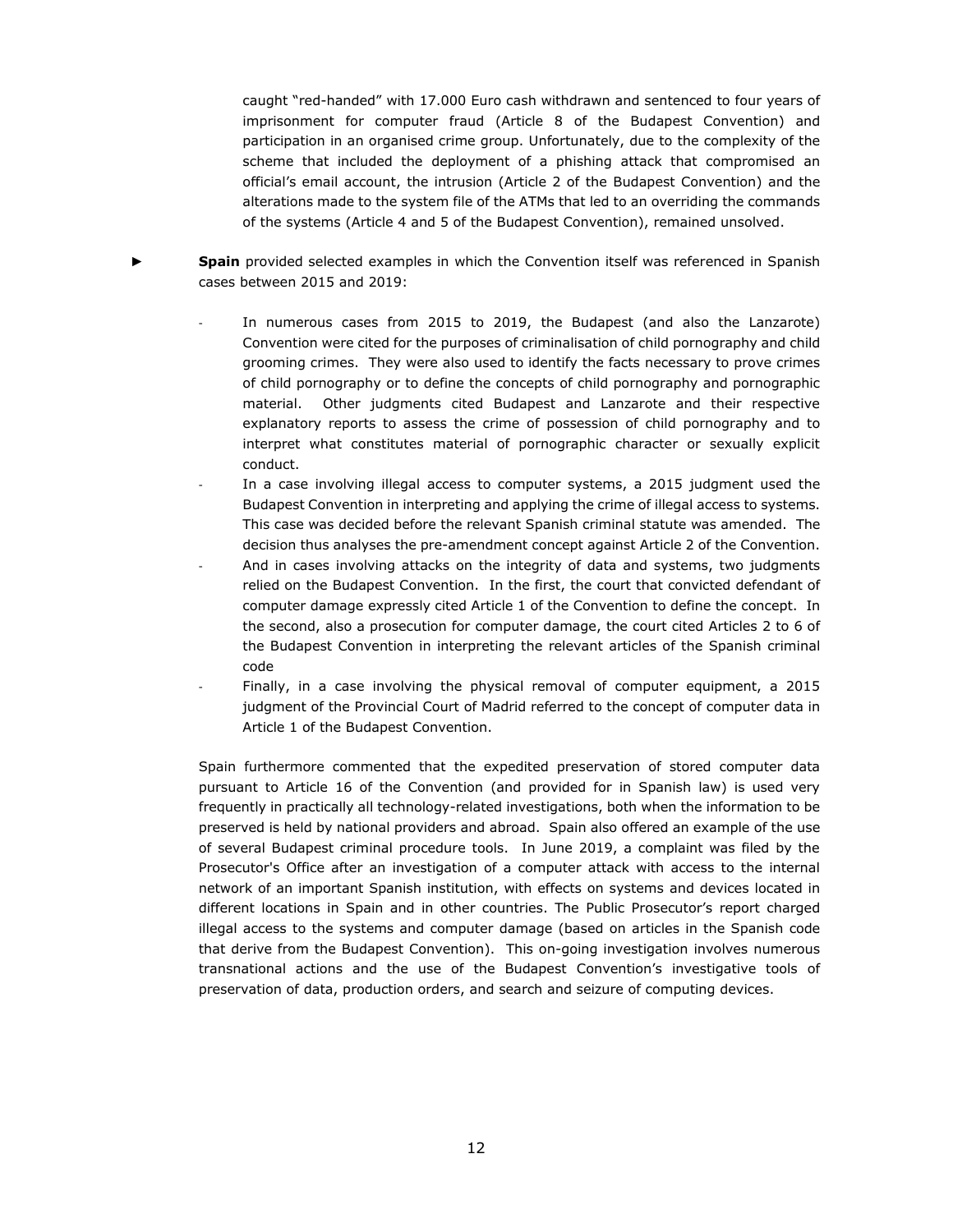caught "red-handed" with 17.000 Euro cash withdrawn and sentenced to four years of imprisonment for computer fraud (Article 8 of the Budapest Convention) and participation in an organised crime group. Unfortunately, due to the complexity of the scheme that included the deployment of a phishing attack that compromised an official's email account, the intrusion (Article 2 of the Budapest Convention) and the alterations made to the system file of the ATMs that led to an overriding the commands of the systems (Article 4 and 5 of the Budapest Convention), remained unsolved.

- **Spain** provided selected examples in which the Convention itself was referenced in Spanish cases between 2015 and 2019:
	- In numerous cases from 2015 to 2019, the Budapest (and also the Lanzarote) Convention were cited for the purposes of criminalisation of child pornography and child grooming crimes. They were also used to identify the facts necessary to prove crimes of child pornography or to define the concepts of child pornography and pornographic material. Other judgments cited Budapest and Lanzarote and their respective explanatory reports to assess the crime of possession of child pornography and to interpret what constitutes material of pornographic character or sexually explicit conduct.
	- In a case involving illegal access to computer systems, a 2015 judgment used the Budapest Convention in interpreting and applying the crime of illegal access to systems. This case was decided before the relevant Spanish criminal statute was amended. The decision thus analyses the pre-amendment concept against Article 2 of the Convention.
	- And in cases involving attacks on the integrity of data and systems, two judgments relied on the Budapest Convention. In the first, the court that convicted defendant of computer damage expressly cited Article 1 of the Convention to define the concept. In the second, also a prosecution for computer damage, the court cited Articles 2 to 6 of the Budapest Convention in interpreting the relevant articles of the Spanish criminal code
	- Finally, in a case involving the physical removal of computer equipment, a 2015 judgment of the Provincial Court of Madrid referred to the concept of computer data in Article 1 of the Budapest Convention.

Spain furthermore commented that the expedited preservation of stored computer data pursuant to Article 16 of the Convention (and provided for in Spanish law) is used very frequently in practically all technology-related investigations, both when the information to be preserved is held by national providers and abroad. Spain also offered an example of the use of several Budapest criminal procedure tools. In June 2019, a complaint was filed by the Prosecutor's Office after an investigation of a computer attack with access to the internal network of an important Spanish institution, with effects on systems and devices located in different locations in Spain and in other countries. The Public Prosecutor's report charged illegal access to the systems and computer damage (based on articles in the Spanish code that derive from the Budapest Convention). This on-going investigation involves numerous transnational actions and the use of the Budapest Convention's investigative tools of preservation of data, production orders, and search and seizure of computing devices.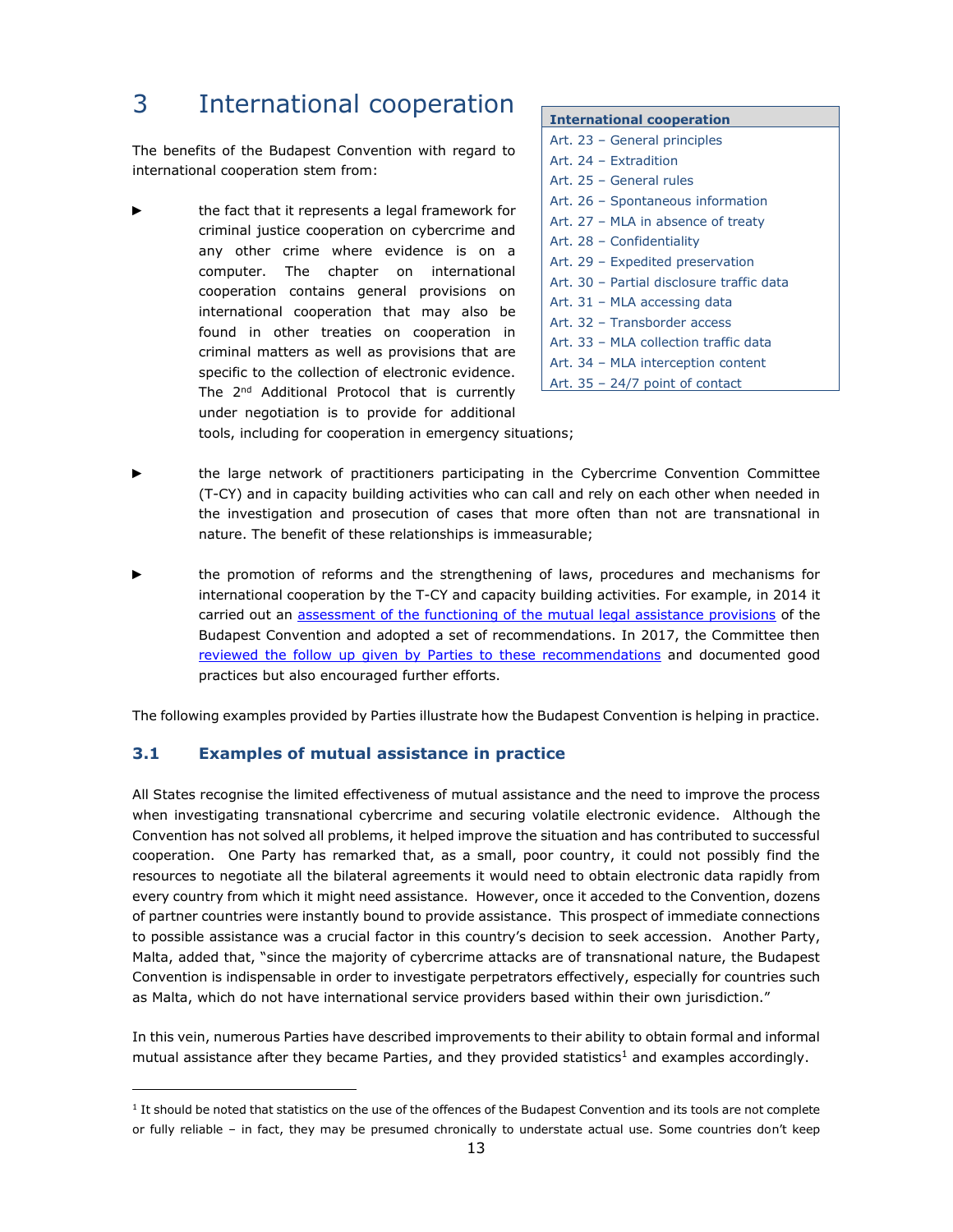# <span id="page-12-0"></span>3 International cooperation

The benefits of the Budapest Convention with regard to international cooperation stem from:

the fact that it represents a legal framework for criminal justice cooperation on cybercrime and any other crime where evidence is on a computer. The chapter on international cooperation contains general provisions on international cooperation that may also be found in other treaties on cooperation in criminal matters as well as provisions that are specific to the collection of electronic evidence. The 2<sup>nd</sup> Additional Protocol that is currently under negotiation is to provide for additional

| <b>International cooperation</b>          |
|-------------------------------------------|
| Art. 23 - General principles              |
| Art. 24 - Extradition                     |
| Art. 25 - General rules                   |
| Art. 26 - Spontaneous information         |
| Art. 27 - MLA in absence of treaty        |
| Art. 28 - Confidentiality                 |
| Art. 29 - Expedited preservation          |
| Art. 30 - Partial disclosure traffic data |
| Art. 31 - MLA accessing data              |
| Art. 32 - Transborder access              |
| Art. 33 - MLA collection traffic data     |
| Art. 34 - MLA interception content        |
| Art. $35 - 24/7$ point of contact         |

tools, including for cooperation in emergency situations;

- the large network of practitioners participating in the Cybercrime Convention Committee (T-CY) and in capacity building activities who can call and rely on each other when needed in the investigation and prosecution of cases that more often than not are transnational in nature. The benefit of these relationships is immeasurable;
- the promotion of reforms and the strengthening of laws, procedures and mechanisms for international cooperation by the T-CY and capacity building activities. For example, in 2014 it carried out an [assessment of the functioning of the mutual legal assistance provisions](https://www.coe.int/en/web/cybercrime/assessments) of the Budapest Convention and adopted a set of recommendations. In 2017, the Committee then [reviewed the follow up given by Parties to these recommendations](https://rm.coe.int/t-cy-2017-2-mla-follow-up-rep/168076d55f) and documented good practices but also encouraged further efforts.

The following examples provided by Parties illustrate how the Budapest Convention is helping in practice.

#### <span id="page-12-1"></span>**3.1 Examples of mutual assistance in practice**

All States recognise the limited effectiveness of mutual assistance and the need to improve the process when investigating transnational cybercrime and securing volatile electronic evidence. Although the Convention has not solved all problems, it helped improve the situation and has contributed to successful cooperation. One Party has remarked that, as a small, poor country, it could not possibly find the resources to negotiate all the bilateral agreements it would need to obtain electronic data rapidly from every country from which it might need assistance. However, once it acceded to the Convention, dozens of partner countries were instantly bound to provide assistance. This prospect of immediate connections to possible assistance was a crucial factor in this country's decision to seek accession. Another Party, Malta, added that, "since the majority of cybercrime attacks are of transnational nature, the Budapest Convention is indispensable in order to investigate perpetrators effectively, especially for countries such as Malta, which do not have international service providers based within their own jurisdiction."

In this vein, numerous Parties have described improvements to their ability to obtain formal and informal mutual assistance after they became Parties, and they provided statistics<sup>1</sup> and examples accordingly.

<sup>&</sup>lt;sup>1</sup> It should be noted that statistics on the use of the offences of the Budapest Convention and its tools are not complete or fully reliable – in fact, they may be presumed chronically to understate actual use. Some countries don't keep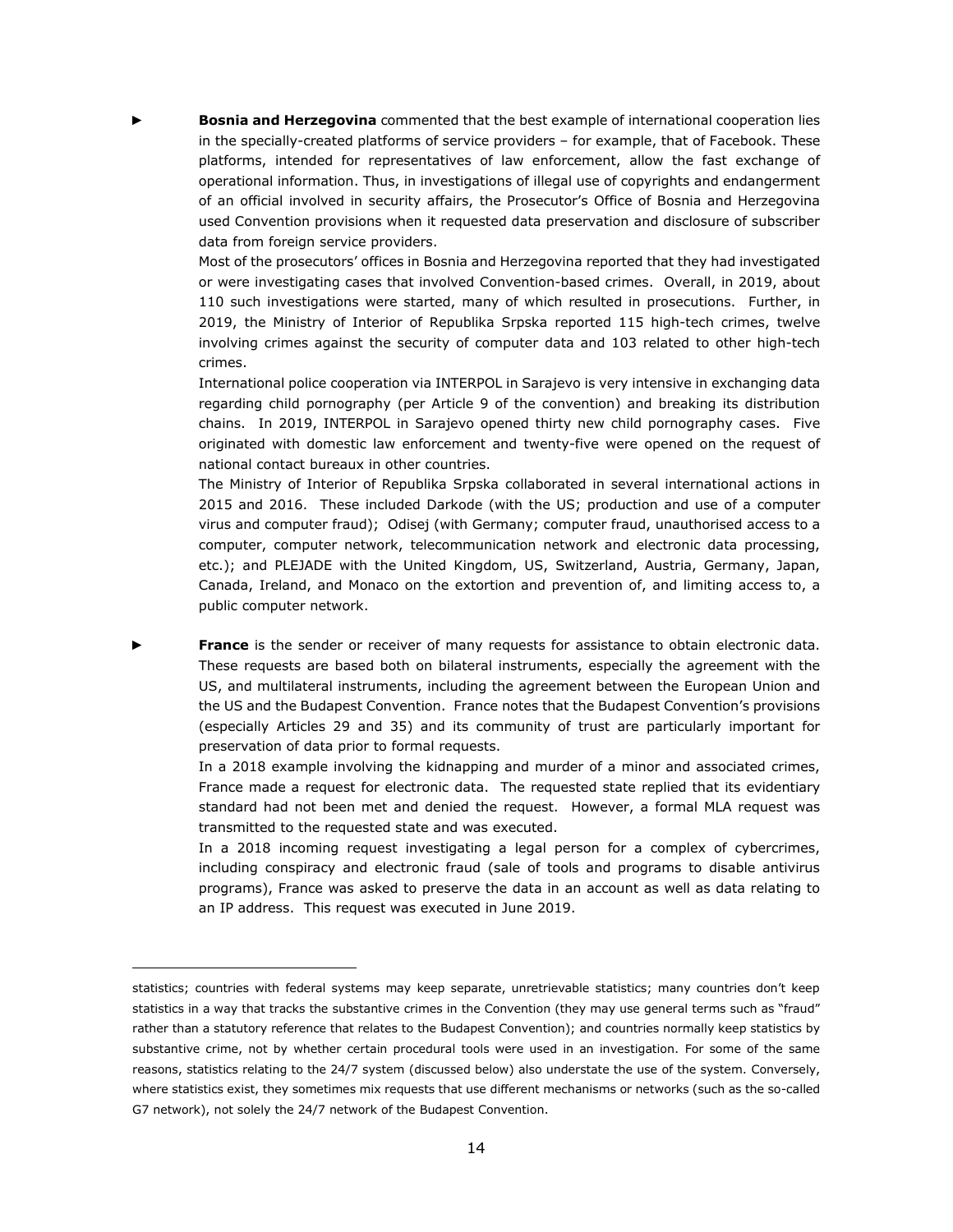**Bosnia and Herzegovina** commented that the best example of international cooperation lies in the specially-created platforms of service providers – for example, that of Facebook. These platforms, intended for representatives of law enforcement, allow the fast exchange of operational information. Thus, in investigations of illegal use of copyrights and endangerment of an official involved in security affairs, the Prosecutor's Office of Bosnia and Herzegovina used Convention provisions when it requested data preservation and disclosure of subscriber data from foreign service providers.

Most of the prosecutors' offices in Bosnia and Herzegovina reported that they had investigated or were investigating cases that involved Convention-based crimes. Overall, in 2019, about 110 such investigations were started, many of which resulted in prosecutions. Further, in 2019, the Ministry of Interior of Republika Srpska reported 115 high-tech crimes, twelve involving crimes against the security of computer data and 103 related to other high-tech crimes.

International police cooperation via INTERPOL in Sarajevo is very intensive in exchanging data regarding child pornography (per Article 9 of the convention) and breaking its distribution chains. In 2019, INTERPOL in Sarajevo opened thirty new child pornography cases. Five originated with domestic law enforcement and twenty-five were opened on the request of national contact bureaux in other countries.

The Ministry of Interior of Republika Srpska collaborated in several international actions in 2015 and 2016. These included Darkode (with the US; production and use of a computer virus and computer fraud); Odisej (with Germany; computer fraud, unauthorised access to a computer, computer network, telecommunication network and electronic data processing, etc.); and PLEJADE with the United Kingdom, US, Switzerland, Austria, Germany, Japan, Canada, Ireland, and Monaco on the extortion and prevention of, and limiting access to, a public computer network.

**France** is the sender or receiver of many requests for assistance to obtain electronic data. These requests are based both on bilateral instruments, especially the agreement with the US, and multilateral instruments, including the agreement between the European Union and the US and the Budapest Convention. France notes that the Budapest Convention's provisions (especially Articles 29 and 35) and its community of trust are particularly important for preservation of data prior to formal requests.

In a 2018 example involving the kidnapping and murder of a minor and associated crimes, France made a request for electronic data. The requested state replied that its evidentiary standard had not been met and denied the request. However, a formal MLA request was transmitted to the requested state and was executed.

In a 2018 incoming request investigating a legal person for a complex of cybercrimes, including conspiracy and electronic fraud (sale of tools and programs to disable antivirus programs), France was asked to preserve the data in an account as well as data relating to an IP address. This request was executed in June 2019.

statistics; countries with federal systems may keep separate, unretrievable statistics; many countries don't keep statistics in a way that tracks the substantive crimes in the Convention (they may use general terms such as "fraud" rather than a statutory reference that relates to the Budapest Convention); and countries normally keep statistics by substantive crime, not by whether certain procedural tools were used in an investigation. For some of the same reasons, statistics relating to the 24/7 system (discussed below) also understate the use of the system. Conversely, where statistics exist, they sometimes mix requests that use different mechanisms or networks (such as the so-called G7 network), not solely the 24/7 network of the Budapest Convention.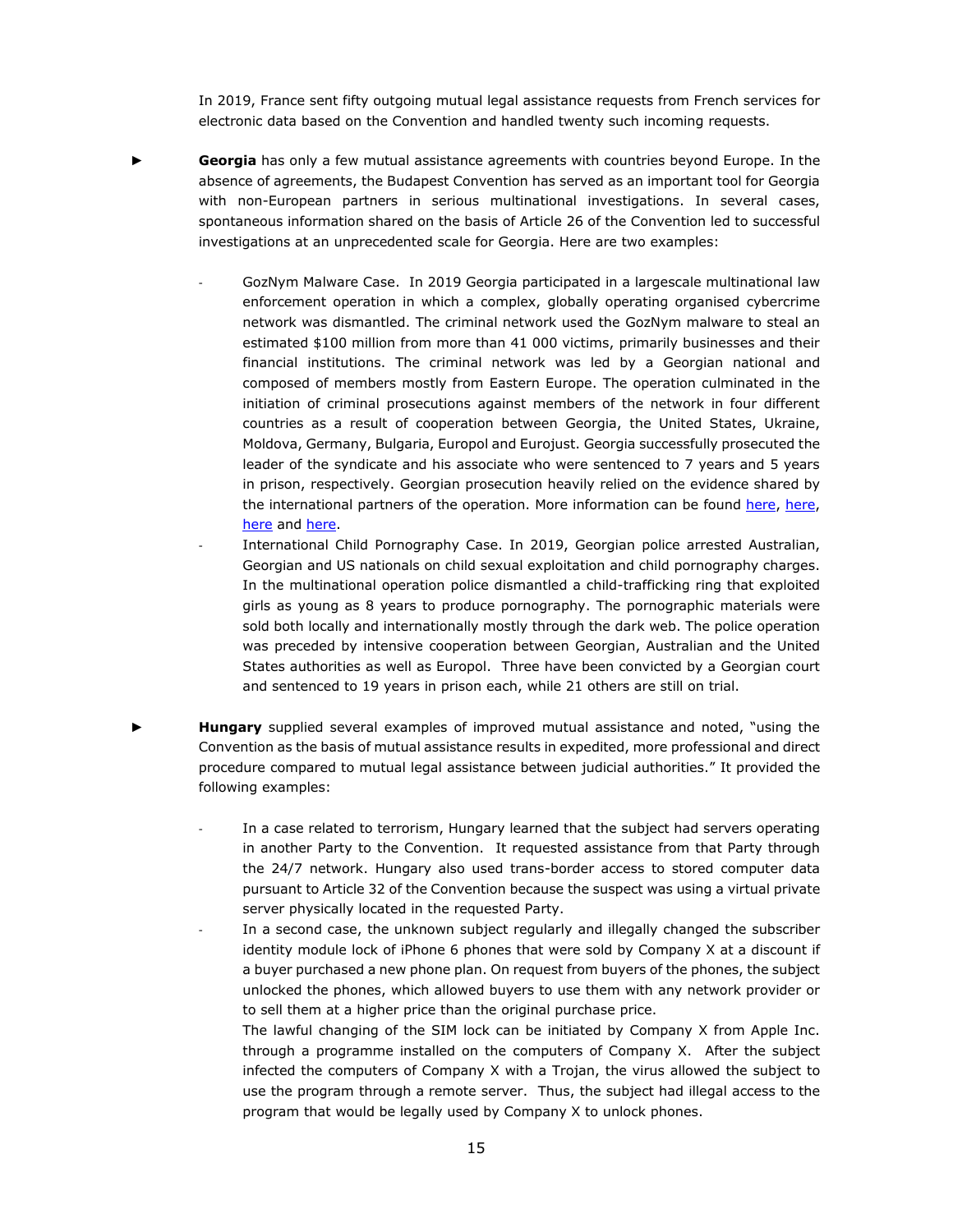In 2019, France sent fifty outgoing mutual legal assistance requests from French services for electronic data based on the Convention and handled twenty such incoming requests.

- ► **Georgia** has only a few mutual assistance agreements with countries beyond Europe. In the absence of agreements, the Budapest Convention has served as an important tool for Georgia with non-European partners in serious multinational investigations. In several cases, spontaneous information shared on the basis of Article 26 of the Convention led to successful investigations at an unprecedented scale for Georgia. Here are two examples:
	- GozNym Malware Case. In 2019 Georgia participated in a largescale multinational law enforcement operation in which a complex, globally operating organised cybercrime network was dismantled. The criminal network used the GozNym malware to steal an estimated \$100 million from more than 41 000 victims, primarily businesses and their financial institutions. The criminal network was led by a Georgian national and composed of members mostly from Eastern Europe. The operation culminated in the initiation of criminal prosecutions against members of the network in four different countries as a result of cooperation between Georgia, the United States, Ukraine, Moldova, Germany, Bulgaria, Europol and Eurojust. Georgia successfully prosecuted the leader of the syndicate and his associate who were sentenced to 7 years and 5 years in prison, respectively. Georgian prosecution heavily relied on the evidence shared by the international partners of the operation. More information can be found [here,](https://www.justice.gov/usao-wdpa/pr/three-members-goznym-cybercrime-network-sentenced-parallel-multi-national-prosecutions?fbclid=IwAR2_IBBsWeKjOn5NZ2uwM7XIMggk7jHfu_kYmw3itbj2s4Arzk4LD-lc0kc) here, [here](https://www.justice.gov/opa/pr/goznym-cyber-criminal-network-operating-out-europe-targeting-american-entities-dismantled#:~:text=A%20complex%20transnational%20organized%20cybercrime,an%20international%20law%20enforcement%20operation.&text=United%20States%20Attorney%20Scott%20W.) and [here.](http://www.eurojust.europa.eu/press/PressReleases/Pages/2019/2019-05-16.aspx#:~:text=In%20an%20unprecedented%2C%20international%20law,businesses%20and%20their%20financial%20institutions.)
	- International Child Pornography Case. In 2019, Georgian police arrested Australian, Georgian and US nationals on child sexual exploitation and child pornography charges. In the multinational operation police dismantled a child-trafficking ring that exploited girls as young as 8 years to produce pornography. The pornographic materials were sold both locally and internationally mostly through the dark web. The police operation was preceded by intensive cooperation between Georgian, Australian and the United States authorities as well as Europol. Three have been convicted by a Georgian court and sentenced to 19 years in prison each, while 21 others are still on trial.
- **Hungary** supplied several examples of improved mutual assistance and noted, "using the Convention as the basis of mutual assistance results in expedited, more professional and direct procedure compared to mutual legal assistance between judicial authorities." It provided the following examples:
	- In a case related to terrorism, Hungary learned that the subject had servers operating in another Party to the Convention. It requested assistance from that Party through the 24/7 network. Hungary also used trans-border access to stored computer data pursuant to Article 32 of the Convention because the suspect was using a virtual private server physically located in the requested Party.
	- In a second case, the unknown subject regularly and illegally changed the subscriber identity module lock of iPhone 6 phones that were sold by Company X at a discount if a buyer purchased a new phone plan. On request from buyers of the phones, the subject unlocked the phones, which allowed buyers to use them with any network provider or to sell them at a higher price than the original purchase price.
		- The lawful changing of the SIM lock can be initiated by Company X from Apple Inc. through a programme installed on the computers of Company X. After the subject infected the computers of Company X with a Trojan, the virus allowed the subject to use the program through a remote server. Thus, the subject had illegal access to the program that would be legally used by Company X to unlock phones.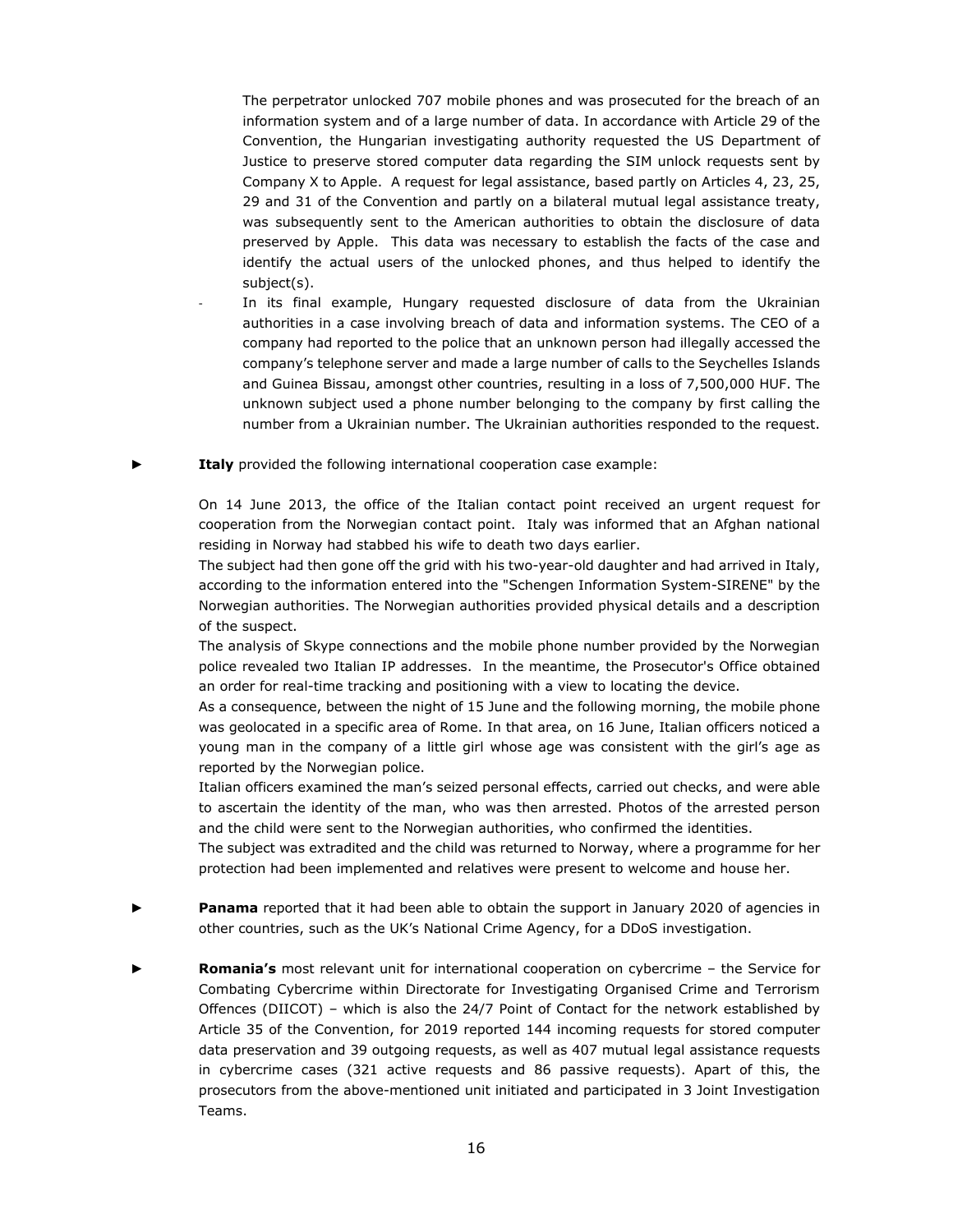The perpetrator unlocked 707 mobile phones and was prosecuted for the breach of an information system and of a large number of data. In accordance with Article 29 of the Convention, the Hungarian investigating authority requested the US Department of Justice to preserve stored computer data regarding the SIM unlock requests sent by Company X to Apple. A request for legal assistance, based partly on Articles 4, 23, 25, 29 and 31 of the Convention and partly on a bilateral mutual legal assistance treaty, was subsequently sent to the American authorities to obtain the disclosure of data preserved by Apple. This data was necessary to establish the facts of the case and identify the actual users of the unlocked phones, and thus helped to identify the subject(s).

- In its final example, Hungary requested disclosure of data from the Ukrainian authorities in a case involving breach of data and information systems. The CEO of a company had reported to the police that an unknown person had illegally accessed the company's telephone server and made a large number of calls to the Seychelles Islands and Guinea Bissau, amongst other countries, resulting in a loss of 7,500,000 HUF. The unknown subject used a phone number belonging to the company by first calling the number from a Ukrainian number. The Ukrainian authorities responded to the request.
- **Italy** provided the following international cooperation case example:

On 14 June 2013, the office of the Italian contact point received an urgent request for cooperation from the Norwegian contact point. Italy was informed that an Afghan national residing in Norway had stabbed his wife to death two days earlier.

The subject had then gone off the grid with his two-year-old daughter and had arrived in Italy, according to the information entered into the "Schengen Information System-SIRENE" by the Norwegian authorities. The Norwegian authorities provided physical details and a description of the suspect.

The analysis of Skype connections and the mobile phone number provided by the Norwegian police revealed two Italian IP addresses. In the meantime, the Prosecutor's Office obtained an order for real-time tracking and positioning with a view to locating the device.

As a consequence, between the night of 15 June and the following morning, the mobile phone was geolocated in a specific area of Rome. In that area, on 16 June, Italian officers noticed a young man in the company of a little girl whose age was consistent with the girl's age as reported by the Norwegian police.

Italian officers examined the man's seized personal effects, carried out checks, and were able to ascertain the identity of the man, who was then arrested. Photos of the arrested person and the child were sent to the Norwegian authorities, who confirmed the identities.

The subject was extradited and the child was returned to Norway, where a programme for her protection had been implemented and relatives were present to welcome and house her.

- Panama reported that it had been able to obtain the support in January 2020 of agencies in other countries, such as the UK's National Crime Agency, for a DDoS investigation.
- ► **Romania's** most relevant unit for international cooperation on cybercrime the Service for Combating Cybercrime within Directorate for Investigating Organised Crime and Terrorism Offences (DIICOT) – which is also the 24/7 Point of Contact for the network established by Article 35 of the Convention, for 2019 reported 144 incoming requests for stored computer data preservation and 39 outgoing requests, as well as 407 mutual legal assistance requests in cybercrime cases (321 active requests and 86 passive requests). Apart of this, the prosecutors from the above-mentioned unit initiated and participated in 3 Joint Investigation Teams.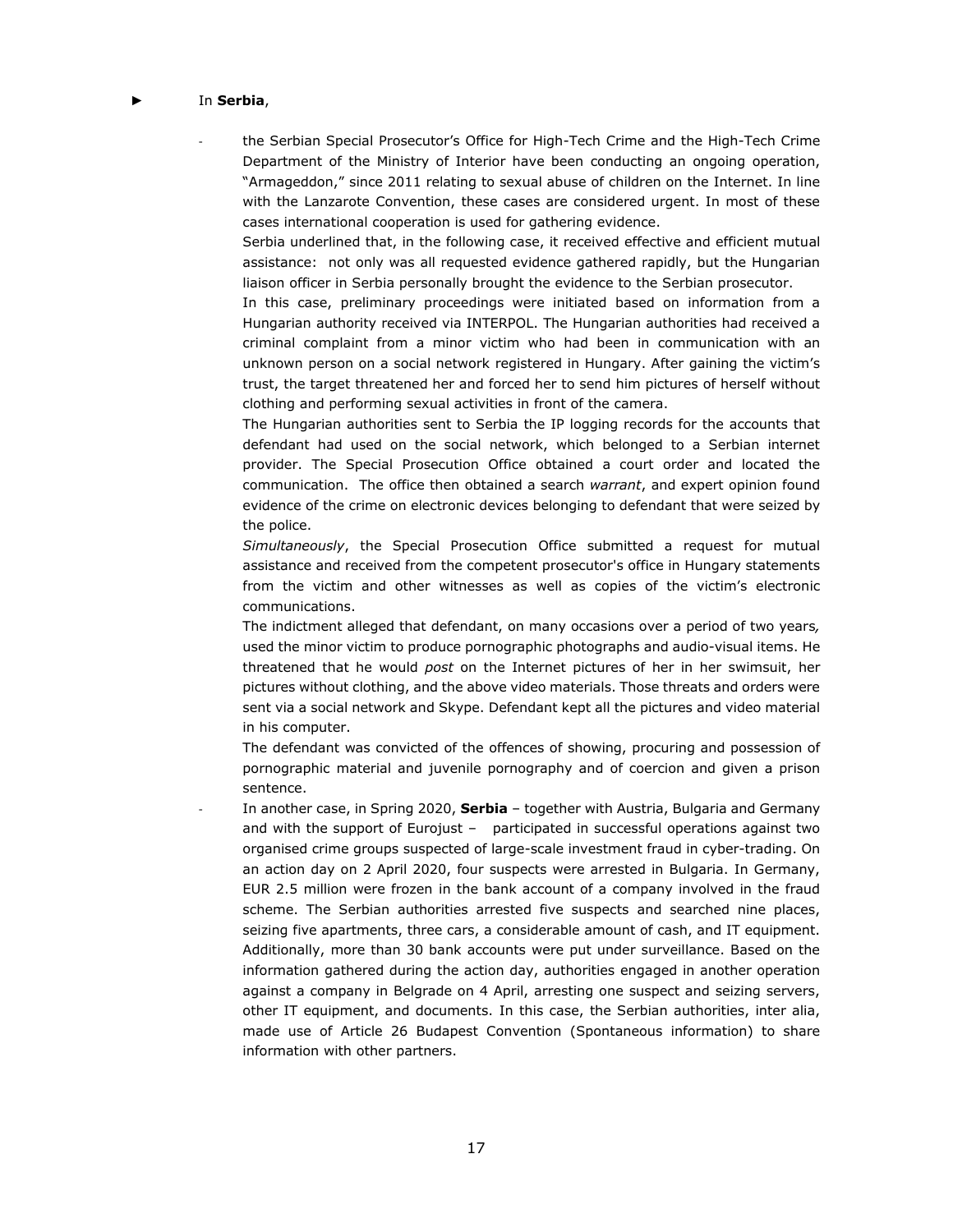#### ► In **Serbia**,

the Serbian Special Prosecutor's Office for High-Tech Crime and the High-Tech Crime Department of the Ministry of Interior have been conducting an ongoing operation, "Armageddon," since 2011 relating to sexual abuse of children on the Internet. In line with the Lanzarote Convention, these cases are considered urgent. In most of these cases international cooperation is used for gathering evidence.

Serbia underlined that, in the following case, it received effective and efficient mutual assistance: not only was all requested evidence gathered rapidly, but the Hungarian liaison officer in Serbia personally brought the evidence to the Serbian prosecutor.

In this case, preliminary proceedings were initiated based on information from a Hungarian authority received via INTERPOL. The Hungarian authorities had received a criminal complaint from a minor victim who had been in communication with an unknown person on a social network registered in Hungary. After gaining the victim's trust, the target threatened her and forced her to send him pictures of herself without clothing and performing sexual activities in front of the camera.

The Hungarian authorities sent to Serbia the IP logging records for the accounts that defendant had used on the social network, which belonged to a Serbian internet provider. The Special Prosecution Office obtained a court order and located the communication. The office then obtained a search *warrant*, and expert opinion found evidence of the crime on electronic devices belonging to defendant that were seized by the police.

*Simultaneously*, the Special Prosecution Office submitted a request for mutual assistance and received from the competent prosecutor's office in Hungary statements from the victim and other witnesses as well as copies of the victim's electronic communications.

The indictment alleged that defendant, on many occasions over a period of two years*,*  used the minor victim to produce pornographic photographs and audio-visual items. He threatened that he would *post* on the Internet pictures of her in her swimsuit, her pictures without clothing, and the above video materials. Those threats and orders were sent via a social network and Skype. Defendant kept all the pictures and video material in his computer.

The defendant was convicted of the offences of showing, procuring and possession of pornographic material and juvenile pornography and of coercion and given a prison sentence.

In another case, in Spring 2020, **Serbia** – together with Austria, Bulgaria and Germany and with the support of Eurojust – participated in successful operations against two organised crime groups suspected of large-scale investment fraud in cyber-trading. On an action day on 2 April 2020, four suspects were arrested in Bulgaria. In Germany, EUR 2.5 million were frozen in the bank account of a company involved in the fraud scheme. The Serbian authorities arrested five suspects and searched nine places, seizing five apartments, three cars, a considerable amount of cash, and IT equipment. Additionally, more than 30 bank accounts were put under surveillance. Based on the information gathered during the action day, authorities engaged in another operation against a company in Belgrade on 4 April, arresting one suspect and seizing servers, other IT equipment, and documents. In this case, the Serbian authorities, inter alia, made use of Article 26 Budapest Convention (Spontaneous information) to share information with other partners.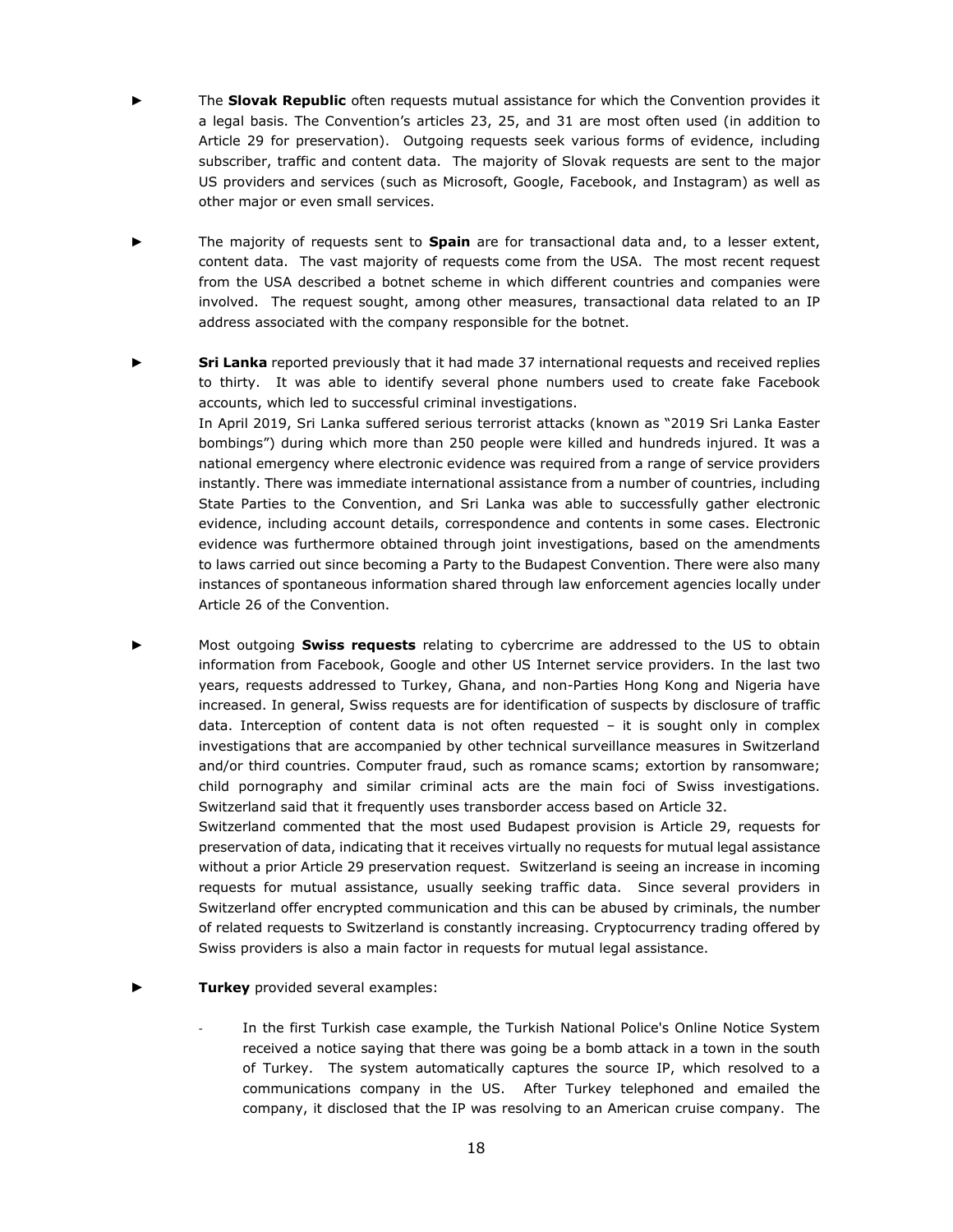- ► The **Slovak Republic** often requests mutual assistance for which the Convention provides it a legal basis. The Convention's articles 23, 25, and 31 are most often used (in addition to Article 29 for preservation). Outgoing requests seek various forms of evidence, including subscriber, traffic and content data. The majority of Slovak requests are sent to the major US providers and services (such as Microsoft, Google, Facebook, and Instagram) as well as other major or even small services.
- The majority of requests sent to **Spain** are for transactional data and, to a lesser extent, content data. The vast majority of requests come from the USA. The most recent request from the USA described a botnet scheme in which different countries and companies were involved. The request sought, among other measures, transactional data related to an IP address associated with the company responsible for the botnet.
- **Sri Lanka** reported previously that it had made 37 international requests and received replies to thirty. It was able to identify several phone numbers used to create fake Facebook accounts, which led to successful criminal investigations.

In April 2019, Sri Lanka suffered serious terrorist attacks (known as "2019 Sri Lanka Easter bombings") during which more than 250 people were killed and hundreds injured. It was a national emergency where electronic evidence was required from a range of service providers instantly. There was immediate international assistance from a number of countries, including State Parties to the Convention, and Sri Lanka was able to successfully gather electronic evidence, including account details, correspondence and contents in some cases. Electronic evidence was furthermore obtained through joint investigations, based on the amendments to laws carried out since becoming a Party to the Budapest Convention. There were also many instances of spontaneous information shared through law enforcement agencies locally under Article 26 of the Convention.

► Most outgoing **Swiss requests** relating to cybercrime are addressed to the US to obtain information from Facebook, Google and other US Internet service providers. In the last two years, requests addressed to Turkey, Ghana, and non-Parties Hong Kong and Nigeria have increased. In general, Swiss requests are for identification of suspects by disclosure of traffic data. Interception of content data is not often requested – it is sought only in complex investigations that are accompanied by other technical surveillance measures in Switzerland and/or third countries. Computer fraud, such as romance scams; extortion by ransomware; child pornography and similar criminal acts are the main foci of Swiss investigations. Switzerland said that it frequently uses transborder access based on Article 32.

Switzerland commented that the most used Budapest provision is Article 29, requests for preservation of data, indicating that it receives virtually no requests for mutual legal assistance without a prior Article 29 preservation request. Switzerland is seeing an increase in incoming requests for mutual assistance, usually seeking traffic data. Since several providers in Switzerland offer encrypted communication and this can be abused by criminals, the number of related requests to Switzerland is constantly increasing. Cryptocurrency trading offered by Swiss providers is also a main factor in requests for mutual legal assistance.

- **Turkey** provided several examples:
	- In the first Turkish case example, the Turkish National Police's Online Notice System received a notice saying that there was going be a bomb attack in a town in the south of Turkey. The system automatically captures the source IP, which resolved to a communications company in the US. After Turkey telephoned and emailed the company, it disclosed that the IP was resolving to an American cruise company. The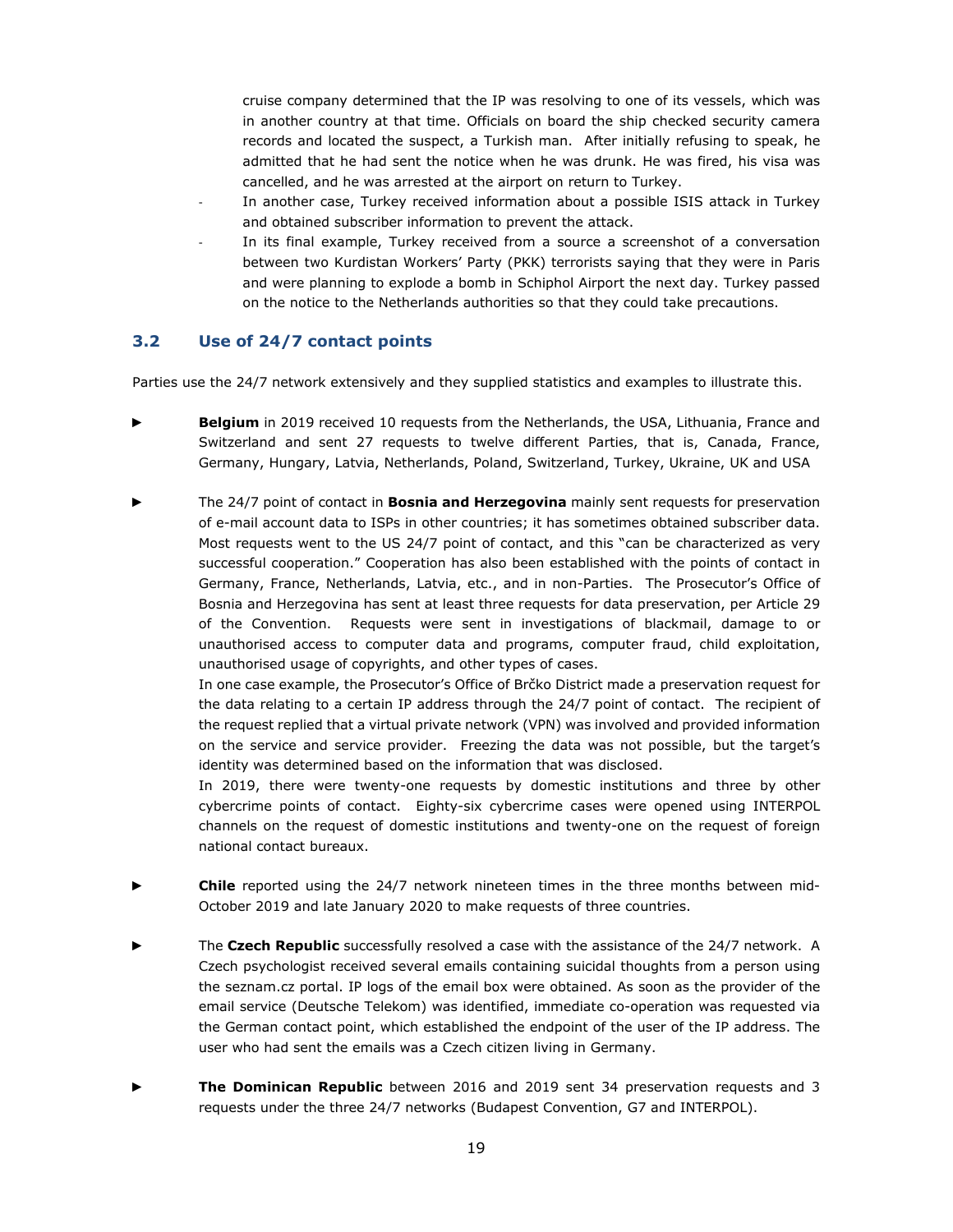cruise company determined that the IP was resolving to one of its vessels, which was in another country at that time. Officials on board the ship checked security camera records and located the suspect, a Turkish man. After initially refusing to speak, he admitted that he had sent the notice when he was drunk. He was fired, his visa was cancelled, and he was arrested at the airport on return to Turkey.

- In another case, Turkey received information about a possible ISIS attack in Turkey and obtained subscriber information to prevent the attack.
- In its final example, Turkey received from a source a screenshot of a conversation between two Kurdistan Workers' Party (PKK) terrorists saying that they were in Paris and were planning to explode a bomb in Schiphol Airport the next day. Turkey passed on the notice to the Netherlands authorities so that they could take precautions.

#### <span id="page-18-0"></span>**3.2 Use of 24/7 contact points**

Parties use the 24/7 network extensively and they supplied statistics and examples to illustrate this.

- **Belgium** in 2019 received 10 requests from the Netherlands, the USA, Lithuania, France and Switzerland and sent 27 requests to twelve different Parties, that is, Canada, France, Germany, Hungary, Latvia, Netherlands, Poland, Switzerland, Turkey, Ukraine, UK and USA
- The 24/7 point of contact in **Bosnia and Herzegovina** mainly sent requests for preservation of e-mail account data to ISPs in other countries; it has sometimes obtained subscriber data. Most requests went to the US 24/7 point of contact, and this "can be characterized as very successful cooperation." Cooperation has also been established with the points of contact in Germany, France, Netherlands, Latvia, etc., and in non-Parties. The Prosecutor's Office of Bosnia and Herzegovina has sent at least three requests for data preservation, per Article 29 of the Convention. Requests were sent in investigations of blackmail, damage to or unauthorised access to computer data and programs, computer fraud, child exploitation, unauthorised usage of copyrights, and other types of cases.

In one case example, the Prosecutor's Office of Brčko District made a preservation request for the data relating to a certain IP address through the 24/7 point of contact. The recipient of the request replied that a virtual private network (VPN) was involved and provided information on the service and service provider. Freezing the data was not possible, but the target's identity was determined based on the information that was disclosed.

In 2019, there were twenty-one requests by domestic institutions and three by other cybercrime points of contact. Eighty-six cybercrime cases were opened using INTERPOL channels on the request of domestic institutions and twenty-one on the request of foreign national contact bureaux.

- **Chile** reported using the 24/7 network nineteen times in the three months between mid-October 2019 and late January 2020 to make requests of three countries.
- The Czech Republic successfully resolved a case with the assistance of the 24/7 network. A Czech psychologist received several emails containing suicidal thoughts from a person using the seznam.cz portal. IP logs of the email box were obtained. As soon as the provider of the email service (Deutsche Telekom) was identified, immediate co-operation was requested via the German contact point, which established the endpoint of the user of the IP address. The user who had sent the emails was a Czech citizen living in Germany.
- ► **The Dominican Republic** between 2016 and 2019 sent 34 preservation requests and 3 requests under the three 24/7 networks (Budapest Convention, G7 and INTERPOL).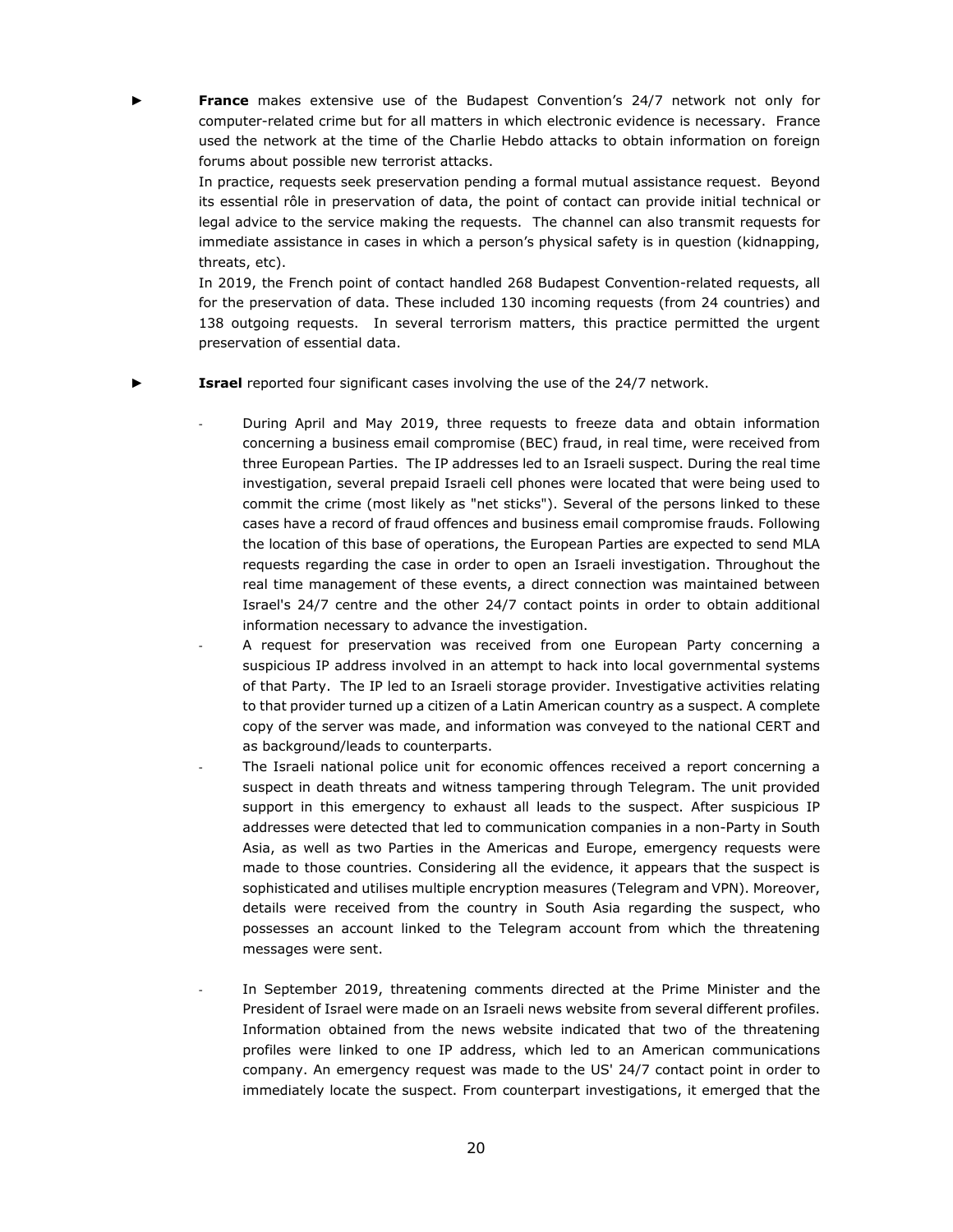France makes extensive use of the Budapest Convention's 24/7 network not only for computer-related crime but for all matters in which electronic evidence is necessary. France used the network at the time of the Charlie Hebdo attacks to obtain information on foreign forums about possible new terrorist attacks.

In practice, requests seek preservation pending a formal mutual assistance request. Beyond its essential rôle in preservation of data, the point of contact can provide initial technical or legal advice to the service making the requests. The channel can also transmit requests for immediate assistance in cases in which a person's physical safety is in question (kidnapping, threats, etc).

In 2019, the French point of contact handled 268 Budapest Convention-related requests, all for the preservation of data. These included 130 incoming requests (from 24 countries) and 138 outgoing requests. In several terrorism matters, this practice permitted the urgent preservation of essential data.

► **Israel** reported four significant cases involving the use of the 24/7 network.

- During April and May 2019, three requests to freeze data and obtain information concerning a business email compromise (BEC) fraud, in real time, were received from three European Parties. The IP addresses led to an Israeli suspect. During the real time investigation, several prepaid Israeli cell phones were located that were being used to commit the crime (most likely as "net sticks"). Several of the persons linked to these cases have a record of fraud offences and business email compromise frauds. Following the location of this base of operations, the European Parties are expected to send MLA requests regarding the case in order to open an Israeli investigation. Throughout the real time management of these events, a direct connection was maintained between Israel's 24/7 centre and the other 24/7 contact points in order to obtain additional information necessary to advance the investigation.
- A request for preservation was received from one European Party concerning a suspicious IP address involved in an attempt to hack into local governmental systems of that Party. The IP led to an Israeli storage provider. Investigative activities relating to that provider turned up a citizen of a Latin American country as a suspect. A complete copy of the server was made, and information was conveyed to the national CERT and as background/leads to counterparts.
- The Israeli national police unit for economic offences received a report concerning a suspect in death threats and witness tampering through Telegram. The unit provided support in this emergency to exhaust all leads to the suspect. After suspicious IP addresses were detected that led to communication companies in a non-Party in South Asia, as well as two Parties in the Americas and Europe, emergency requests were made to those countries. Considering all the evidence, it appears that the suspect is sophisticated and utilises multiple encryption measures (Telegram and VPN). Moreover, details were received from the country in South Asia regarding the suspect, who possesses an account linked to the Telegram account from which the threatening messages were sent.
- In September 2019, threatening comments directed at the Prime Minister and the President of Israel were made on an Israeli news website from several different profiles. Information obtained from the news website indicated that two of the threatening profiles were linked to one IP address, which led to an American communications company. An emergency request was made to the US' 24/7 contact point in order to immediately locate the suspect. From counterpart investigations, it emerged that the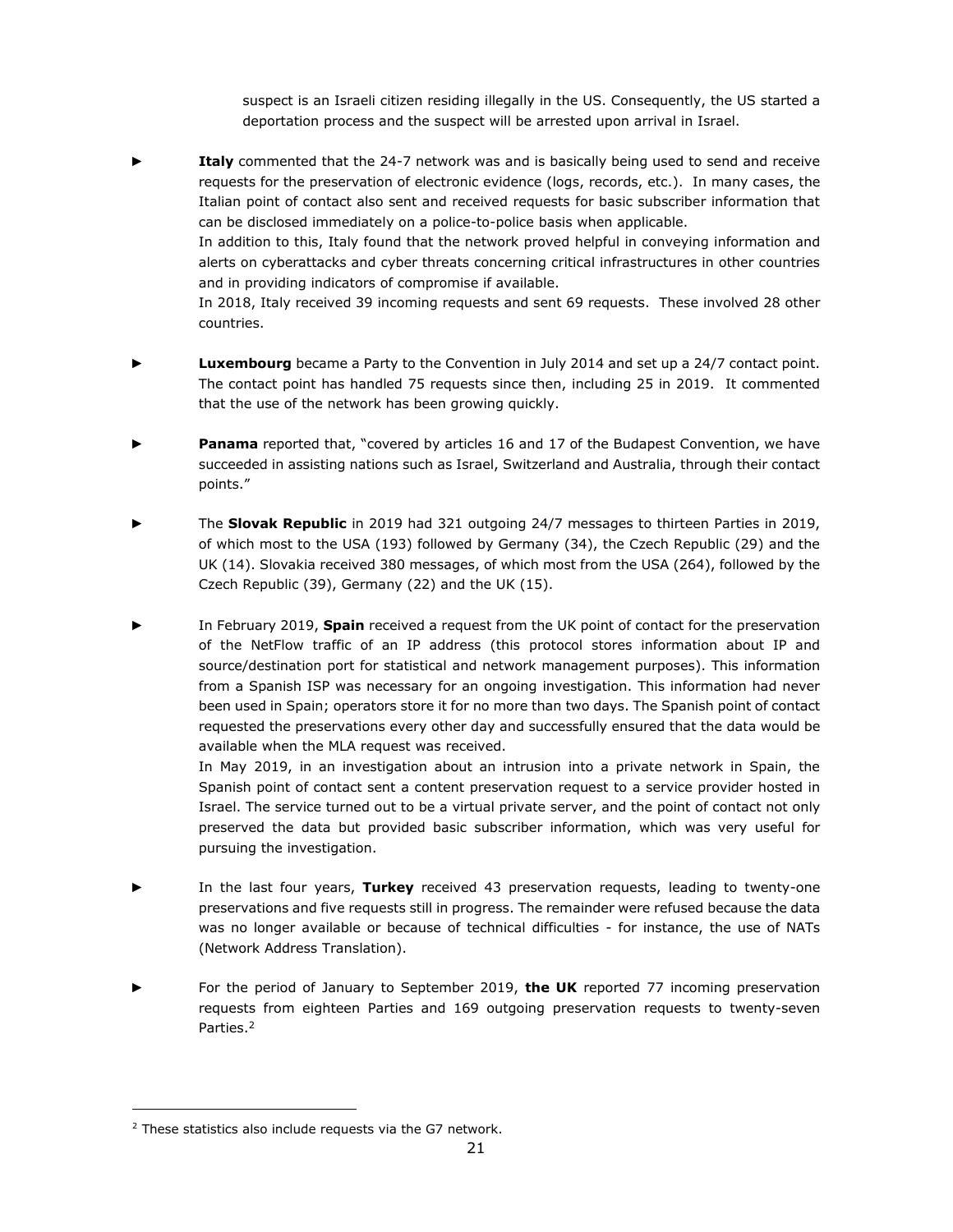suspect is an Israeli citizen residing illegally in the US. Consequently, the US started a deportation process and the suspect will be arrested upon arrival in Israel.

**Italy** commented that the 24-7 network was and is basically being used to send and receive requests for the preservation of electronic evidence (logs, records, etc.). In many cases, the Italian point of contact also sent and received requests for basic subscriber information that can be disclosed immediately on a police-to-police basis when applicable.

In addition to this, Italy found that the network proved helpful in conveying information and alerts on cyberattacks and cyber threats concerning critical infrastructures in other countries and in providing indicators of compromise if available.

In 2018, Italy received 39 incoming requests and sent 69 requests. These involved 28 other countries.

- ► **Luxembourg** became a Party to the Convention in July 2014 and set up a 24/7 contact point. The contact point has handled 75 requests since then, including 25 in 2019. It commented that the use of the network has been growing quickly.
- Panama reported that, "covered by articles 16 and 17 of the Budapest Convention, we have succeeded in assisting nations such as Israel, Switzerland and Australia, through their contact points."
- ► The **Slovak Republic** in 2019 had 321 outgoing 24/7 messages to thirteen Parties in 2019, of which most to the USA (193) followed by Germany (34), the Czech Republic (29) and the UK (14). Slovakia received 380 messages, of which most from the USA (264), followed by the Czech Republic (39), Germany (22) and the UK (15).
- In February 2019, **Spain** received a request from the UK point of contact for the preservation of the NetFlow traffic of an IP address (this protocol stores information about IP and source/destination port for statistical and network management purposes). This information from a Spanish ISP was necessary for an ongoing investigation. This information had never been used in Spain; operators store it for no more than two days. The Spanish point of contact requested the preservations every other day and successfully ensured that the data would be available when the MLA request was received.

In May 2019, in an investigation about an intrusion into a private network in Spain, the Spanish point of contact sent a content preservation request to a service provider hosted in Israel. The service turned out to be a virtual private server, and the point of contact not only preserved the data but provided basic subscriber information, which was very useful for pursuing the investigation.

- In the last four years, Turkey received 43 preservation requests, leading to twenty-one preservations and five requests still in progress. The remainder were refused because the data was no longer available or because of technical difficulties - for instance, the use of NATs (Network Address Translation).
- For the period of January to September 2019, the UK reported 77 incoming preservation requests from eighteen Parties and 169 outgoing preservation requests to twenty-seven Parties.<sup>2</sup>

<span id="page-20-0"></span><sup>&</sup>lt;sup>2</sup> These statistics also include requests via the G7 network.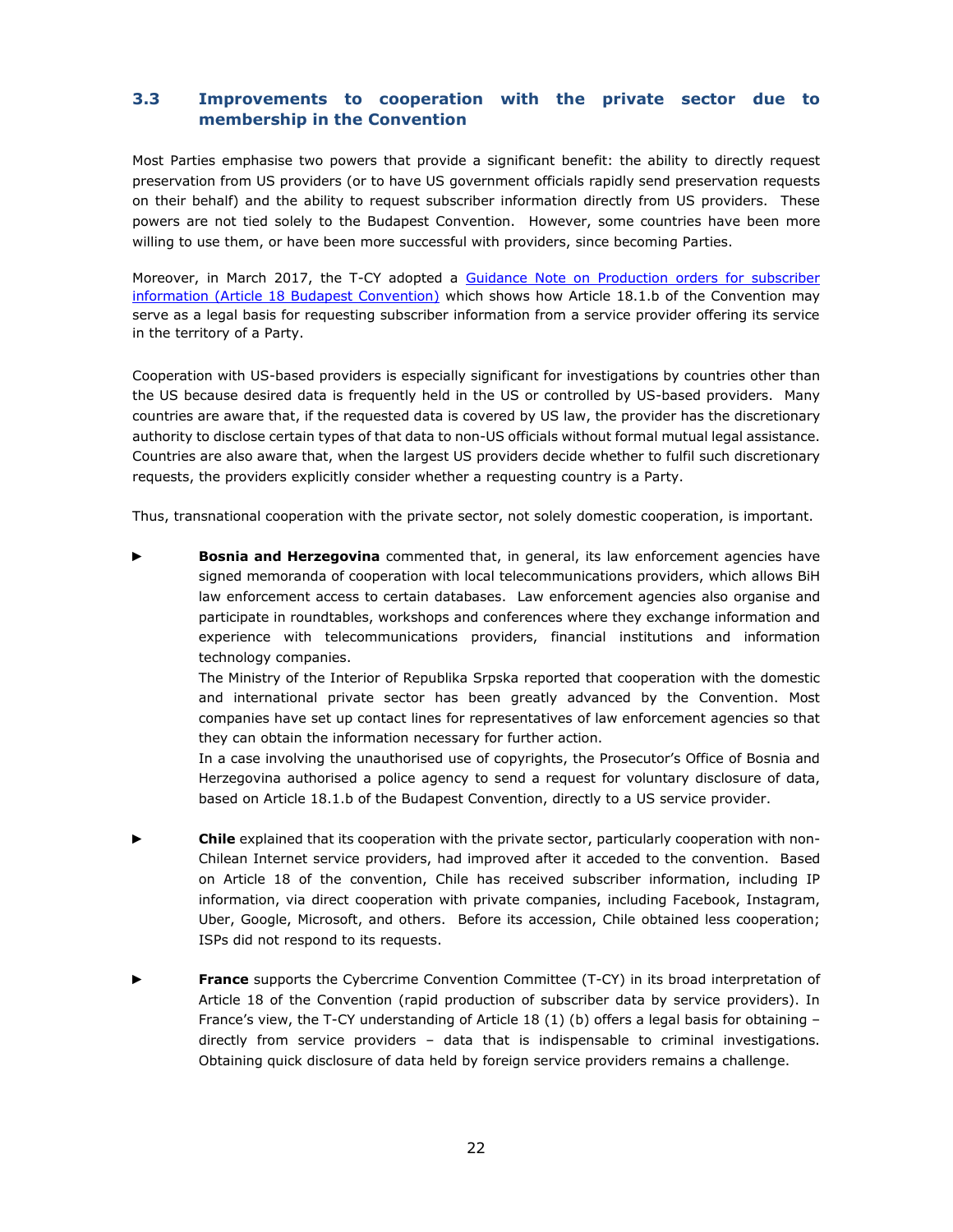#### **3.3 Improvements to cooperation with the private sector due to membership in the Convention**

Most Parties emphasise two powers that provide a significant benefit: the ability to directly request preservation from US providers (or to have US government officials rapidly send preservation requests on their behalf) and the ability to request subscriber information directly from US providers. These powers are not tied solely to the Budapest Convention. However, some countries have been more willing to use them, or have been more successful with providers, since becoming Parties.

Moreover, in March 2017, the T-CY adopted a [Guidance Note on Production orders for subscriber](https://rm.coe.int/16806f943e)  [information \(Article 18 Budapest Convention\)](https://rm.coe.int/16806f943e) which shows how Article 18.1.b of the Convention may serve as a legal basis for requesting subscriber information from a service provider offering its service in the territory of a Party.

Cooperation with US-based providers is especially significant for investigations by countries other than the US because desired data is frequently held in the US or controlled by US-based providers. Many countries are aware that, if the requested data is covered by US law, the provider has the discretionary authority to disclose certain types of that data to non-US officials without formal mutual legal assistance. Countries are also aware that, when the largest US providers decide whether to fulfil such discretionary requests, the providers explicitly consider whether a requesting country is a Party.

Thus, transnational cooperation with the private sector, not solely domestic cooperation, is important.

Bosnia and Herzegovina commented that, in general, its law enforcement agencies have signed memoranda of cooperation with local telecommunications providers, which allows BiH law enforcement access to certain databases. Law enforcement agencies also organise and participate in roundtables, workshops and conferences where they exchange information and experience with telecommunications providers, financial institutions and information technology companies.

The Ministry of the Interior of Republika Srpska reported that cooperation with the domestic and international private sector has been greatly advanced by the Convention. Most companies have set up contact lines for representatives of law enforcement agencies so that they can obtain the information necessary for further action.

In a case involving the unauthorised use of copyrights, the Prosecutor's Office of Bosnia and Herzegovina authorised a police agency to send a request for voluntary disclosure of data, based on Article 18.1.b of the Budapest Convention, directly to a US service provider.

- ► **Chile** explained that its cooperation with the private sector, particularly cooperation with non-Chilean Internet service providers, had improved after it acceded to the convention. Based on Article 18 of the convention, Chile has received subscriber information, including IP information, via direct cooperation with private companies, including Facebook, Instagram, Uber, Google, Microsoft, and others. Before its accession, Chile obtained less cooperation; ISPs did not respond to its requests.
- ► **France** supports the Cybercrime Convention Committee (T-CY) in its broad interpretation of Article 18 of the Convention (rapid production of subscriber data by service providers). In France's view, the T-CY understanding of Article 18 (1) (b) offers a legal basis for obtaining directly from service providers – data that is indispensable to criminal investigations. Obtaining quick disclosure of data held by foreign service providers remains a challenge.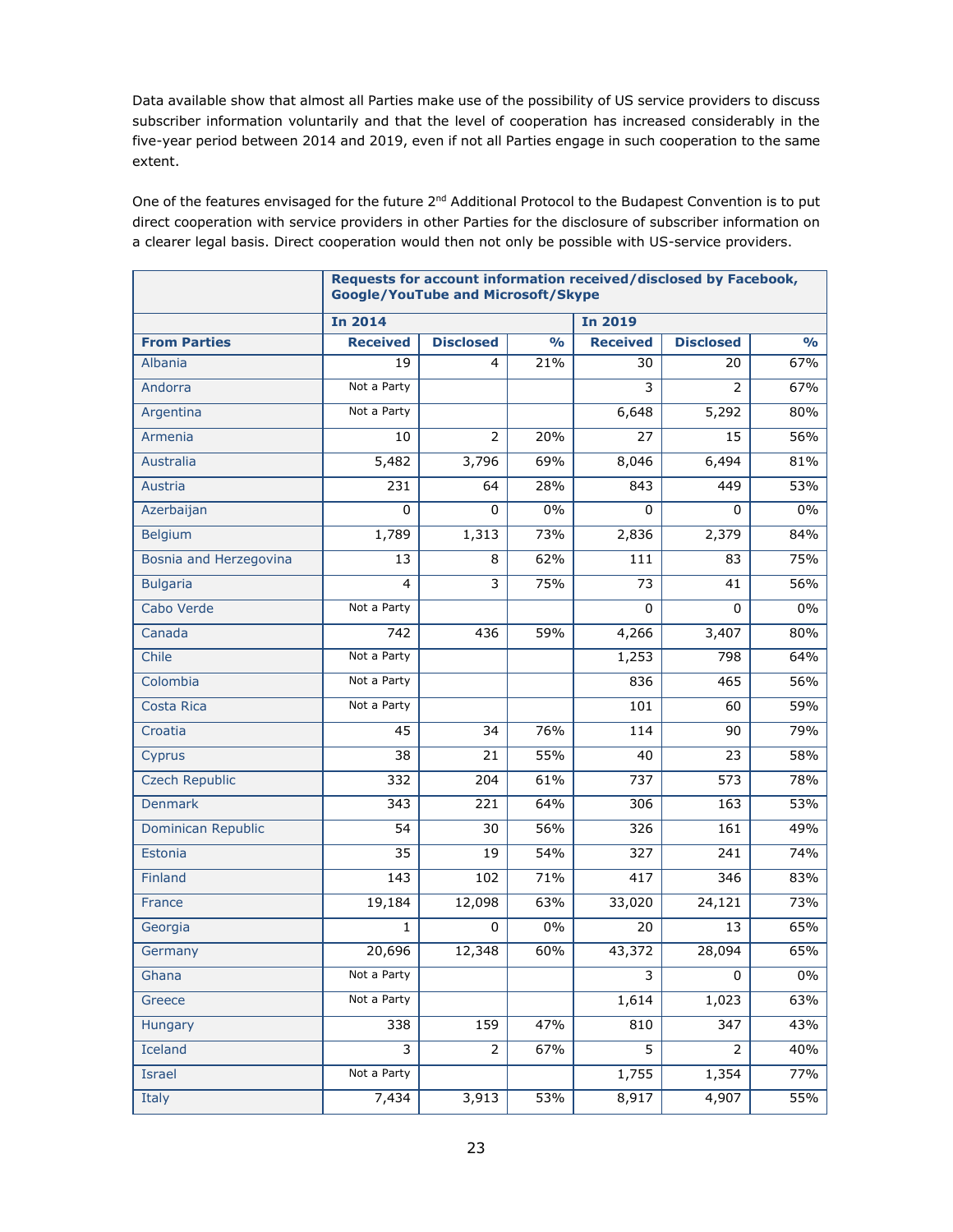Data available show that almost all Parties make use of the possibility of US service providers to discuss subscriber information voluntarily and that the level of cooperation has increased considerably in the five-year period between 2014 and 2019, even if not all Parties engage in such cooperation to the same extent.

One of the features envisaged for the future 2<sup>nd</sup> Additional Protocol to the Budapest Convention is to put direct cooperation with service providers in other Parties for the disclosure of subscriber information on a clearer legal basis. Direct cooperation would then not only be possible with US-service providers.

|                        | Requests for account information received/disclosed by Facebook,<br><b>Google/YouTube and Microsoft/Skype</b> |                  |                              |                 |                  |                |  |  |
|------------------------|---------------------------------------------------------------------------------------------------------------|------------------|------------------------------|-----------------|------------------|----------------|--|--|
|                        | <b>In 2014</b>                                                                                                |                  |                              |                 |                  | <b>In 2019</b> |  |  |
| <b>From Parties</b>    | <b>Received</b>                                                                                               | <b>Disclosed</b> | $\overline{O}/_{\mathbf{O}}$ | <b>Received</b> | <b>Disclosed</b> | $\frac{0}{0}$  |  |  |
| Albania                | 19                                                                                                            | 4                | 21%                          | 30              | 20               | 67%            |  |  |
| Andorra                | Not a Party                                                                                                   |                  |                              | 3               | $\overline{2}$   | 67%            |  |  |
| Argentina              | Not a Party                                                                                                   |                  |                              | 6,648           | 5,292            | 80%            |  |  |
| Armenia                | 10                                                                                                            | $\overline{2}$   | 20%                          | 27              | 15               | 56%            |  |  |
| Australia              | 5,482                                                                                                         | 3,796            | 69%                          | 8,046           | 6,494            | 81%            |  |  |
| Austria                | 231                                                                                                           | 64               | 28%                          | 843             | 449              | 53%            |  |  |
| Azerbaijan             | $\Omega$                                                                                                      | 0                | 0%                           | $\Omega$        | 0                | $0\%$          |  |  |
| <b>Belgium</b>         | 1,789                                                                                                         | 1,313            | 73%                          | 2,836           | 2,379            | 84%            |  |  |
| Bosnia and Herzegovina | 13                                                                                                            | 8                | 62%                          | 111             | 83               | 75%            |  |  |
| <b>Bulgaria</b>        | 4                                                                                                             | 3                | 75%                          | 73              | 41               | 56%            |  |  |
| Cabo Verde             | Not a Party                                                                                                   |                  |                              | 0               | 0                | $0\%$          |  |  |
| Canada                 | 742                                                                                                           | 436              | 59%                          | 4,266           | 3,407            | 80%            |  |  |
| Chile                  | Not a Party                                                                                                   |                  |                              | 1,253           | 798              | 64%            |  |  |
| Colombia               | Not a Party                                                                                                   |                  |                              | 836             | 465              | 56%            |  |  |
| Costa Rica             | Not a Party                                                                                                   |                  |                              | 101             | 60               | 59%            |  |  |
| Croatia                | 45                                                                                                            | 34               | 76%                          | 114             | 90               | 79%            |  |  |
| Cyprus                 | 38                                                                                                            | 21               | 55%                          | 40              | 23               | 58%            |  |  |
| <b>Czech Republic</b>  | 332                                                                                                           | 204              | 61%                          | 737             | 573              | 78%            |  |  |
| <b>Denmark</b>         | 343                                                                                                           | 221              | 64%                          | 306             | 163              | 53%            |  |  |
| Dominican Republic     | 54                                                                                                            | 30               | 56%                          | 326             | 161              | 49%            |  |  |
| Estonia                | 35                                                                                                            | 19               | 54%                          | 327             | 241              | 74%            |  |  |
| Finland                | 143                                                                                                           | 102              | 71%                          | 417             | 346              | 83%            |  |  |
| France                 | 19,184                                                                                                        | 12,098           | 63%                          | 33,020          | 24,121           | 73%            |  |  |
| Georgia                | 1                                                                                                             | 0                | $0\%$                        | 20              | 13               | 65%            |  |  |
| Germany                | 20,696                                                                                                        | 12,348           | 60%                          | 43,372          | 28,094           | 65%            |  |  |
| Ghana                  | Not a Party                                                                                                   |                  |                              | 3               | $\pmb{0}$        | $0\%$          |  |  |
| Greece                 | Not a Party                                                                                                   |                  |                              | 1,614           | 1,023            | 63%            |  |  |
| Hungary                | 338                                                                                                           | 159              | 47%                          | 810             | 347              | 43%            |  |  |
| Iceland                | 3                                                                                                             | 2                | 67%                          | 5               | 2                | 40%            |  |  |
| Israel                 | Not a Party                                                                                                   |                  |                              | 1,755           | 1,354            | 77%            |  |  |
| Italy                  | 7,434                                                                                                         | 3,913            | 53%                          | 8,917           | 4,907            | 55%            |  |  |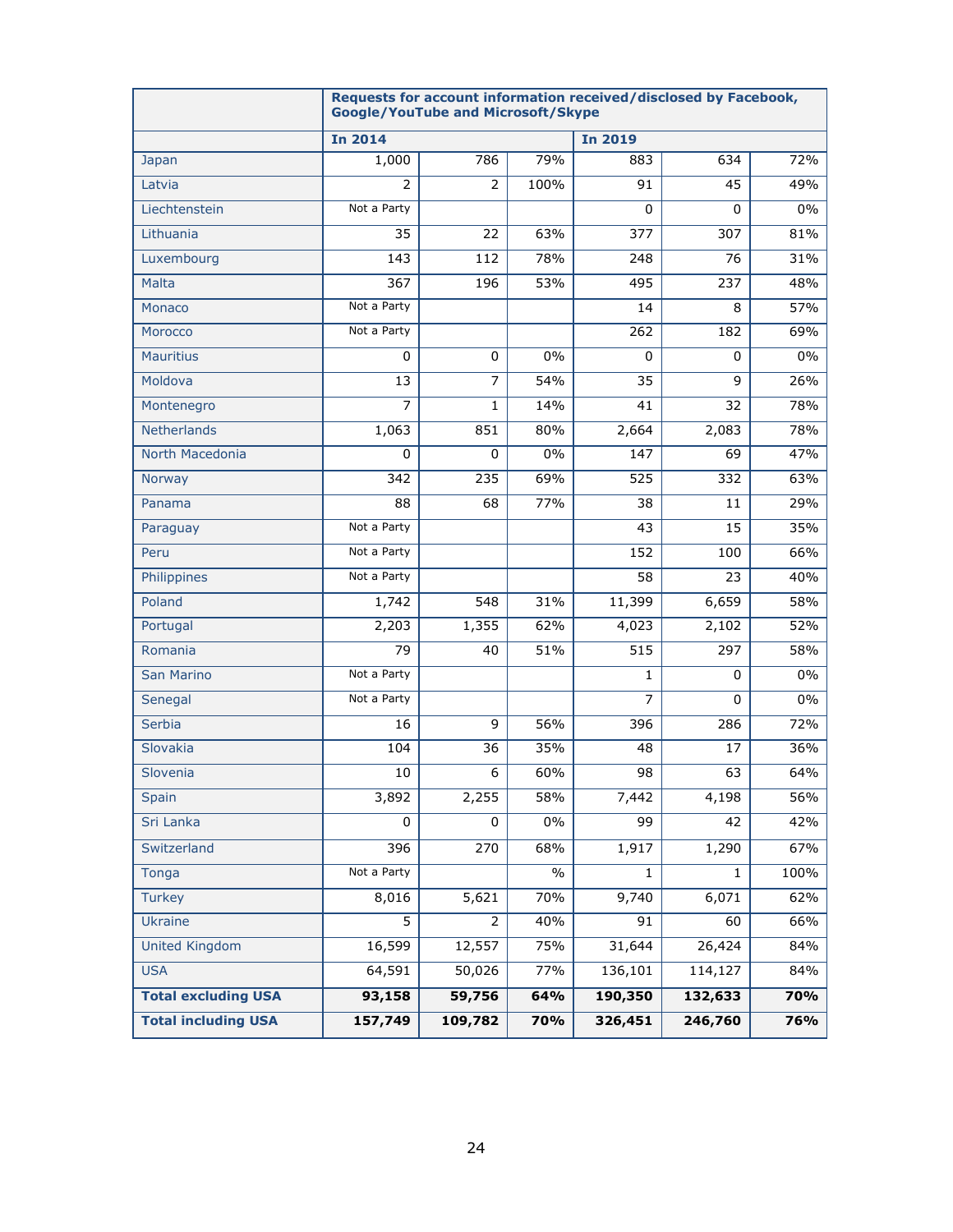|                            | Requests for account information received/disclosed by Facebook,<br><b>Google/YouTube and Microsoft/Skype</b> |                |               |                |          |       |
|----------------------------|---------------------------------------------------------------------------------------------------------------|----------------|---------------|----------------|----------|-------|
|                            | <b>In 2014</b>                                                                                                |                |               | <b>In 2019</b> |          |       |
| Japan                      | 1,000                                                                                                         | 786            | 79%           | 883            | 634      | 72%   |
| Latvia                     | 2                                                                                                             | $\overline{2}$ | 100%          | 91             | 45       | 49%   |
| Liechtenstein              | Not a Party                                                                                                   |                |               | 0              | 0        | $0\%$ |
| Lithuania                  | 35                                                                                                            | 22             | 63%           | 377            | 307      | 81%   |
| Luxembourg                 | 143                                                                                                           | 112            | 78%           | 248            | 76       | 31%   |
| Malta                      | 367                                                                                                           | 196            | 53%           | 495            | 237      | 48%   |
| Monaco                     | Not a Party                                                                                                   |                |               | 14             | 8        | 57%   |
| Morocco                    | Not a Party                                                                                                   |                |               | 262            | 182      | 69%   |
| <b>Mauritius</b>           | 0                                                                                                             | $\Omega$       | 0%            | $\Omega$       | $\Omega$ | 0%    |
| Moldova                    | 13                                                                                                            | $\overline{7}$ | 54%           | 35             | 9        | 26%   |
| Montenegro                 | 7                                                                                                             | 1              | 14%           | 41             | 32       | 78%   |
| Netherlands                | 1,063                                                                                                         | 851            | 80%           | 2,664          | 2,083    | 78%   |
| North Macedonia            | $\Omega$                                                                                                      | $\Omega$       | $0\%$         | 147            | 69       | 47%   |
| Norway                     | 342                                                                                                           | 235            | 69%           | 525            | 332      | 63%   |
| Panama                     | 88                                                                                                            | 68             | 77%           | 38             | 11       | 29%   |
| Paraguay                   | Not a Party                                                                                                   |                |               | 43             | 15       | 35%   |
| Peru                       | Not a Party                                                                                                   |                |               | 152            | 100      | 66%   |
| Philippines                | Not a Party                                                                                                   |                |               | 58             | 23       | 40%   |
| Poland                     | 1,742                                                                                                         | 548            | 31%           | 11,399         | 6,659    | 58%   |
| Portugal                   | 2,203                                                                                                         | 1,355          | 62%           | 4,023          | 2,102    | 52%   |
| Romania                    | 79                                                                                                            | 40             | 51%           | 515            | 297      | 58%   |
| <b>San Marino</b>          | Not a Party                                                                                                   |                |               | $\mathbf{1}$   | 0        | 0%    |
| Senegal                    | Not a Party                                                                                                   |                |               | $\overline{7}$ | $\Omega$ | 0%    |
| Serbia                     | 16                                                                                                            | 9              | 56%           | 396            | 286      | 72%   |
| Slovakia                   | 104                                                                                                           | 36             | 35%           | 48             | 17       | 36%   |
| Slovenia                   | 10                                                                                                            | 6              | 60%           | 98             | 63       | 64%   |
| Spain                      | 3,892                                                                                                         | 2,255          | 58%           | 7,442          | 4,198    | 56%   |
| Sri Lanka                  | 0                                                                                                             | 0              | $0\%$         | 99             | 42       | 42%   |
| Switzerland                | 396                                                                                                           | 270            | 68%           | 1,917          | 1,290    | 67%   |
| Tonga                      | Not a Party                                                                                                   |                | $\frac{0}{0}$ | 1.             | 1        | 100%  |
| <b>Turkey</b>              | 8,016                                                                                                         | 5,621          | 70%           | 9,740          | 6,071    | 62%   |
| Ukraine                    | 5                                                                                                             | $\overline{2}$ | 40%           | 91             | 60       | 66%   |
| <b>United Kingdom</b>      | 16,599                                                                                                        | 12,557         | 75%           | 31,644         | 26,424   | 84%   |
| <b>USA</b>                 | 64,591                                                                                                        | 50,026         | 77%           | 136,101        | 114,127  | 84%   |
| <b>Total excluding USA</b> | 93,158                                                                                                        | 59,756         | 64%           | 190,350        | 132,633  | 70%   |
| <b>Total including USA</b> | 157,749                                                                                                       | 109,782        | 70%           | 326,451        | 246,760  | 76%   |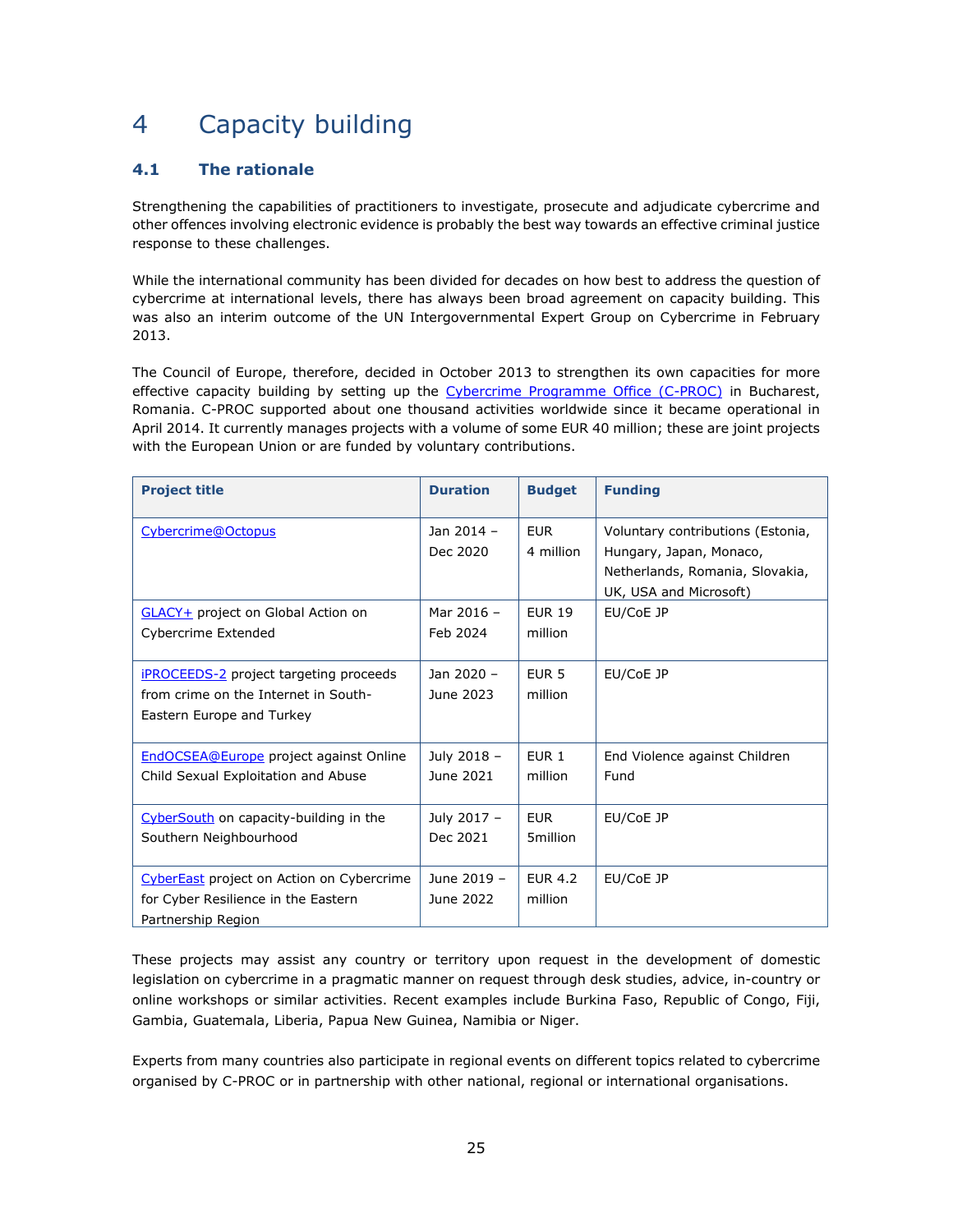# <span id="page-24-0"></span>4 Capacity building

#### <span id="page-24-1"></span>**4.1 The rationale**

Strengthening the capabilities of practitioners to investigate, prosecute and adjudicate cybercrime and other offences involving electronic evidence is probably the best way towards an effective criminal justice response to these challenges.

While the international community has been divided for decades on how best to address the question of cybercrime at international levels, there has always been broad agreement on capacity building. This was also an interim outcome of the UN Intergovernmental Expert Group on Cybercrime in February 2013.

The Council of Europe, therefore, decided in October 2013 to strengthen its own capacities for more effective capacity building by setting up the [Cybercrime Programme Office \(C-PROC\)](https://www.coe.int/en/web/cybercrime/cybercrime-office-c-proc-) in Bucharest, Romania. C-PROC supported about one thousand activities worldwide since it became operational in April 2014. It currently manages projects with a volume of some EUR 40 million; these are joint projects with the European Union or are funded by voluntary contributions.

| <b>Project title</b>                                                                                               | <b>Duration</b>          | <b>Budget</b>               | <b>Funding</b>                                                                                                            |
|--------------------------------------------------------------------------------------------------------------------|--------------------------|-----------------------------|---------------------------------------------------------------------------------------------------------------------------|
| Cybercrime@Octopus                                                                                                 | Jan 2014 -<br>Dec 2020   | <b>EUR</b><br>4 million     | Voluntary contributions (Estonia,<br>Hungary, Japan, Monaco,<br>Netherlands, Romania, Slovakia,<br>UK, USA and Microsoft) |
| <b>GLACY+</b> project on Global Action on<br>Cybercrime Extended                                                   | Mar 2016 -<br>Feb 2024   | <b>EUR 19</b><br>million    | EU/CoE JP                                                                                                                 |
| <b>iPROCEEDS-2</b> project targeting proceeds<br>from crime on the Internet in South-<br>Eastern Europe and Turkey | Jan 2020 -<br>June 2023  | EUR <sub>5</sub><br>million | EU/CoE JP                                                                                                                 |
| <b>EndOCSEA@Europe</b> project against Online<br>Child Sexual Exploitation and Abuse                               | July 2018 -<br>June 2021 | EUR <sub>1</sub><br>million | End Violence against Children<br>Fund                                                                                     |
| CyberSouth on capacity-building in the<br>Southern Neighbourhood                                                   | July 2017 -<br>Dec 2021  | <b>FUR</b><br>5million      | EU/CoE JP                                                                                                                 |
| <b>CyberEast</b> project on Action on Cybercrime<br>for Cyber Resilience in the Eastern<br>Partnership Region      | June 2019 -<br>June 2022 | <b>EUR 4.2</b><br>million   | EU/CoE JP                                                                                                                 |

These projects may assist any country or territory upon request in the development of domestic legislation on cybercrime in a pragmatic manner on request through desk studies, advice, in-country or online workshops or similar activities. Recent examples include Burkina Faso, Republic of Congo, Fiji, Gambia, Guatemala, Liberia, Papua New Guinea, Namibia or Niger.

Experts from many countries also participate in regional events on different topics related to cybercrime organised by C-PROC or in partnership with other national, regional or international organisations.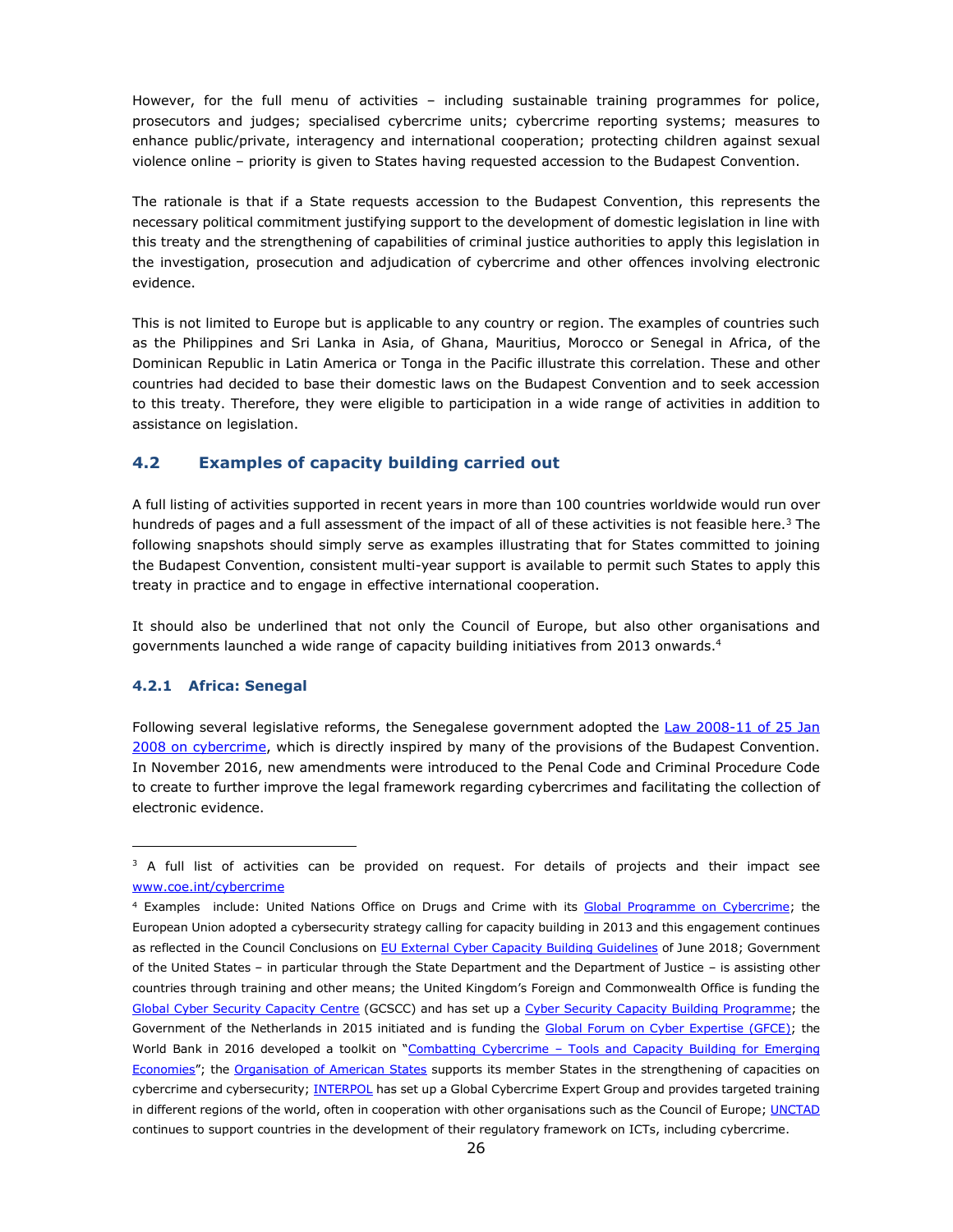However, for the full menu of activities – including sustainable training programmes for police, prosecutors and judges; specialised cybercrime units; cybercrime reporting systems; measures to enhance public/private, interagency and international cooperation; protecting children against sexual violence online – priority is given to States having requested accession to the Budapest Convention.

The rationale is that if a State requests accession to the Budapest Convention, this represents the necessary political commitment justifying support to the development of domestic legislation in line with this treaty and the strengthening of capabilities of criminal justice authorities to apply this legislation in the investigation, prosecution and adjudication of cybercrime and other offences involving electronic evidence.

This is not limited to Europe but is applicable to any country or region. The examples of countries such as the Philippines and Sri Lanka in Asia, of Ghana, Mauritius, Morocco or Senegal in Africa, of the Dominican Republic in Latin America or Tonga in the Pacific illustrate this correlation. These and other countries had decided to base their domestic laws on the Budapest Convention and to seek accession to this treaty. Therefore, they were eligible to participation in a wide range of activities in addition to assistance on legislation.

#### <span id="page-25-0"></span>**4.2 Examples of capacity building carried out**

A full listing of activities supported in recent years in more than 100 countries worldwide would run over hundreds of pages and a full assessment of the impact of all of these activities is not feasible here.<sup>3</sup> The following snapshots should simply serve as examples illustrating that for States committed to joining the Budapest Convention, consistent multi-year support is available to permit such States to apply this treaty in practice and to engage in effective international cooperation.

It should also be underlined that not only the Council of Europe, but also other organisations and governments launched a wide range of capacity building initiatives from 2013 onwards.<sup>4</sup>

#### <span id="page-25-1"></span>**4.2.1 Africa: Senegal**

Following several legislative reforms, the Senegalese government adopted the [Law 2008-11 of 25 Jan](https://www.wipo.int/edocs/lexdocs/laws/en/sn/sn008en.pdf) [2008 on cybercrime,](https://www.wipo.int/edocs/lexdocs/laws/en/sn/sn008en.pdf) which is directly inspired by many of the provisions of the Budapest Convention. In November 2016, new amendments were introduced to the Penal Code and Criminal Procedure Code to create to further improve the legal framework regarding cybercrimes and facilitating the collection of electronic evidence.

 $3$  A full list of activities can be provided on request. For details of projects and their impact see [www.coe.int/cybercrime](http://www.coe.int/cybercrime)

<sup>&</sup>lt;sup>4</sup> Examples include: United Nations Office on Drugs and Crime with its [Global Programme on Cybercrime;](https://www.unodc.org/unodc/en/cybercrime/global-programme-cybercrime.html) the European Union adopted a cybersecurity strategy calling for capacity building in 2013 and this engagement continues as reflected in the Council Conclusions o[n EU External Cyber Capacity Building Guidelines](http://data.consilium.europa.eu/doc/document/ST-10496-2018-INIT/en/pdf) of June 2018; Government of the United States – in particular through the State Department and the Department of Justice – is assisting other countries through training and other means; the United Kingdom's Foreign and Commonwealth Office is funding the [Global Cyber Security Capacity Centre](https://www.sbs.ox.ac.uk/cybersecurity-capacity/content/front) (GCSCC) and has set up a [Cyber Security Capacity Building Programme;](https://www.gov.uk/government/publications/fco-cyber-security-capacity-building-programme-2018-to-2021) the Government of the Netherlands in 2015 initiated and is funding the [Global Forum on Cyber Expertise \(GFCE\);](https://www.thegfce.com/about) the World Bank in 2016 developed a toolkit on "Combatting Cybercrime - Tools and Capacity Building for Emerging [Economies](http://www.combattingcybercrime.org/)"; the [Organisation of American States](http://www.oas.org/en/topics/cyber_security.asp) supports its member States in the strengthening of capacities on cybercrime and cybersecurity[; INTERPOL](https://www.interpol.int/Crime-areas/Cybercrime/Activities/Capacity-building) has set up a Global Cybercrime Expert Group and provides targeted training in different regions of the world, often in cooperation with other organisations such as the Council of Europe; [UNCTAD](https://www.un.org/sustainabledevelopment/blog/2017/06/sustainable-development-goal-9-investing-in-ict-access-and-quality-education-to-promote-lasting-peace/) continues to support countries in the development of their regulatory framework on ICTs, including cybercrime.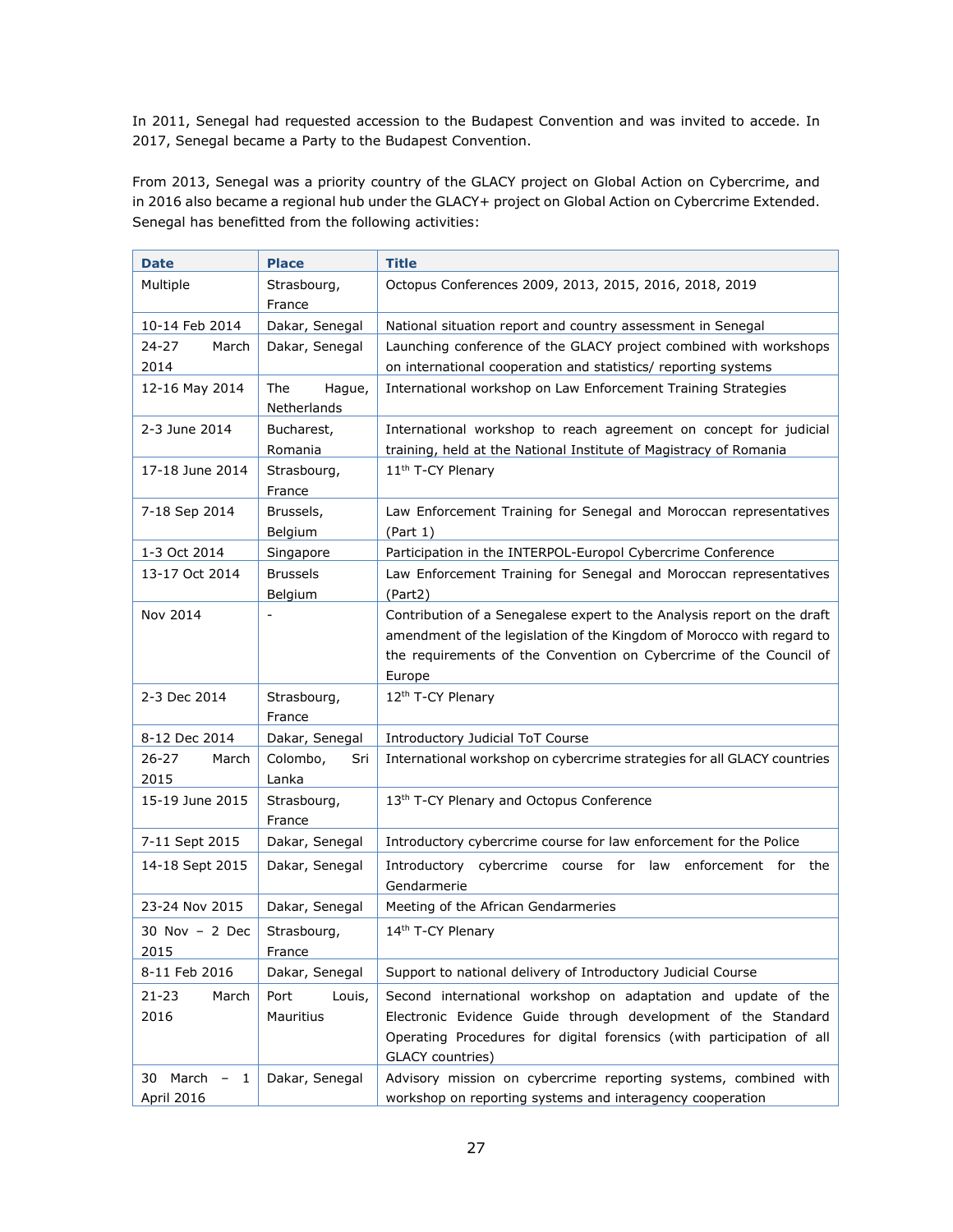In 2011, Senegal had requested accession to the Budapest Convention and was invited to accede. In 2017, Senegal became a Party to the Budapest Convention.

From 2013, Senegal was a priority country of the GLACY project on Global Action on Cybercrime, and in 2016 also became a regional hub under the GLACY+ project on Global Action on Cybercrime Extended. Senegal has benefitted from the following activities:

| Date                                     | <b>Place</b>                 | <b>Title</b>                                                                                                                                                                                                                     |
|------------------------------------------|------------------------------|----------------------------------------------------------------------------------------------------------------------------------------------------------------------------------------------------------------------------------|
| Multiple                                 | Strasbourg,<br>France        | Octopus Conferences 2009, 2013, 2015, 2016, 2018, 2019                                                                                                                                                                           |
| 10-14 Feb 2014                           | Dakar, Senegal               | National situation report and country assessment in Senegal                                                                                                                                                                      |
| $24 - 27$<br>March<br>2014               | Dakar, Senegal               | Launching conference of the GLACY project combined with workshops<br>on international cooperation and statistics/ reporting systems                                                                                              |
| 12-16 May 2014                           | The<br>Hague,<br>Netherlands | International workshop on Law Enforcement Training Strategies                                                                                                                                                                    |
| 2-3 June 2014                            | Bucharest,<br>Romania        | International workshop to reach agreement on concept for judicial<br>training, held at the National Institute of Magistracy of Romania                                                                                           |
| 17-18 June 2014                          | Strasbourg,<br>France        | 11 <sup>th</sup> T-CY Plenary                                                                                                                                                                                                    |
| 7-18 Sep 2014                            | Brussels,<br>Belgium         | Law Enforcement Training for Senegal and Moroccan representatives<br>(Part 1)                                                                                                                                                    |
| 1-3 Oct 2014                             | Singapore                    | Participation in the INTERPOL-Europol Cybercrime Conference                                                                                                                                                                      |
| 13-17 Oct 2014                           | <b>Brussels</b><br>Belgium   | Law Enforcement Training for Senegal and Moroccan representatives<br>(Part2)                                                                                                                                                     |
| Nov 2014                                 |                              | Contribution of a Senegalese expert to the Analysis report on the draft<br>amendment of the legislation of the Kingdom of Morocco with regard to<br>the requirements of the Convention on Cybercrime of the Council of<br>Europe |
| 2-3 Dec 2014                             | Strasbourg,<br>France        | 12 <sup>th</sup> T-CY Plenary                                                                                                                                                                                                    |
| 8-12 Dec 2014                            | Dakar, Senegal               | <b>Introductory Judicial ToT Course</b>                                                                                                                                                                                          |
| $26 - 27$<br>March<br>2015               | Colombo,<br>Sri<br>Lanka     | International workshop on cybercrime strategies for all GLACY countries                                                                                                                                                          |
| 15-19 June 2015                          | Strasbourg,<br>France        | 13 <sup>th</sup> T-CY Plenary and Octopus Conference                                                                                                                                                                             |
| 7-11 Sept 2015                           | Dakar, Senegal               | Introductory cybercrime course for law enforcement for the Police                                                                                                                                                                |
| 14-18 Sept 2015                          | Dakar, Senegal               | Introductory cybercrime<br>course for law<br>enforcement for the<br>Gendarmerie                                                                                                                                                  |
| 23-24 Nov 2015                           | Dakar, Senegal               | Meeting of the African Gendarmeries                                                                                                                                                                                              |
| $30$ Nov - 2 Dec<br>2015                 | Strasbourg,<br>France        | 14th T-CY Plenary                                                                                                                                                                                                                |
| 8-11 Feb 2016                            | Dakar, Senegal               | Support to national delivery of Introductory Judicial Course                                                                                                                                                                     |
| $21 - 23$<br>March<br>2016               | Port<br>Louis,<br>Mauritius  | Second international workshop on adaptation and update of the<br>Electronic Evidence Guide through development of the Standard<br>Operating Procedures for digital forensics (with participation of all<br>GLACY countries)      |
| 30 March -<br>$\mathbf{1}$<br>April 2016 | Dakar, Senegal               | Advisory mission on cybercrime reporting systems, combined with<br>workshop on reporting systems and interagency cooperation                                                                                                     |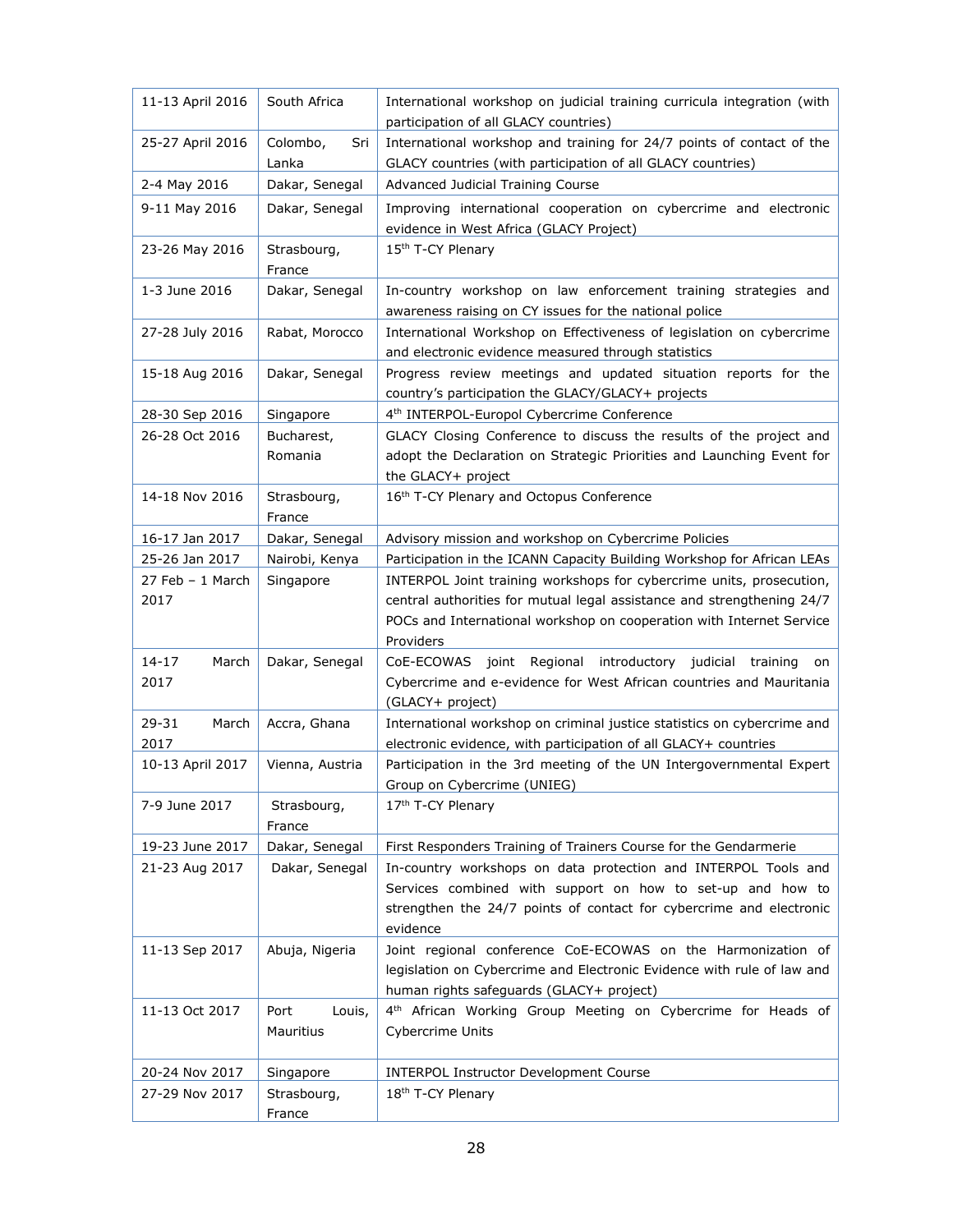| 11-13 April 2016   | South Africa             | International workshop on judicial training curricula integration (with<br>participation of all GLACY countries)                     |
|--------------------|--------------------------|--------------------------------------------------------------------------------------------------------------------------------------|
| 25-27 April 2016   | Colombo,<br>Sri<br>Lanka | International workshop and training for 24/7 points of contact of the<br>GLACY countries (with participation of all GLACY countries) |
| 2-4 May 2016       | Dakar, Senegal           | Advanced Judicial Training Course                                                                                                    |
| 9-11 May 2016      | Dakar, Senegal           | Improving international cooperation on cybercrime and electronic                                                                     |
|                    |                          | evidence in West Africa (GLACY Project)                                                                                              |
| 23-26 May 2016     | Strasbourg,              | 15th T-CY Plenary                                                                                                                    |
|                    | France                   |                                                                                                                                      |
| 1-3 June 2016      | Dakar, Senegal           | In-country workshop on law enforcement training strategies and<br>awareness raising on CY issues for the national police             |
| 27-28 July 2016    | Rabat, Morocco           | International Workshop on Effectiveness of legislation on cybercrime<br>and electronic evidence measured through statistics          |
| 15-18 Aug 2016     | Dakar, Senegal           | Progress review meetings and updated situation reports for the<br>country's participation the GLACY/GLACY+ projects                  |
| 28-30 Sep 2016     | Singapore                | 4 <sup>th</sup> INTERPOL-Europol Cybercrime Conference                                                                               |
| 26-28 Oct 2016     | Bucharest,               | GLACY Closing Conference to discuss the results of the project and                                                                   |
|                    | Romania                  | adopt the Declaration on Strategic Priorities and Launching Event for                                                                |
|                    |                          | the GLACY+ project                                                                                                                   |
| 14-18 Nov 2016     | Strasbourg,<br>France    | 16th T-CY Plenary and Octopus Conference                                                                                             |
| 16-17 Jan 2017     | Dakar, Senegal           | Advisory mission and workshop on Cybercrime Policies                                                                                 |
| 25-26 Jan 2017     | Nairobi, Kenya           | Participation in the ICANN Capacity Building Workshop for African LEAs                                                               |
| $27$ Feb - 1 March | Singapore                | INTERPOL Joint training workshops for cybercrime units, prosecution,                                                                 |
| 2017               |                          | central authorities for mutual legal assistance and strengthening 24/7                                                               |
|                    |                          | POCs and International workshop on cooperation with Internet Service                                                                 |
| $14 - 17$<br>March | Dakar, Senegal           | Providers<br>joint Regional introductory judicial training<br>CoE-ECOWAS<br>on                                                       |
| 2017               |                          | Cybercrime and e-evidence for West African countries and Mauritania                                                                  |
|                    |                          | (GLACY+ project)                                                                                                                     |
| 29-31<br>March     | Accra, Ghana             | International workshop on criminal justice statistics on cybercrime and                                                              |
| 2017               |                          | electronic evidence, with participation of all GLACY+ countries                                                                      |
| 10-13 April 2017   | Vienna, Austria          | Participation in the 3rd meeting of the UN Intergovernmental Expert<br>Group on Cybercrime (UNIEG)                                   |
| 7-9 June 2017      | Strasbourg,              | 17 <sup>th</sup> T-CY Plenary                                                                                                        |
|                    | France                   |                                                                                                                                      |
| 19-23 June 2017    | Dakar, Senegal           | First Responders Training of Trainers Course for the Gendarmerie                                                                     |
| 21-23 Aug 2017     | Dakar, Senegal           | In-country workshops on data protection and INTERPOL Tools and                                                                       |
|                    |                          | Services combined with support on how to set-up and how to                                                                           |
|                    |                          | strengthen the 24/7 points of contact for cybercrime and electronic<br>evidence                                                      |
| 11-13 Sep 2017     | Abuja, Nigeria           | Joint regional conference CoE-ECOWAS on the Harmonization of                                                                         |
|                    |                          | legislation on Cybercrime and Electronic Evidence with rule of law and                                                               |
|                    |                          | human rights safeguards (GLACY+ project)                                                                                             |
| 11-13 Oct 2017     | Port<br>Louis,           | 4 <sup>th</sup> African Working Group Meeting on Cybercrime for Heads of                                                             |
|                    | Mauritius                | <b>Cybercrime Units</b>                                                                                                              |
|                    |                          |                                                                                                                                      |
| 20-24 Nov 2017     | Singapore                | <b>INTERPOL Instructor Development Course</b>                                                                                        |
| 27-29 Nov 2017     | Strasbourg,<br>France    | 18 <sup>th</sup> T-CY Plenary                                                                                                        |
|                    |                          |                                                                                                                                      |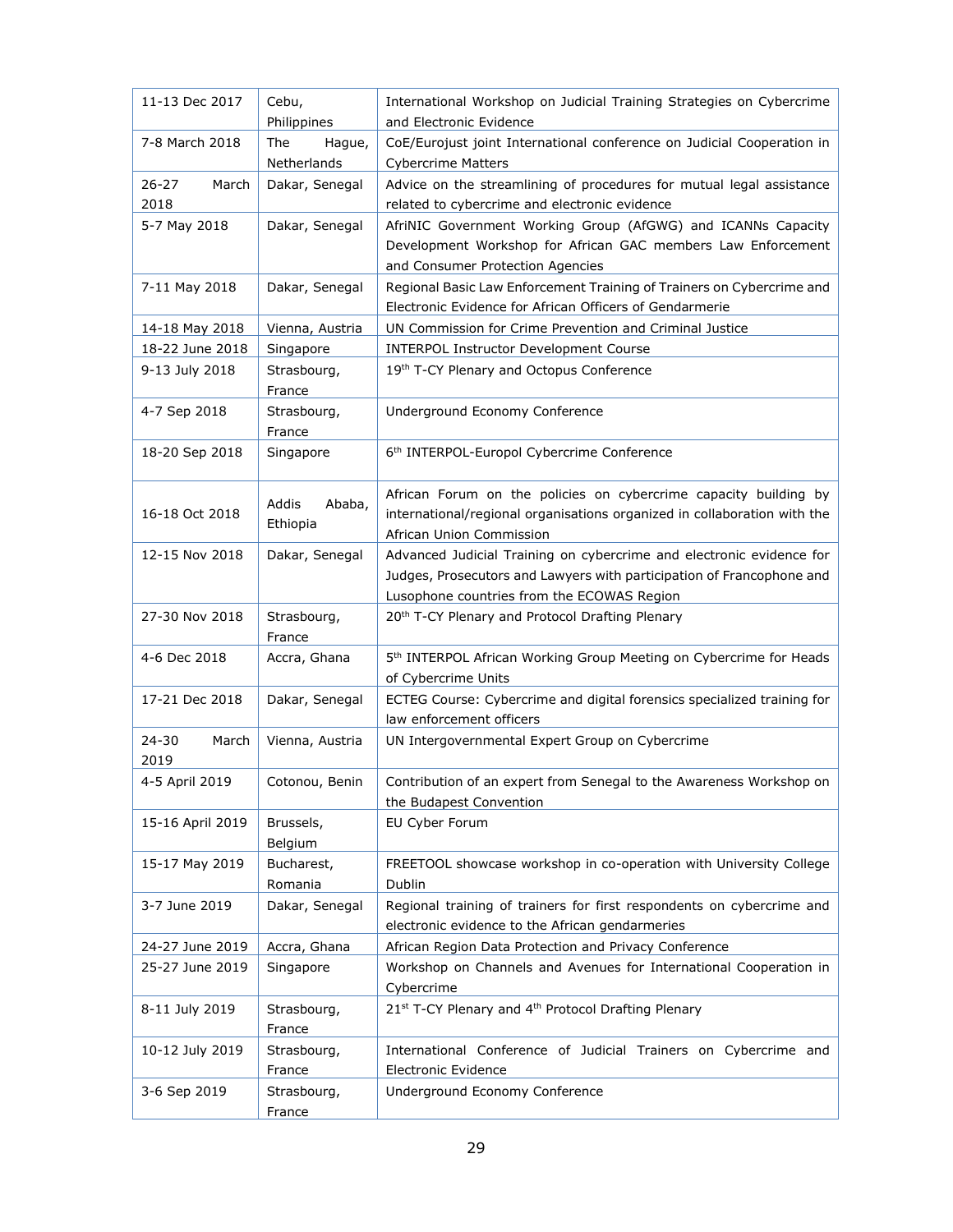| 11-13 Dec 2017             | Cebu,                        | International Workshop on Judicial Training Strategies on Cybercrime                                                                                                                        |
|----------------------------|------------------------------|---------------------------------------------------------------------------------------------------------------------------------------------------------------------------------------------|
|                            | Philippines                  | and Electronic Evidence                                                                                                                                                                     |
| 7-8 March 2018             | The<br>Hague,<br>Netherlands | CoE/Eurojust joint International conference on Judicial Cooperation in<br><b>Cybercrime Matters</b>                                                                                         |
| $26 - 27$<br>March<br>2018 | Dakar, Senegal               | Advice on the streamlining of procedures for mutual legal assistance<br>related to cybercrime and electronic evidence                                                                       |
| 5-7 May 2018               | Dakar, Senegal               | AfriNIC Government Working Group (AfGWG) and ICANNs Capacity<br>Development Workshop for African GAC members Law Enforcement<br>and Consumer Protection Agencies                            |
| 7-11 May 2018              | Dakar, Senegal               | Regional Basic Law Enforcement Training of Trainers on Cybercrime and<br>Electronic Evidence for African Officers of Gendarmerie                                                            |
| 14-18 May 2018             | Vienna, Austria              | UN Commission for Crime Prevention and Criminal Justice                                                                                                                                     |
| 18-22 June 2018            | Singapore                    | <b>INTERPOL Instructor Development Course</b>                                                                                                                                               |
| 9-13 July 2018             | Strasbourg,<br>France        | 19th T-CY Plenary and Octopus Conference                                                                                                                                                    |
| 4-7 Sep 2018               | Strasbourg,<br>France        | Underground Economy Conference                                                                                                                                                              |
| 18-20 Sep 2018             | Singapore                    | 6 <sup>th</sup> INTERPOL-Europol Cybercrime Conference                                                                                                                                      |
| 16-18 Oct 2018             | Addis<br>Ababa,<br>Ethiopia  | African Forum on the policies on cybercrime capacity building by<br>international/regional organisations organized in collaboration with the<br>African Union Commission                    |
| 12-15 Nov 2018             | Dakar, Senegal               | Advanced Judicial Training on cybercrime and electronic evidence for<br>Judges, Prosecutors and Lawyers with participation of Francophone and<br>Lusophone countries from the ECOWAS Region |
| 27-30 Nov 2018             | Strasbourg,<br>France        | 20 <sup>th</sup> T-CY Plenary and Protocol Drafting Plenary                                                                                                                                 |
| 4-6 Dec 2018               | Accra, Ghana                 | 5 <sup>th</sup> INTERPOL African Working Group Meeting on Cybercrime for Heads<br>of Cybercrime Units                                                                                       |
| 17-21 Dec 2018             | Dakar, Senegal               | ECTEG Course: Cybercrime and digital forensics specialized training for<br>law enforcement officers                                                                                         |
| $24 - 30$<br>March<br>2019 | Vienna, Austria              | UN Intergovernmental Expert Group on Cybercrime                                                                                                                                             |
| 4-5 April 2019             | Cotonou, Benin               | Contribution of an expert from Senegal to the Awareness Workshop on<br>the Budapest Convention                                                                                              |
| 15-16 April 2019           | Brussels,<br>Belgium         | EU Cyber Forum                                                                                                                                                                              |
| 15-17 May 2019             | Bucharest,<br>Romania        | FREETOOL showcase workshop in co-operation with University College<br>Dublin                                                                                                                |
| 3-7 June 2019              | Dakar, Senegal               | Regional training of trainers for first respondents on cybercrime and<br>electronic evidence to the African gendarmeries                                                                    |
| 24-27 June 2019            | Accra, Ghana                 | African Region Data Protection and Privacy Conference                                                                                                                                       |
| 25-27 June 2019            | Singapore                    | Workshop on Channels and Avenues for International Cooperation in<br>Cybercrime                                                                                                             |
| 8-11 July 2019             | Strasbourg,<br>France        | 21st T-CY Plenary and 4th Protocol Drafting Plenary                                                                                                                                         |
| 10-12 July 2019            | Strasbourg,<br>France        | International Conference of Judicial Trainers on Cybercrime and<br>Electronic Evidence                                                                                                      |
| 3-6 Sep 2019               | Strasbourg,<br>France        | Underground Economy Conference                                                                                                                                                              |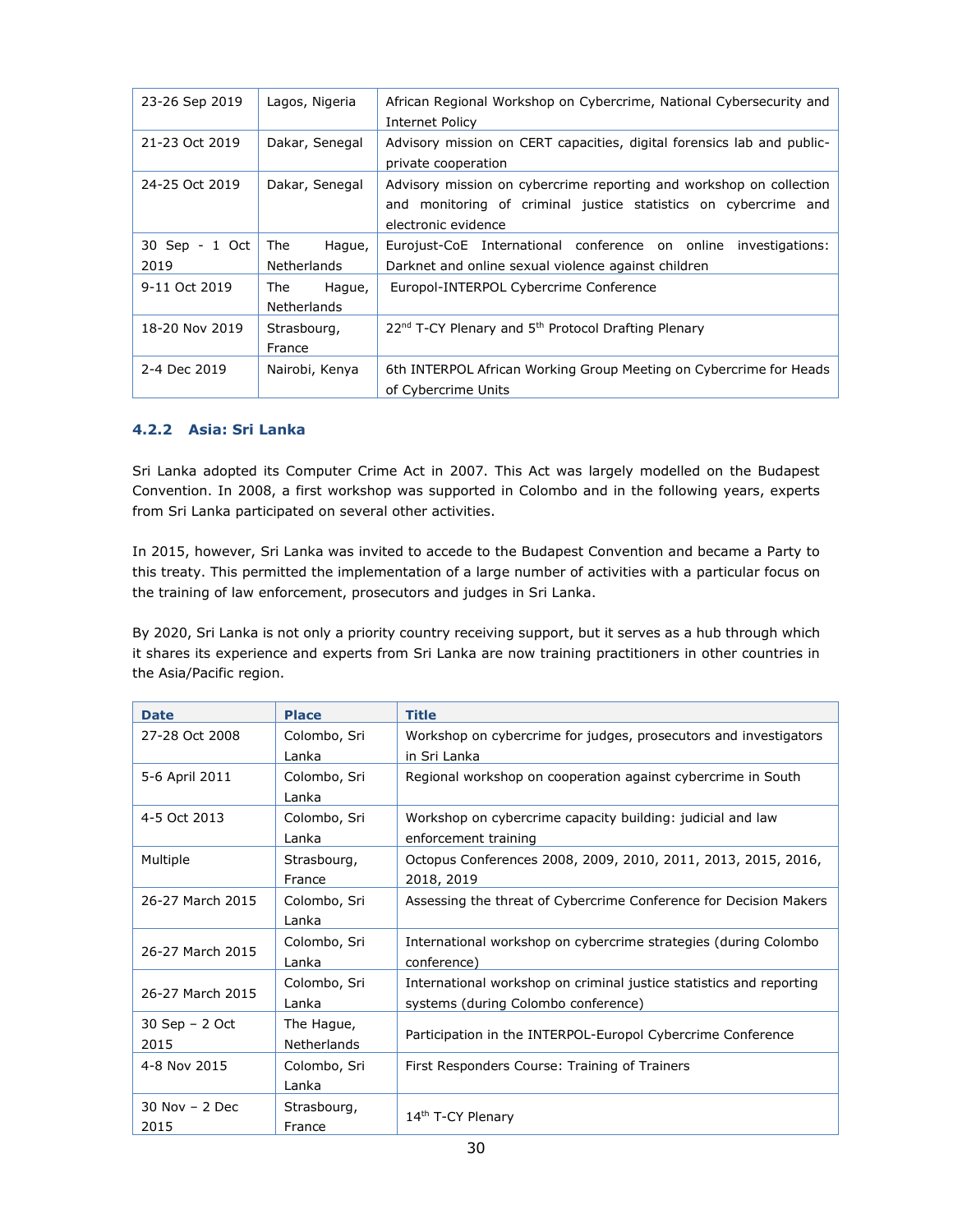| 23-26 Sep 2019         | Lagos, Nigeria                      | African Regional Workshop on Cybercrime, National Cybersecurity and<br>Internet Policy                                                                        |
|------------------------|-------------------------------------|---------------------------------------------------------------------------------------------------------------------------------------------------------------|
| 21-23 Oct 2019         | Dakar, Senegal                      | Advisory mission on CERT capacities, digital forensics lab and public-<br>private cooperation                                                                 |
| 24-25 Oct 2019         | Dakar, Senegal                      | Advisory mission on cybercrime reporting and workshop on collection<br>and monitoring of criminal justice statistics on cybercrime and<br>electronic evidence |
| 30 Sep - 1 Oct<br>2019 | The<br>Hague,<br>Netherlands        | Eurojust-CoE International conference on online investigations:<br>Darknet and online sexual violence against children                                        |
| 9-11 Oct 2019          | Hague,<br>The<br><b>Netherlands</b> | Europol-INTERPOL Cybercrime Conference                                                                                                                        |
| 18-20 Nov 2019         | Strasbourg,<br>France               | 22 <sup>nd</sup> T-CY Plenary and 5 <sup>th</sup> Protocol Drafting Plenary                                                                                   |
| 2-4 Dec 2019           | Nairobi, Kenya                      | 6th INTERPOL African Working Group Meeting on Cybercrime for Heads<br>of Cybercrime Units                                                                     |

#### <span id="page-29-0"></span>**4.2.2 Asia: Sri Lanka**

Sri Lanka adopted its Computer Crime Act in 2007. This Act was largely modelled on the Budapest Convention. In 2008, a first workshop was supported in Colombo and in the following years, experts from Sri Lanka participated on several other activities.

In 2015, however, Sri Lanka was invited to accede to the Budapest Convention and became a Party to this treaty. This permitted the implementation of a large number of activities with a particular focus on the training of law enforcement, prosecutors and judges in Sri Lanka.

By 2020, Sri Lanka is not only a priority country receiving support, but it serves as a hub through which it shares its experience and experts from Sri Lanka are now training practitioners in other countries in the Asia/Pacific region.

| <b>Date</b>       | <b>Place</b>       | <b>Title</b>                                                        |  |
|-------------------|--------------------|---------------------------------------------------------------------|--|
| 27-28 Oct 2008    | Colombo, Sri       | Workshop on cybercrime for judges, prosecutors and investigators    |  |
|                   | Lanka              | in Sri Lanka                                                        |  |
| 5-6 April 2011    | Colombo, Sri       | Regional workshop on cooperation against cybercrime in South        |  |
|                   | Lanka              |                                                                     |  |
| 4-5 Oct 2013      | Colombo, Sri       | Workshop on cybercrime capacity building: judicial and law          |  |
|                   | Lanka              | enforcement training                                                |  |
| Multiple          | Strasbourg,        | Octopus Conferences 2008, 2009, 2010, 2011, 2013, 2015, 2016,       |  |
|                   | France             | 2018, 2019                                                          |  |
| 26-27 March 2015  | Colombo, Sri       | Assessing the threat of Cybercrime Conference for Decision Makers   |  |
|                   | Lanka              |                                                                     |  |
| 26-27 March 2015  | Colombo, Sri       | International workshop on cybercrime strategies (during Colombo     |  |
|                   | Lanka              | conference)                                                         |  |
| 26-27 March 2015  | Colombo, Sri       | International workshop on criminal justice statistics and reporting |  |
|                   | Lanka              | systems (during Colombo conference)                                 |  |
| 30 Sep - 2 Oct    | The Hague,         |                                                                     |  |
| 2015              | <b>Netherlands</b> | Participation in the INTERPOL-Europol Cybercrime Conference         |  |
| 4-8 Nov 2015      | Colombo, Sri       | First Responders Course: Training of Trainers                       |  |
|                   | Lanka              |                                                                     |  |
| $30$ Nov $-2$ Dec | Strasbourg,        |                                                                     |  |
| 2015              | France             | 14th T-CY Plenary                                                   |  |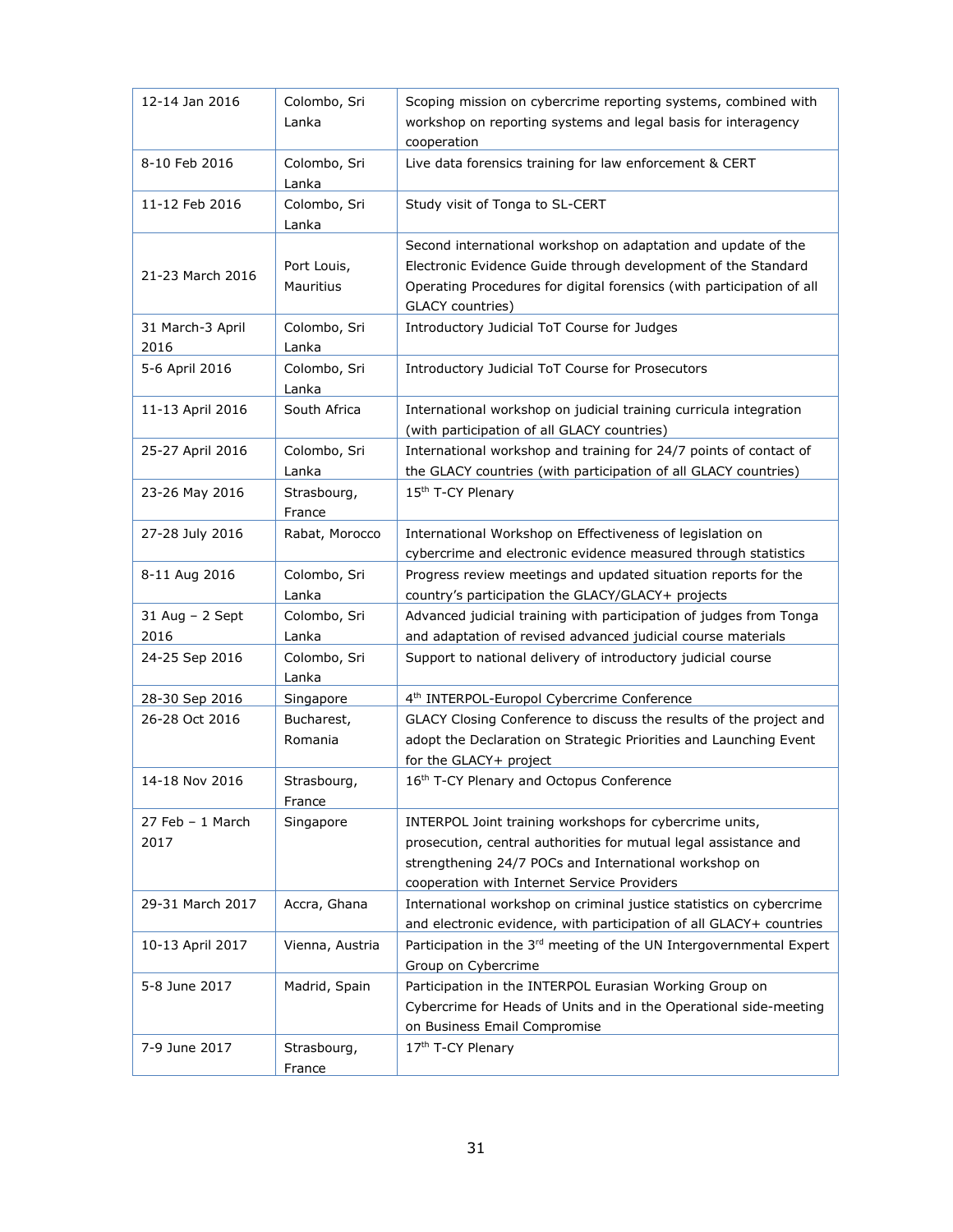| 12-14 Jan 2016             | Colombo, Sri<br>Lanka    | Scoping mission on cybercrime reporting systems, combined with<br>workshop on reporting systems and legal basis for interagency<br>cooperation                                                                                      |
|----------------------------|--------------------------|-------------------------------------------------------------------------------------------------------------------------------------------------------------------------------------------------------------------------------------|
| 8-10 Feb 2016              | Colombo, Sri<br>Lanka    | Live data forensics training for law enforcement & CERT                                                                                                                                                                             |
| 11-12 Feb 2016             | Colombo, Sri<br>Lanka    | Study visit of Tonga to SL-CERT                                                                                                                                                                                                     |
| 21-23 March 2016           | Port Louis,<br>Mauritius | Second international workshop on adaptation and update of the<br>Electronic Evidence Guide through development of the Standard<br>Operating Procedures for digital forensics (with participation of all<br>GLACY countries)         |
| 31 March-3 April<br>2016   | Colombo, Sri<br>Lanka    | Introductory Judicial ToT Course for Judges                                                                                                                                                                                         |
| 5-6 April 2016             | Colombo, Sri<br>Lanka    | Introductory Judicial ToT Course for Prosecutors                                                                                                                                                                                    |
| 11-13 April 2016           | South Africa             | International workshop on judicial training curricula integration<br>(with participation of all GLACY countries)                                                                                                                    |
| 25-27 April 2016           | Colombo, Sri<br>Lanka    | International workshop and training for 24/7 points of contact of<br>the GLACY countries (with participation of all GLACY countries)                                                                                                |
| 23-26 May 2016             | Strasbourg,<br>France    | 15th T-CY Plenary                                                                                                                                                                                                                   |
| 27-28 July 2016            | Rabat, Morocco           | International Workshop on Effectiveness of legislation on<br>cybercrime and electronic evidence measured through statistics                                                                                                         |
| 8-11 Aug 2016              | Colombo, Sri<br>Lanka    | Progress review meetings and updated situation reports for the<br>country's participation the GLACY/GLACY+ projects                                                                                                                 |
| 31 Aug - 2 Sept            | Colombo, Sri             | Advanced judicial training with participation of judges from Tonga                                                                                                                                                                  |
| 2016                       | Lanka                    | and adaptation of revised advanced judicial course materials                                                                                                                                                                        |
| 24-25 Sep 2016             | Colombo, Sri<br>Lanka    | Support to national delivery of introductory judicial course                                                                                                                                                                        |
| 28-30 Sep 2016             | Singapore                | 4 <sup>th</sup> INTERPOL-Europol Cybercrime Conference                                                                                                                                                                              |
| 26-28 Oct 2016             | Bucharest,<br>Romania    | GLACY Closing Conference to discuss the results of the project and<br>adopt the Declaration on Strategic Priorities and Launching Event<br>for the GLACY+ project                                                                   |
| 14-18 Nov 2016             | Strasbourg,<br>France    | 16th T-CY Plenary and Octopus Conference                                                                                                                                                                                            |
| $27$ Feb - 1 March<br>2017 | Singapore                | INTERPOL Joint training workshops for cybercrime units,<br>prosecution, central authorities for mutual legal assistance and<br>strengthening 24/7 POCs and International workshop on<br>cooperation with Internet Service Providers |
| 29-31 March 2017           | Accra, Ghana             | International workshop on criminal justice statistics on cybercrime<br>and electronic evidence, with participation of all GLACY+ countries                                                                                          |
| 10-13 April 2017           | Vienna, Austria          | Participation in the 3rd meeting of the UN Intergovernmental Expert<br>Group on Cybercrime                                                                                                                                          |
| 5-8 June 2017              | Madrid, Spain            | Participation in the INTERPOL Eurasian Working Group on<br>Cybercrime for Heads of Units and in the Operational side-meeting<br>on Business Email Compromise                                                                        |
| 7-9 June 2017              | Strasbourg,<br>France    | 17th T-CY Plenary                                                                                                                                                                                                                   |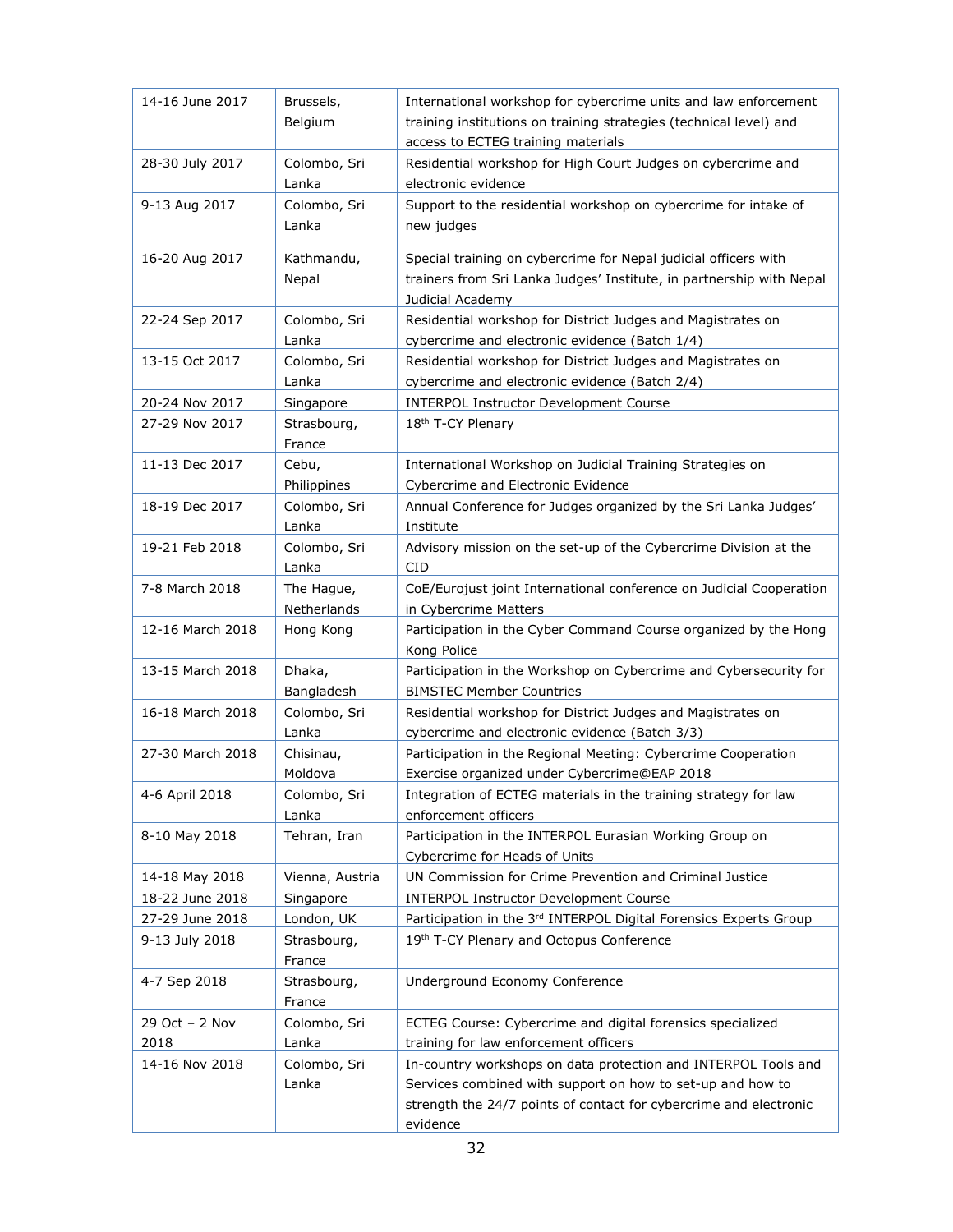| 14-16 June 2017  | Brussels,<br>Belgium  | International workshop for cybercrime units and law enforcement<br>training institutions on training strategies (technical level) and<br>access to ECTEG training materials |
|------------------|-----------------------|-----------------------------------------------------------------------------------------------------------------------------------------------------------------------------|
| 28-30 July 2017  | Colombo, Sri<br>Lanka | Residential workshop for High Court Judges on cybercrime and<br>electronic evidence                                                                                         |
| 9-13 Aug 2017    | Colombo, Sri          | Support to the residential workshop on cybercrime for intake of                                                                                                             |
|                  | Lanka                 | new judges                                                                                                                                                                  |
| 16-20 Aug 2017   | Kathmandu,<br>Nepal   | Special training on cybercrime for Nepal judicial officers with<br>trainers from Sri Lanka Judges' Institute, in partnership with Nepal<br>Judicial Academy                 |
| 22-24 Sep 2017   | Colombo, Sri<br>Lanka | Residential workshop for District Judges and Magistrates on<br>cybercrime and electronic evidence (Batch 1/4)                                                               |
| 13-15 Oct 2017   | Colombo, Sri<br>Lanka | Residential workshop for District Judges and Magistrates on<br>cybercrime and electronic evidence (Batch 2/4)                                                               |
| 20-24 Nov 2017   | Singapore             | <b>INTERPOL Instructor Development Course</b>                                                                                                                               |
| 27-29 Nov 2017   | Strasbourg,           | 18th T-CY Plenary                                                                                                                                                           |
|                  | France                |                                                                                                                                                                             |
| 11-13 Dec 2017   | Cebu,                 | International Workshop on Judicial Training Strategies on                                                                                                                   |
| 18-19 Dec 2017   | Philippines           | Cybercrime and Electronic Evidence<br>Annual Conference for Judges organized by the Sri Lanka Judges'                                                                       |
|                  | Colombo, Sri<br>Lanka | Institute                                                                                                                                                                   |
| 19-21 Feb 2018   | Colombo, Sri<br>Lanka | Advisory mission on the set-up of the Cybercrime Division at the<br><b>CID</b>                                                                                              |
| 7-8 March 2018   | The Hague,            | CoE/Eurojust joint International conference on Judicial Cooperation                                                                                                         |
|                  | Netherlands           | in Cybercrime Matters                                                                                                                                                       |
| 12-16 March 2018 | Hong Kong             | Participation in the Cyber Command Course organized by the Hong<br>Kong Police                                                                                              |
| 13-15 March 2018 | Dhaka,<br>Bangladesh  | Participation in the Workshop on Cybercrime and Cybersecurity for<br><b>BIMSTEC Member Countries</b>                                                                        |
| 16-18 March 2018 | Colombo, Sri<br>Lanka | Residential workshop for District Judges and Magistrates on<br>cybercrime and electronic evidence (Batch 3/3)                                                               |
| 27-30 March 2018 | Chisinau,             | Participation in the Regional Meeting: Cybercrime Cooperation                                                                                                               |
|                  | Moldova               | Exercise organized under Cybercrime@EAP 2018                                                                                                                                |
| 4-6 April 2018   | Colombo, Sri<br>Lanka | Integration of ECTEG materials in the training strategy for law<br>enforcement officers                                                                                     |
| 8-10 May 2018    | Tehran, Iran          | Participation in the INTERPOL Eurasian Working Group on                                                                                                                     |
|                  |                       | Cybercrime for Heads of Units                                                                                                                                               |
| 14-18 May 2018   | Vienna, Austria       | UN Commission for Crime Prevention and Criminal Justice                                                                                                                     |
| 18-22 June 2018  | Singapore             | <b>INTERPOL Instructor Development Course</b>                                                                                                                               |
| 27-29 June 2018  | London, UK            | Participation in the 3rd INTERPOL Digital Forensics Experts Group                                                                                                           |
| 9-13 July 2018   | Strasbourg,<br>France | 19th T-CY Plenary and Octopus Conference                                                                                                                                    |
| 4-7 Sep 2018     | Strasbourg,<br>France | Underground Economy Conference                                                                                                                                              |
| 29 Oct - 2 Nov   | Colombo, Sri          | ECTEG Course: Cybercrime and digital forensics specialized                                                                                                                  |
| 2018             | Lanka                 | training for law enforcement officers                                                                                                                                       |
| 14-16 Nov 2018   | Colombo, Sri          | In-country workshops on data protection and INTERPOL Tools and                                                                                                              |
|                  | Lanka                 | Services combined with support on how to set-up and how to<br>strength the 24/7 points of contact for cybercrime and electronic                                             |
|                  |                       | evidence                                                                                                                                                                    |
|                  |                       |                                                                                                                                                                             |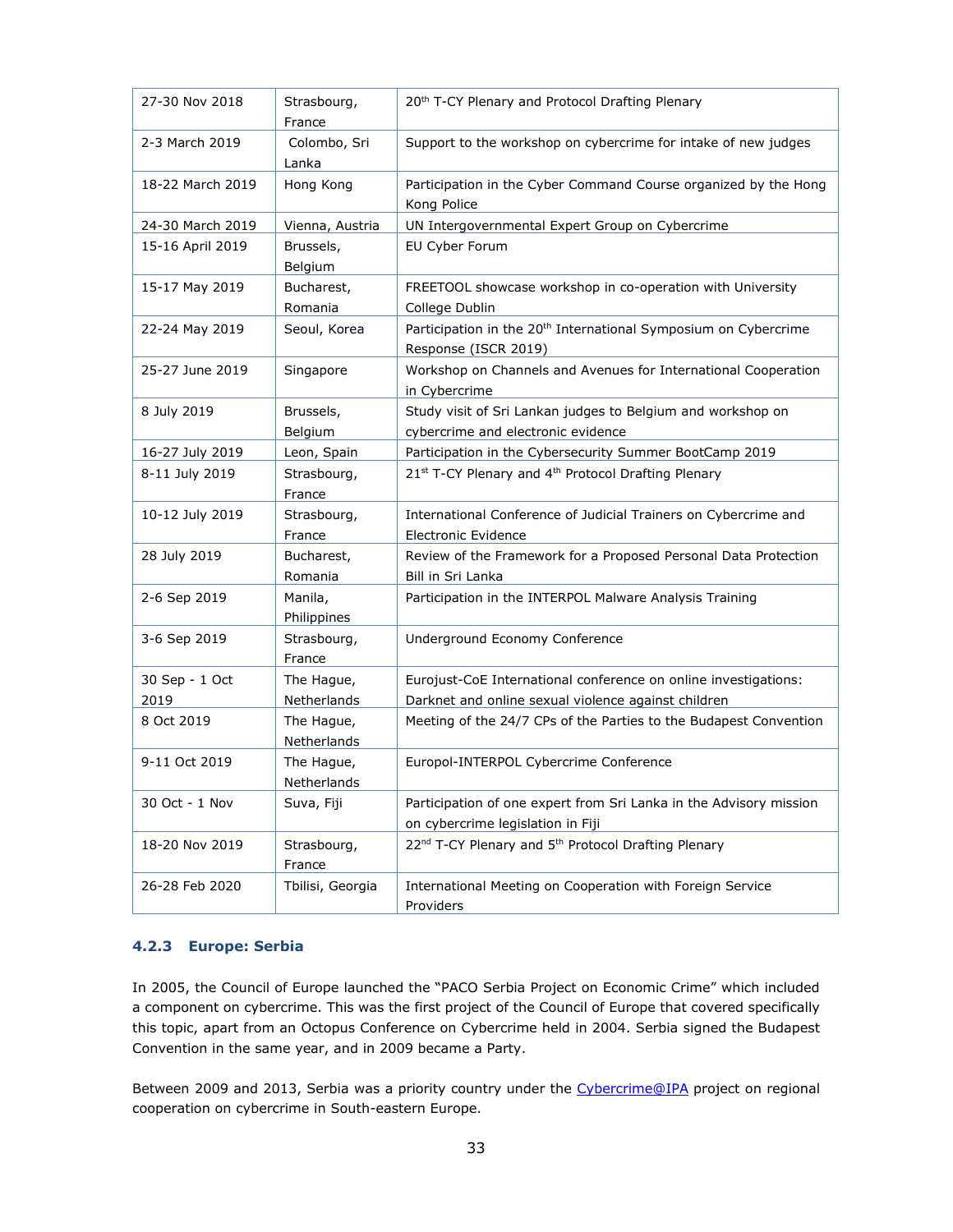| 27-30 Nov 2018         | Strasbourg,<br>France     | 20 <sup>th</sup> T-CY Plenary and Protocol Drafting Plenary                                                            |
|------------------------|---------------------------|------------------------------------------------------------------------------------------------------------------------|
| 2-3 March 2019         | Colombo, Sri<br>Lanka     | Support to the workshop on cybercrime for intake of new judges                                                         |
| 18-22 March 2019       | Hong Kong                 | Participation in the Cyber Command Course organized by the Hong<br>Kong Police                                         |
| 24-30 March 2019       | Vienna, Austria           | UN Intergovernmental Expert Group on Cybercrime                                                                        |
| 15-16 April 2019       | Brussels,<br>Belgium      | EU Cyber Forum                                                                                                         |
| 15-17 May 2019         | Bucharest,<br>Romania     | FREETOOL showcase workshop in co-operation with University<br>College Dublin                                           |
| 22-24 May 2019         | Seoul, Korea              | Participation in the 20 <sup>th</sup> International Symposium on Cybercrime<br>Response (ISCR 2019)                    |
| 25-27 June 2019        | Singapore                 | Workshop on Channels and Avenues for International Cooperation<br>in Cybercrime                                        |
| 8 July 2019            | Brussels,<br>Belgium      | Study visit of Sri Lankan judges to Belgium and workshop on<br>cybercrime and electronic evidence                      |
| 16-27 July 2019        | Leon, Spain               | Participation in the Cybersecurity Summer BootCamp 2019                                                                |
| 8-11 July 2019         | Strasbourg,<br>France     | 21st T-CY Plenary and 4th Protocol Drafting Plenary                                                                    |
| 10-12 July 2019        | Strasbourg,<br>France     | International Conference of Judicial Trainers on Cybercrime and<br><b>Electronic Evidence</b>                          |
| 28 July 2019           | Bucharest,<br>Romania     | Review of the Framework for a Proposed Personal Data Protection<br>Bill in Sri Lanka                                   |
| 2-6 Sep 2019           | Manila,<br>Philippines    | Participation in the INTERPOL Malware Analysis Training                                                                |
| 3-6 Sep 2019           | Strasbourg,<br>France     | Underground Economy Conference                                                                                         |
| 30 Sep - 1 Oct<br>2019 | The Hague,<br>Netherlands | Eurojust-CoE International conference on online investigations:<br>Darknet and online sexual violence against children |
| 8 Oct 2019             | The Hague,<br>Netherlands | Meeting of the 24/7 CPs of the Parties to the Budapest Convention                                                      |
| 9-11 Oct 2019          | The Hague,<br>Netherlands | Europol-INTERPOL Cybercrime Conference                                                                                 |
| 30 Oct - 1 Nov         | Suva, Fiji                | Participation of one expert from Sri Lanka in the Advisory mission<br>on cybercrime legislation in Fiji                |
| 18-20 Nov 2019         | Strasbourg,<br>France     | 22 <sup>nd</sup> T-CY Plenary and 5 <sup>th</sup> Protocol Drafting Plenary                                            |
| 26-28 Feb 2020         | Tbilisi, Georgia          | International Meeting on Cooperation with Foreign Service<br>Providers                                                 |

#### <span id="page-32-0"></span>**4.2.3 Europe: Serbia**

In 2005, the Council of Europe launched the "PACO Serbia Project on Economic Crime" which included a component on cybercrime. This was the first project of the Council of Europe that covered specifically this topic, apart from an Octopus Conference on Cybercrime held in 2004. Serbia signed the Budapest Convention in the same year, and in 2009 became a Party.

Between 2009 and 2013, Serbia was a priority country under the [Cybercrime@IPA](https://rm.coe.int/CoERMPublicCommonSearchServices/DisplayDCTMContent?documentId=09000016802f6a36) project on regional cooperation on cybercrime in South-eastern Europe.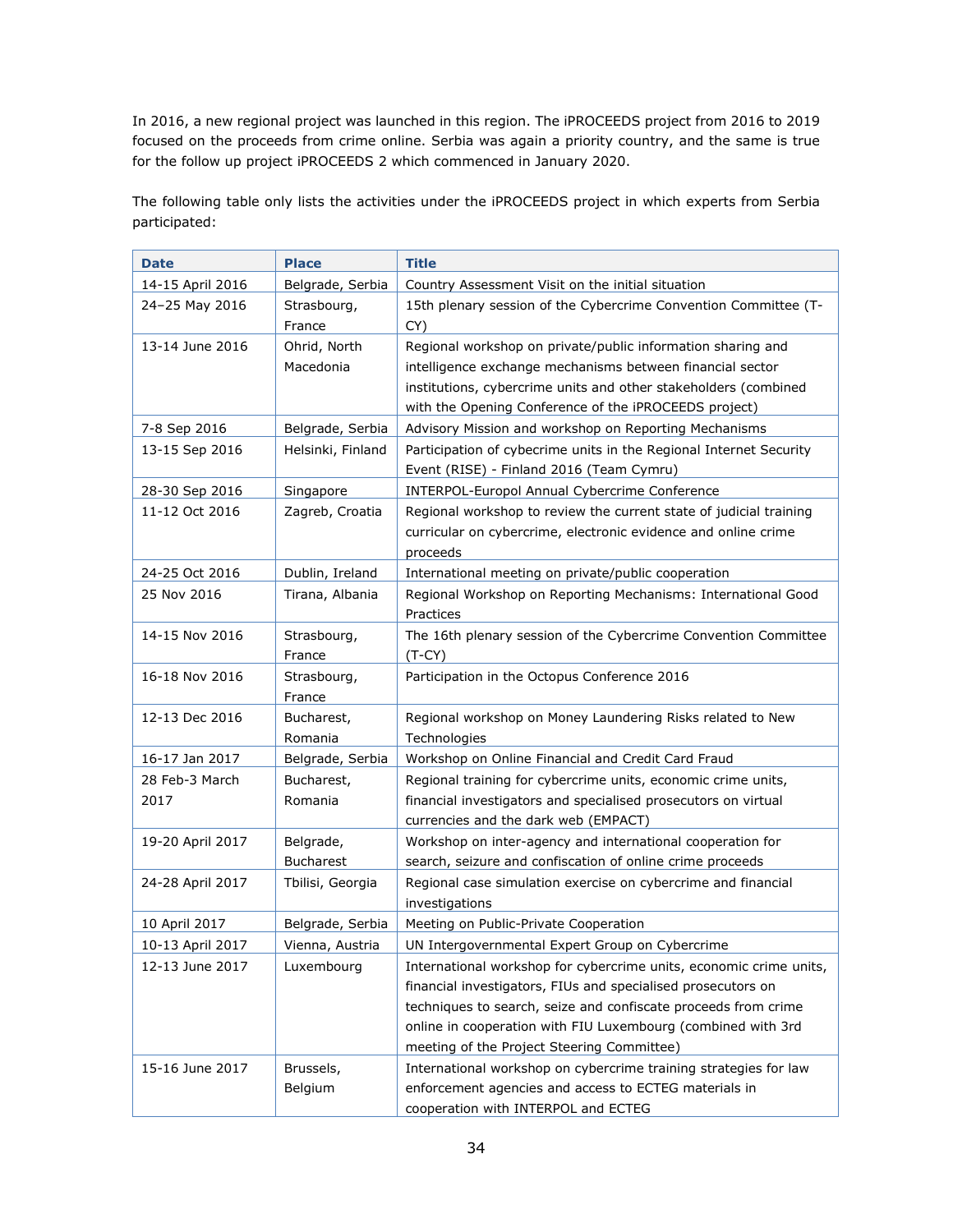In 2016, a new regional project was launched in this region. The iPROCEEDS project from 2016 to 2019 focused on the proceeds from crime online. Serbia was again a priority country, and the same is true for the follow up project iPROCEEDS 2 which commenced in January 2020.

The following table only lists the activities under the iPROCEEDS project in which experts from Serbia participated:

| <b>Date</b>                                                                                 | <b>Place</b>                                                                                  | <b>Title</b>                                                                                                                                                                                                                                                                                                                                                                                                                                                                                                                                                                                                                                                          |
|---------------------------------------------------------------------------------------------|-----------------------------------------------------------------------------------------------|-----------------------------------------------------------------------------------------------------------------------------------------------------------------------------------------------------------------------------------------------------------------------------------------------------------------------------------------------------------------------------------------------------------------------------------------------------------------------------------------------------------------------------------------------------------------------------------------------------------------------------------------------------------------------|
| 14-15 April 2016                                                                            | Belgrade, Serbia                                                                              | Country Assessment Visit on the initial situation                                                                                                                                                                                                                                                                                                                                                                                                                                                                                                                                                                                                                     |
| 24-25 May 2016                                                                              | Strasbourg,                                                                                   | 15th plenary session of the Cybercrime Convention Committee (T-                                                                                                                                                                                                                                                                                                                                                                                                                                                                                                                                                                                                       |
|                                                                                             | France                                                                                        | CY)                                                                                                                                                                                                                                                                                                                                                                                                                                                                                                                                                                                                                                                                   |
| 13-14 June 2016                                                                             | Ohrid, North                                                                                  | Regional workshop on private/public information sharing and                                                                                                                                                                                                                                                                                                                                                                                                                                                                                                                                                                                                           |
|                                                                                             | Macedonia                                                                                     | intelligence exchange mechanisms between financial sector                                                                                                                                                                                                                                                                                                                                                                                                                                                                                                                                                                                                             |
|                                                                                             |                                                                                               | institutions, cybercrime units and other stakeholders (combined                                                                                                                                                                                                                                                                                                                                                                                                                                                                                                                                                                                                       |
|                                                                                             |                                                                                               | with the Opening Conference of the iPROCEEDS project)                                                                                                                                                                                                                                                                                                                                                                                                                                                                                                                                                                                                                 |
| 7-8 Sep 2016                                                                                | Belgrade, Serbia                                                                              | Advisory Mission and workshop on Reporting Mechanisms                                                                                                                                                                                                                                                                                                                                                                                                                                                                                                                                                                                                                 |
| 13-15 Sep 2016                                                                              | Helsinki, Finland                                                                             | Participation of cybecrime units in the Regional Internet Security                                                                                                                                                                                                                                                                                                                                                                                                                                                                                                                                                                                                    |
|                                                                                             |                                                                                               | Event (RISE) - Finland 2016 (Team Cymru)                                                                                                                                                                                                                                                                                                                                                                                                                                                                                                                                                                                                                              |
| 28-30 Sep 2016                                                                              | Singapore                                                                                     | <b>INTERPOL-Europol Annual Cybercrime Conference</b>                                                                                                                                                                                                                                                                                                                                                                                                                                                                                                                                                                                                                  |
| 11-12 Oct 2016                                                                              | Zagreb, Croatia                                                                               | Regional workshop to review the current state of judicial training                                                                                                                                                                                                                                                                                                                                                                                                                                                                                                                                                                                                    |
|                                                                                             |                                                                                               | curricular on cybercrime, electronic evidence and online crime                                                                                                                                                                                                                                                                                                                                                                                                                                                                                                                                                                                                        |
|                                                                                             |                                                                                               | proceeds                                                                                                                                                                                                                                                                                                                                                                                                                                                                                                                                                                                                                                                              |
| 24-25 Oct 2016                                                                              | Dublin, Ireland                                                                               | International meeting on private/public cooperation                                                                                                                                                                                                                                                                                                                                                                                                                                                                                                                                                                                                                   |
| 25 Nov 2016                                                                                 | Tirana, Albania                                                                               | Regional Workshop on Reporting Mechanisms: International Good                                                                                                                                                                                                                                                                                                                                                                                                                                                                                                                                                                                                         |
|                                                                                             |                                                                                               | Practices                                                                                                                                                                                                                                                                                                                                                                                                                                                                                                                                                                                                                                                             |
| 14-15 Nov 2016                                                                              | Strasbourg,                                                                                   | The 16th plenary session of the Cybercrime Convention Committee                                                                                                                                                                                                                                                                                                                                                                                                                                                                                                                                                                                                       |
|                                                                                             | France                                                                                        | $(T-CY)$                                                                                                                                                                                                                                                                                                                                                                                                                                                                                                                                                                                                                                                              |
| 16-18 Nov 2016                                                                              | Strasbourg,                                                                                   | Participation in the Octopus Conference 2016                                                                                                                                                                                                                                                                                                                                                                                                                                                                                                                                                                                                                          |
|                                                                                             | France                                                                                        |                                                                                                                                                                                                                                                                                                                                                                                                                                                                                                                                                                                                                                                                       |
| 12-13 Dec 2016                                                                              | Bucharest,                                                                                    | Regional workshop on Money Laundering Risks related to New                                                                                                                                                                                                                                                                                                                                                                                                                                                                                                                                                                                                            |
|                                                                                             | Romania                                                                                       | Technologies                                                                                                                                                                                                                                                                                                                                                                                                                                                                                                                                                                                                                                                          |
| 16-17 Jan 2017                                                                              | Belgrade, Serbia                                                                              | Workshop on Online Financial and Credit Card Fraud                                                                                                                                                                                                                                                                                                                                                                                                                                                                                                                                                                                                                    |
| 28 Feb-3 March                                                                              | Bucharest,                                                                                    | Regional training for cybercrime units, economic crime units,                                                                                                                                                                                                                                                                                                                                                                                                                                                                                                                                                                                                         |
| 2017                                                                                        | Romania                                                                                       | financial investigators and specialised prosecutors on virtual                                                                                                                                                                                                                                                                                                                                                                                                                                                                                                                                                                                                        |
|                                                                                             |                                                                                               | currencies and the dark web (EMPACT)                                                                                                                                                                                                                                                                                                                                                                                                                                                                                                                                                                                                                                  |
| 19-20 April 2017                                                                            | Belgrade,                                                                                     | Workshop on inter-agency and international cooperation for                                                                                                                                                                                                                                                                                                                                                                                                                                                                                                                                                                                                            |
|                                                                                             | <b>Bucharest</b>                                                                              | search, seizure and confiscation of online crime proceeds                                                                                                                                                                                                                                                                                                                                                                                                                                                                                                                                                                                                             |
|                                                                                             |                                                                                               |                                                                                                                                                                                                                                                                                                                                                                                                                                                                                                                                                                                                                                                                       |
|                                                                                             |                                                                                               |                                                                                                                                                                                                                                                                                                                                                                                                                                                                                                                                                                                                                                                                       |
|                                                                                             |                                                                                               |                                                                                                                                                                                                                                                                                                                                                                                                                                                                                                                                                                                                                                                                       |
|                                                                                             |                                                                                               |                                                                                                                                                                                                                                                                                                                                                                                                                                                                                                                                                                                                                                                                       |
|                                                                                             |                                                                                               |                                                                                                                                                                                                                                                                                                                                                                                                                                                                                                                                                                                                                                                                       |
|                                                                                             |                                                                                               |                                                                                                                                                                                                                                                                                                                                                                                                                                                                                                                                                                                                                                                                       |
|                                                                                             |                                                                                               |                                                                                                                                                                                                                                                                                                                                                                                                                                                                                                                                                                                                                                                                       |
|                                                                                             |                                                                                               |                                                                                                                                                                                                                                                                                                                                                                                                                                                                                                                                                                                                                                                                       |
|                                                                                             |                                                                                               |                                                                                                                                                                                                                                                                                                                                                                                                                                                                                                                                                                                                                                                                       |
|                                                                                             |                                                                                               |                                                                                                                                                                                                                                                                                                                                                                                                                                                                                                                                                                                                                                                                       |
|                                                                                             |                                                                                               |                                                                                                                                                                                                                                                                                                                                                                                                                                                                                                                                                                                                                                                                       |
| 24-28 April 2017<br>10 April 2017<br>10-13 April 2017<br>12-13 June 2017<br>15-16 June 2017 | Tbilisi, Georgia<br>Belgrade, Serbia<br>Vienna, Austria<br>Luxembourg<br>Brussels,<br>Belgium | Regional case simulation exercise on cybercrime and financial<br>investigations<br>Meeting on Public-Private Cooperation<br>UN Intergovernmental Expert Group on Cybercrime<br>International workshop for cybercrime units, economic crime units,<br>financial investigators, FIUs and specialised prosecutors on<br>techniques to search, seize and confiscate proceeds from crime<br>online in cooperation with FIU Luxembourg (combined with 3rd<br>meeting of the Project Steering Committee)<br>International workshop on cybercrime training strategies for law<br>enforcement agencies and access to ECTEG materials in<br>cooperation with INTERPOL and ECTEG |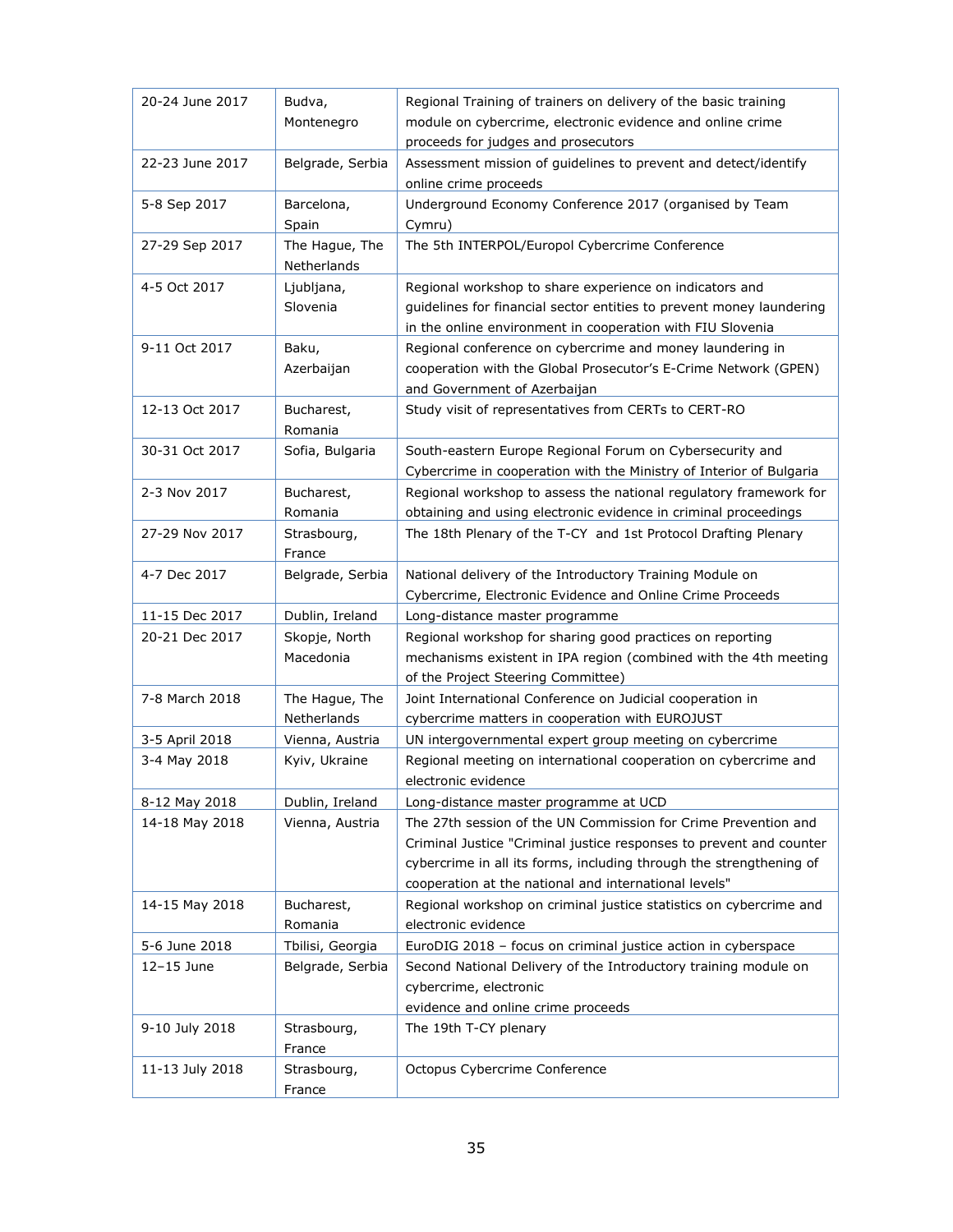| 20-24 June 2017 | Budva,                | Regional Training of trainers on delivery of the basic training<br>module on cybercrime, electronic evidence and online crime              |
|-----------------|-----------------------|--------------------------------------------------------------------------------------------------------------------------------------------|
|                 | Montenegro            | proceeds for judges and prosecutors                                                                                                        |
| 22-23 June 2017 | Belgrade, Serbia      | Assessment mission of guidelines to prevent and detect/identify                                                                            |
|                 |                       | online crime proceeds                                                                                                                      |
| 5-8 Sep 2017    | Barcelona,            | Underground Economy Conference 2017 (organised by Team                                                                                     |
|                 | Spain                 | Cymru)                                                                                                                                     |
| 27-29 Sep 2017  | The Hague, The        | The 5th INTERPOL/Europol Cybercrime Conference                                                                                             |
|                 | Netherlands           |                                                                                                                                            |
| 4-5 Oct 2017    | Ljubljana,            | Regional workshop to share experience on indicators and                                                                                    |
|                 | Slovenia              | guidelines for financial sector entities to prevent money laundering                                                                       |
|                 |                       | in the online environment in cooperation with FIU Slovenia                                                                                 |
| 9-11 Oct 2017   | Baku,                 | Regional conference on cybercrime and money laundering in                                                                                  |
|                 | Azerbaijan            | cooperation with the Global Prosecutor's E-Crime Network (GPEN)                                                                            |
|                 |                       | and Government of Azerbaijan                                                                                                               |
| 12-13 Oct 2017  | Bucharest,<br>Romania | Study visit of representatives from CERTs to CERT-RO                                                                                       |
| 30-31 Oct 2017  | Sofia, Bulgaria       | South-eastern Europe Regional Forum on Cybersecurity and                                                                                   |
|                 |                       | Cybercrime in cooperation with the Ministry of Interior of Bulgaria                                                                        |
| 2-3 Nov 2017    | Bucharest,            | Regional workshop to assess the national regulatory framework for                                                                          |
|                 | Romania               | obtaining and using electronic evidence in criminal proceedings                                                                            |
| 27-29 Nov 2017  | Strasbourg,           | The 18th Plenary of the T-CY and 1st Protocol Drafting Plenary                                                                             |
|                 | France                |                                                                                                                                            |
| 4-7 Dec 2017    | Belgrade, Serbia      | National delivery of the Introductory Training Module on                                                                                   |
|                 |                       | Cybercrime, Electronic Evidence and Online Crime Proceeds                                                                                  |
| 11-15 Dec 2017  | Dublin, Ireland       | Long-distance master programme                                                                                                             |
| 20-21 Dec 2017  | Skopje, North         | Regional workshop for sharing good practices on reporting                                                                                  |
|                 | Macedonia             | mechanisms existent in IPA region (combined with the 4th meeting                                                                           |
|                 |                       | of the Project Steering Committee)                                                                                                         |
| 7-8 March 2018  | The Hague, The        | Joint International Conference on Judicial cooperation in                                                                                  |
|                 | Netherlands           | cybercrime matters in cooperation with EUROJUST                                                                                            |
| 3-5 April 2018  | Vienna, Austria       | UN intergovernmental expert group meeting on cybercrime                                                                                    |
| 3-4 May 2018    | Kyiv, Ukraine         | Regional meeting on international cooperation on cybercrime and                                                                            |
|                 |                       | electronic evidence                                                                                                                        |
| 8-12 May 2018   | Dublin, Ireland       | Long-distance master programme at UCD                                                                                                      |
| 14-18 May 2018  | Vienna, Austria       | The 27th session of the UN Commission for Crime Prevention and                                                                             |
|                 |                       | Criminal Justice "Criminal justice responses to prevent and counter<br>cybercrime in all its forms, including through the strengthening of |
|                 |                       | cooperation at the national and international levels"                                                                                      |
| 14-15 May 2018  | Bucharest,            | Regional workshop on criminal justice statistics on cybercrime and                                                                         |
|                 | Romania               | electronic evidence                                                                                                                        |
| 5-6 June 2018   | Tbilisi, Georgia      | EuroDIG 2018 - focus on criminal justice action in cyberspace                                                                              |
| 12-15 June      | Belgrade, Serbia      | Second National Delivery of the Introductory training module on                                                                            |
|                 |                       | cybercrime, electronic                                                                                                                     |
|                 |                       | evidence and online crime proceeds                                                                                                         |
| 9-10 July 2018  | Strasbourg,           | The 19th T-CY plenary                                                                                                                      |
|                 | France                |                                                                                                                                            |
| 11-13 July 2018 | Strasbourg,           | Octopus Cybercrime Conference                                                                                                              |
|                 | France                |                                                                                                                                            |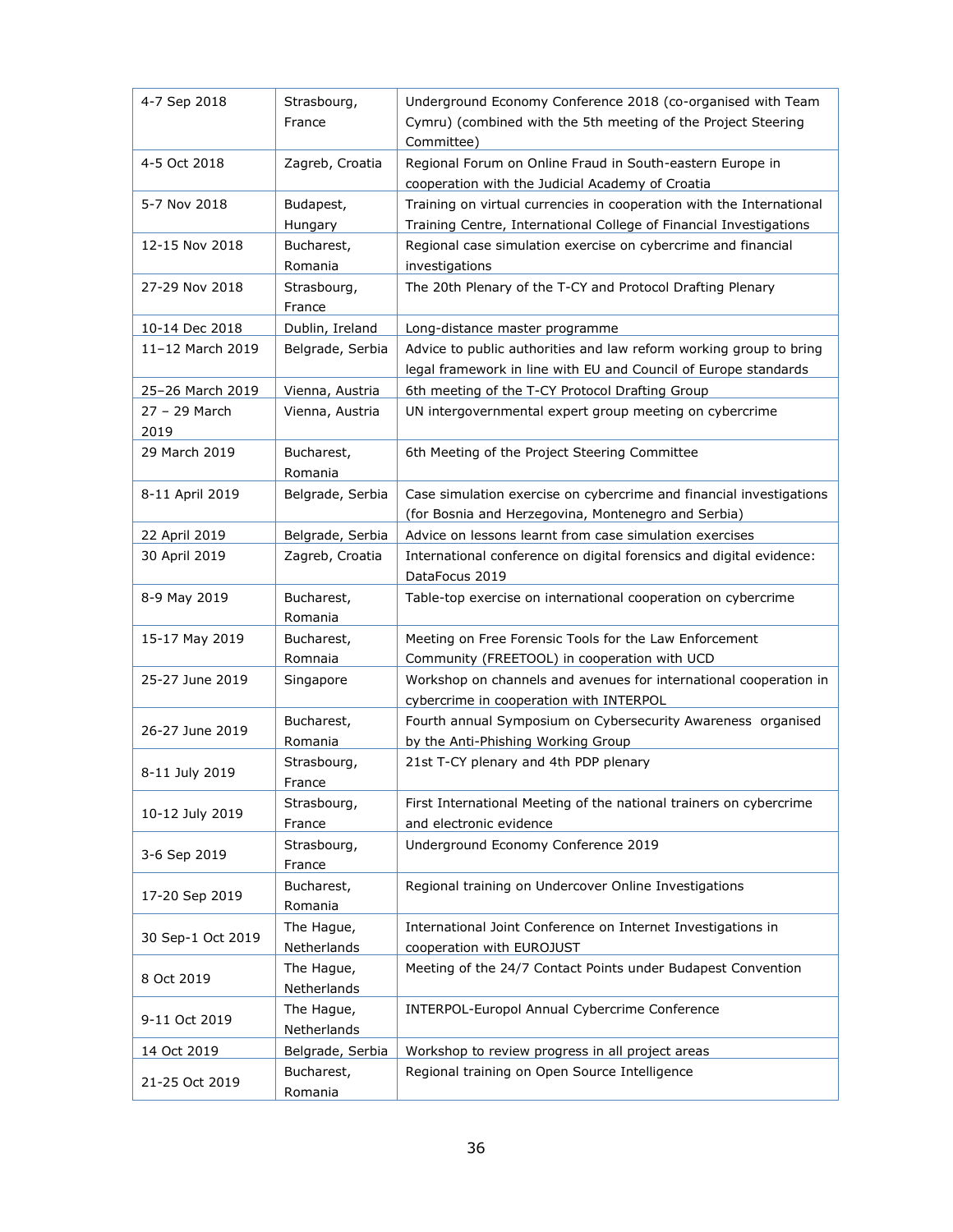| 4-7 Sep 2018      | Strasbourg,<br>France     | Underground Economy Conference 2018 (co-organised with Team<br>Cymru) (combined with the 5th meeting of the Project Steering<br>Committee) |
|-------------------|---------------------------|--------------------------------------------------------------------------------------------------------------------------------------------|
| 4-5 Oct 2018      | Zagreb, Croatia           | Regional Forum on Online Fraud in South-eastern Europe in<br>cooperation with the Judicial Academy of Croatia                              |
| 5-7 Nov 2018      | Budapest,                 | Training on virtual currencies in cooperation with the International                                                                       |
|                   | Hungary                   | Training Centre, International College of Financial Investigations                                                                         |
| 12-15 Nov 2018    | Bucharest,                | Regional case simulation exercise on cybercrime and financial                                                                              |
|                   | Romania                   | investigations                                                                                                                             |
| 27-29 Nov 2018    | Strasbourg,               | The 20th Plenary of the T-CY and Protocol Drafting Plenary                                                                                 |
|                   | France                    |                                                                                                                                            |
| 10-14 Dec 2018    | Dublin, Ireland           | Long-distance master programme                                                                                                             |
| 11-12 March 2019  | Belgrade, Serbia          | Advice to public authorities and law reform working group to bring                                                                         |
|                   |                           | legal framework in line with EU and Council of Europe standards                                                                            |
| 25-26 March 2019  | Vienna, Austria           | 6th meeting of the T-CY Protocol Drafting Group                                                                                            |
| 27 - 29 March     | Vienna, Austria           | UN intergovernmental expert group meeting on cybercrime                                                                                    |
| 2019              |                           |                                                                                                                                            |
| 29 March 2019     | Bucharest,                | 6th Meeting of the Project Steering Committee                                                                                              |
|                   | Romania                   |                                                                                                                                            |
| 8-11 April 2019   | Belgrade, Serbia          | Case simulation exercise on cybercrime and financial investigations                                                                        |
|                   |                           | (for Bosnia and Herzegovina, Montenegro and Serbia)                                                                                        |
| 22 April 2019     | Belgrade, Serbia          | Advice on lessons learnt from case simulation exercises                                                                                    |
| 30 April 2019     | Zagreb, Croatia           | International conference on digital forensics and digital evidence:                                                                        |
|                   |                           | DataFocus 2019                                                                                                                             |
| 8-9 May 2019      | Bucharest,                | Table-top exercise on international cooperation on cybercrime                                                                              |
|                   | Romania                   |                                                                                                                                            |
| 15-17 May 2019    | Bucharest,                | Meeting on Free Forensic Tools for the Law Enforcement                                                                                     |
|                   | Romnaia                   | Community (FREETOOL) in cooperation with UCD                                                                                               |
| 25-27 June 2019   | Singapore                 | Workshop on channels and avenues for international cooperation in                                                                          |
|                   |                           | cybercrime in cooperation with INTERPOL                                                                                                    |
|                   | Bucharest,                | Fourth annual Symposium on Cybersecurity Awareness organised                                                                               |
| 26-27 June 2019   | Romania                   | by the Anti-Phishing Working Group                                                                                                         |
| 8-11 July 2019    | Strasbourg,<br>France     | 21st T-CY plenary and 4th PDP plenary                                                                                                      |
|                   | Strasbourg,               | First International Meeting of the national trainers on cybercrime                                                                         |
| 10-12 July 2019   | France                    | and electronic evidence                                                                                                                    |
|                   | Strasbourg,               | Underground Economy Conference 2019                                                                                                        |
| 3-6 Sep 2019      | France                    |                                                                                                                                            |
|                   | Bucharest,                | Regional training on Undercover Online Investigations                                                                                      |
| 17-20 Sep 2019    | Romania                   |                                                                                                                                            |
|                   |                           |                                                                                                                                            |
| 30 Sep-1 Oct 2019 | The Hague,<br>Netherlands | International Joint Conference on Internet Investigations in<br>cooperation with EUROJUST                                                  |
| 8 Oct 2019        | The Hague,                | Meeting of the 24/7 Contact Points under Budapest Convention                                                                               |
|                   | Netherlands               |                                                                                                                                            |
|                   | The Hague,                | INTERPOL-Europol Annual Cybercrime Conference                                                                                              |
| 9-11 Oct 2019     | Netherlands               |                                                                                                                                            |
|                   | Belgrade, Serbia          | Workshop to review progress in all project areas                                                                                           |
| 14 Oct 2019       |                           | Regional training on Open Source Intelligence                                                                                              |
| 21-25 Oct 2019    | Bucharest,<br>Romania     |                                                                                                                                            |
|                   |                           |                                                                                                                                            |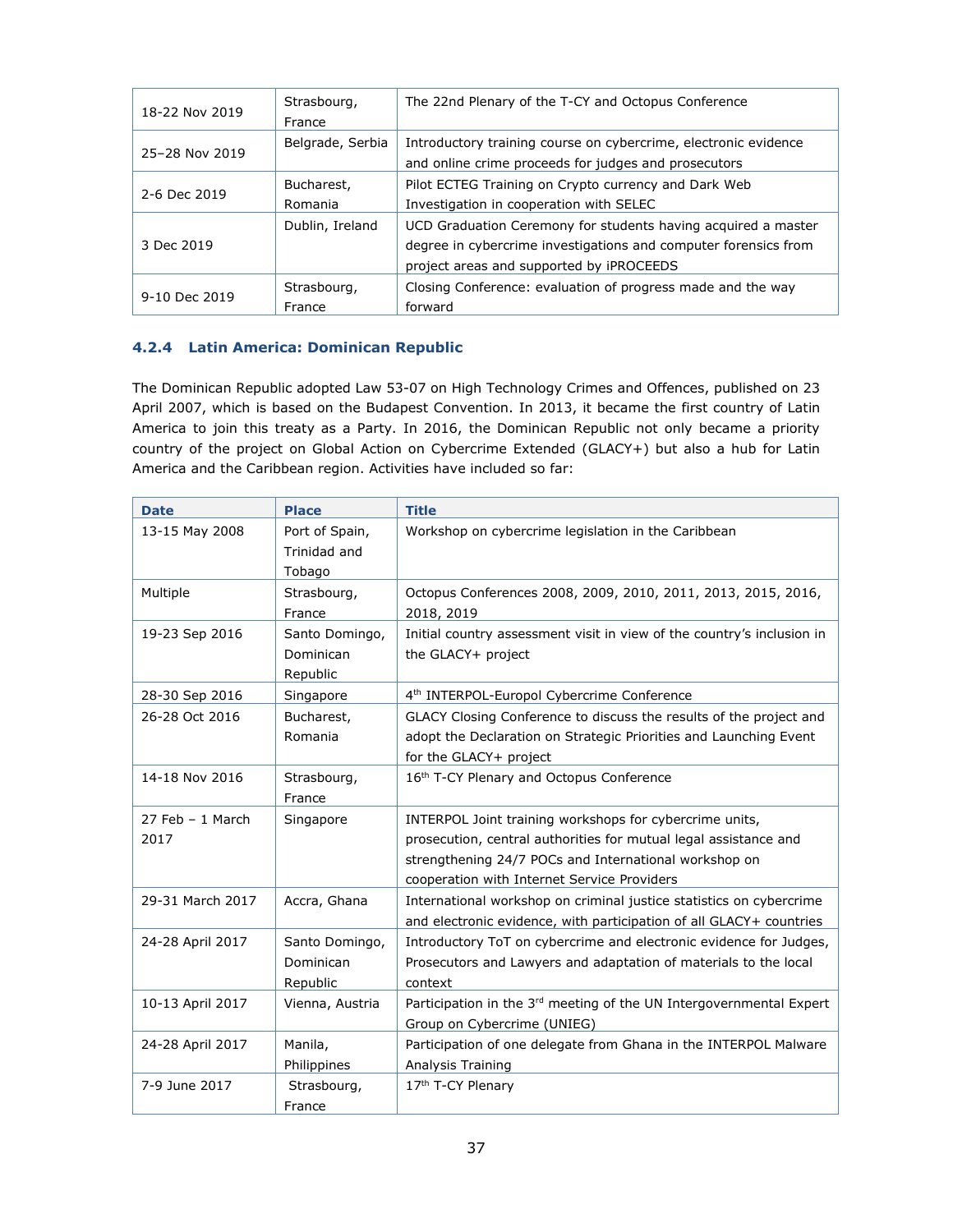| 18-22 Nov 2019 | Strasbourg,<br>France | The 22nd Plenary of the T-CY and Octopus Conference                                                                                                                          |
|----------------|-----------------------|------------------------------------------------------------------------------------------------------------------------------------------------------------------------------|
| 25-28 Nov 2019 | Belgrade, Serbia      | Introductory training course on cybercrime, electronic evidence<br>and online crime proceeds for judges and prosecutors                                                      |
| 2-6 Dec 2019   | Bucharest,<br>Romania | Pilot ECTEG Training on Crypto currency and Dark Web<br>Investigation in cooperation with SELEC                                                                              |
| 3 Dec 2019     | Dublin, Ireland       | UCD Graduation Ceremony for students having acquired a master<br>degree in cybercrime investigations and computer forensics from<br>project areas and supported by iPROCEEDS |
| 9-10 Dec 2019  | Strasbourg,<br>France | Closing Conference: evaluation of progress made and the way<br>forward                                                                                                       |

#### <span id="page-36-0"></span>**4.2.4 Latin America: Dominican Republic**

The Dominican Republic adopted Law 53-07 on High Technology Crimes and Offences, published on 23 April 2007, which is based on the Budapest Convention. In 2013, it became the first country of Latin America to join this treaty as a Party. In 2016, the Dominican Republic not only became a priority country of the project on Global Action on Cybercrime Extended (GLACY+) but also a hub for Latin America and the Caribbean region. Activities have included so far:

| <b>Date</b>        | <b>Place</b>                | <b>Title</b>                                                                                                                              |
|--------------------|-----------------------------|-------------------------------------------------------------------------------------------------------------------------------------------|
| 13-15 May 2008     | Port of Spain,              | Workshop on cybercrime legislation in the Caribbean                                                                                       |
|                    | Trinidad and                |                                                                                                                                           |
|                    | Tobago                      |                                                                                                                                           |
| Multiple           | Strasbourg,                 | Octopus Conferences 2008, 2009, 2010, 2011, 2013, 2015, 2016,                                                                             |
|                    | France                      | 2018, 2019                                                                                                                                |
| 19-23 Sep 2016     | Santo Domingo,<br>Dominican | Initial country assessment visit in view of the country's inclusion in                                                                    |
|                    | Republic                    | the GLACY+ project                                                                                                                        |
| 28-30 Sep 2016     | Singapore                   | 4 <sup>th</sup> INTERPOL-Europol Cybercrime Conference                                                                                    |
| 26-28 Oct 2016     | Bucharest,                  | GLACY Closing Conference to discuss the results of the project and                                                                        |
|                    | Romania                     | adopt the Declaration on Strategic Priorities and Launching Event                                                                         |
|                    |                             | for the GLACY+ project                                                                                                                    |
| 14-18 Nov 2016     | Strasbourg,                 | 16 <sup>th</sup> T-CY Plenary and Octopus Conference                                                                                      |
|                    | France                      |                                                                                                                                           |
| $27$ Feb - 1 March | Singapore                   | INTERPOL Joint training workshops for cybercrime units,                                                                                   |
| 2017               |                             | prosecution, central authorities for mutual legal assistance and                                                                          |
|                    |                             | strengthening 24/7 POCs and International workshop on                                                                                     |
|                    |                             | cooperation with Internet Service Providers                                                                                               |
| 29-31 March 2017   | Accra, Ghana                | International workshop on criminal justice statistics on cybercrime                                                                       |
| 24-28 April 2017   | Santo Domingo,              | and electronic evidence, with participation of all GLACY+ countries<br>Introductory ToT on cybercrime and electronic evidence for Judges, |
|                    | Dominican                   | Prosecutors and Lawyers and adaptation of materials to the local                                                                          |
|                    | Republic                    | context                                                                                                                                   |
| 10-13 April 2017   | Vienna, Austria             | Participation in the 3rd meeting of the UN Intergovernmental Expert                                                                       |
|                    |                             | Group on Cybercrime (UNIEG)                                                                                                               |
| 24-28 April 2017   | Manila,                     | Participation of one delegate from Ghana in the INTERPOL Malware                                                                          |
|                    | Philippines                 | Analysis Training                                                                                                                         |
| 7-9 June 2017      | Strasbourg,                 | 17 <sup>th</sup> T-CY Plenary                                                                                                             |
|                    | France                      |                                                                                                                                           |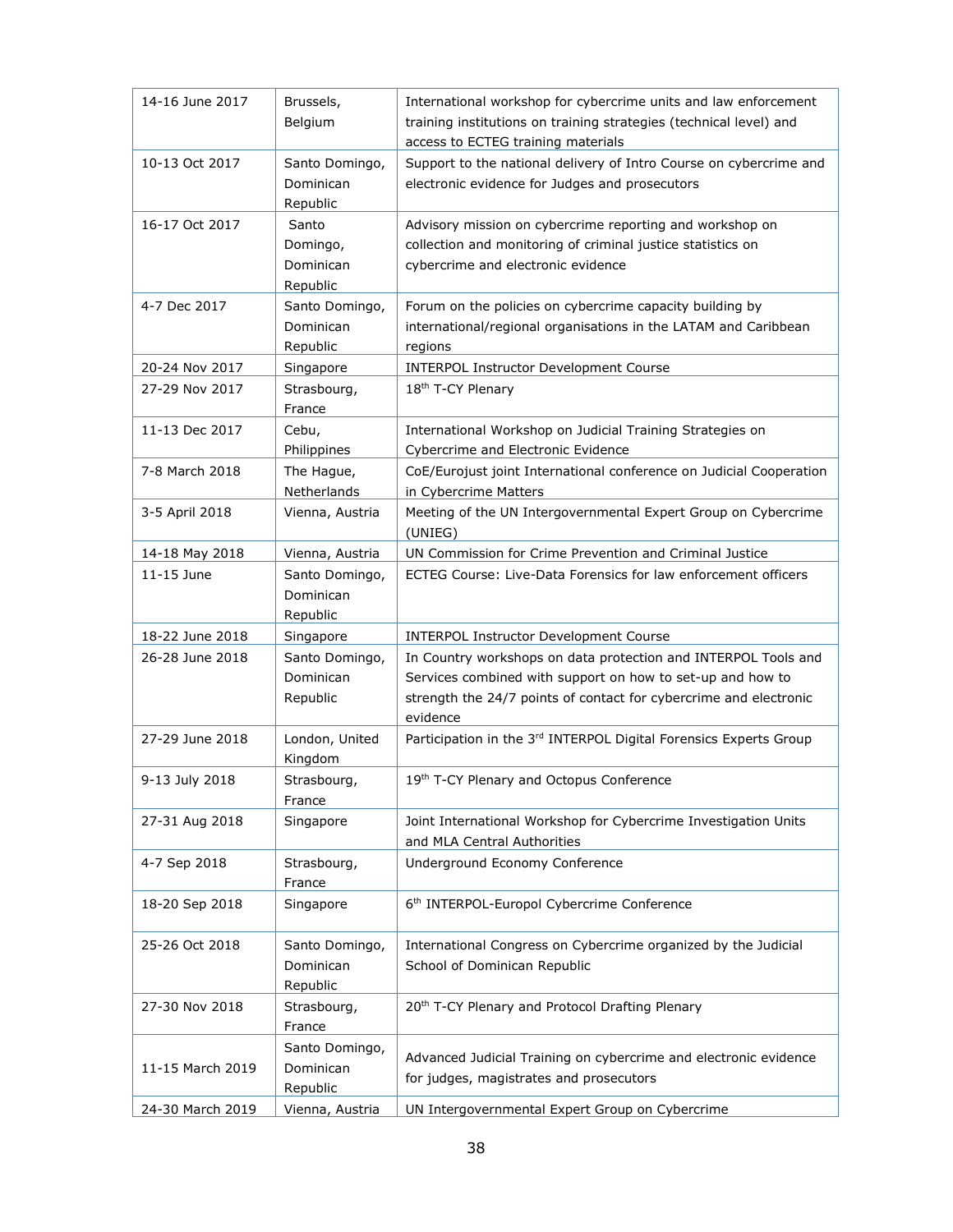| 14-16 June 2017  | Brussels,<br>Belgium                       | International workshop for cybercrime units and law enforcement<br>training institutions on training strategies (technical level) and<br>access to ECTEG training materials                                   |
|------------------|--------------------------------------------|---------------------------------------------------------------------------------------------------------------------------------------------------------------------------------------------------------------|
| 10-13 Oct 2017   | Santo Domingo,<br>Dominican<br>Republic    | Support to the national delivery of Intro Course on cybercrime and<br>electronic evidence for Judges and prosecutors                                                                                          |
| 16-17 Oct 2017   | Santo<br>Domingo,<br>Dominican<br>Republic | Advisory mission on cybercrime reporting and workshop on<br>collection and monitoring of criminal justice statistics on<br>cybercrime and electronic evidence                                                 |
| 4-7 Dec 2017     | Santo Domingo,<br>Dominican<br>Republic    | Forum on the policies on cybercrime capacity building by<br>international/regional organisations in the LATAM and Caribbean<br>regions                                                                        |
| 20-24 Nov 2017   | Singapore                                  | <b>INTERPOL Instructor Development Course</b>                                                                                                                                                                 |
| 27-29 Nov 2017   | Strasbourg,<br>France                      | 18th T-CY Plenary                                                                                                                                                                                             |
| 11-13 Dec 2017   | Cebu,<br>Philippines                       | International Workshop on Judicial Training Strategies on<br>Cybercrime and Electronic Evidence                                                                                                               |
| 7-8 March 2018   | The Hague,<br>Netherlands                  | CoE/Eurojust joint International conference on Judicial Cooperation<br>in Cybercrime Matters                                                                                                                  |
| 3-5 April 2018   | Vienna, Austria                            | Meeting of the UN Intergovernmental Expert Group on Cybercrime<br>(UNIEG)                                                                                                                                     |
| 14-18 May 2018   | Vienna, Austria                            | UN Commission for Crime Prevention and Criminal Justice                                                                                                                                                       |
| 11-15 June       | Santo Domingo,<br>Dominican<br>Republic    | ECTEG Course: Live-Data Forensics for law enforcement officers                                                                                                                                                |
| 18-22 June 2018  | Singapore                                  | <b>INTERPOL Instructor Development Course</b>                                                                                                                                                                 |
| 26-28 June 2018  | Santo Domingo,<br>Dominican<br>Republic    | In Country workshops on data protection and INTERPOL Tools and<br>Services combined with support on how to set-up and how to<br>strength the 24/7 points of contact for cybercrime and electronic<br>evidence |
| 27-29 June 2018  | London, United<br>Kingdom                  | Participation in the 3rd INTERPOL Digital Forensics Experts Group                                                                                                                                             |
| 9-13 July 2018   | Strasbourg,<br>France                      | 19th T-CY Plenary and Octopus Conference                                                                                                                                                                      |
| 27-31 Aug 2018   | Singapore                                  | Joint International Workshop for Cybercrime Investigation Units<br>and MLA Central Authorities                                                                                                                |
| 4-7 Sep 2018     | Strasbourg,<br>France                      | Underground Economy Conference                                                                                                                                                                                |
| 18-20 Sep 2018   | Singapore                                  | 6 <sup>th</sup> INTERPOL-Europol Cybercrime Conference                                                                                                                                                        |
| 25-26 Oct 2018   | Santo Domingo,<br>Dominican<br>Republic    | International Congress on Cybercrime organized by the Judicial<br>School of Dominican Republic                                                                                                                |
| 27-30 Nov 2018   | Strasbourg,<br>France                      | 20 <sup>th</sup> T-CY Plenary and Protocol Drafting Plenary                                                                                                                                                   |
| 11-15 March 2019 | Santo Domingo,<br>Dominican<br>Republic    | Advanced Judicial Training on cybercrime and electronic evidence<br>for judges, magistrates and prosecutors                                                                                                   |
| 24-30 March 2019 | Vienna, Austria                            | UN Intergovernmental Expert Group on Cybercrime                                                                                                                                                               |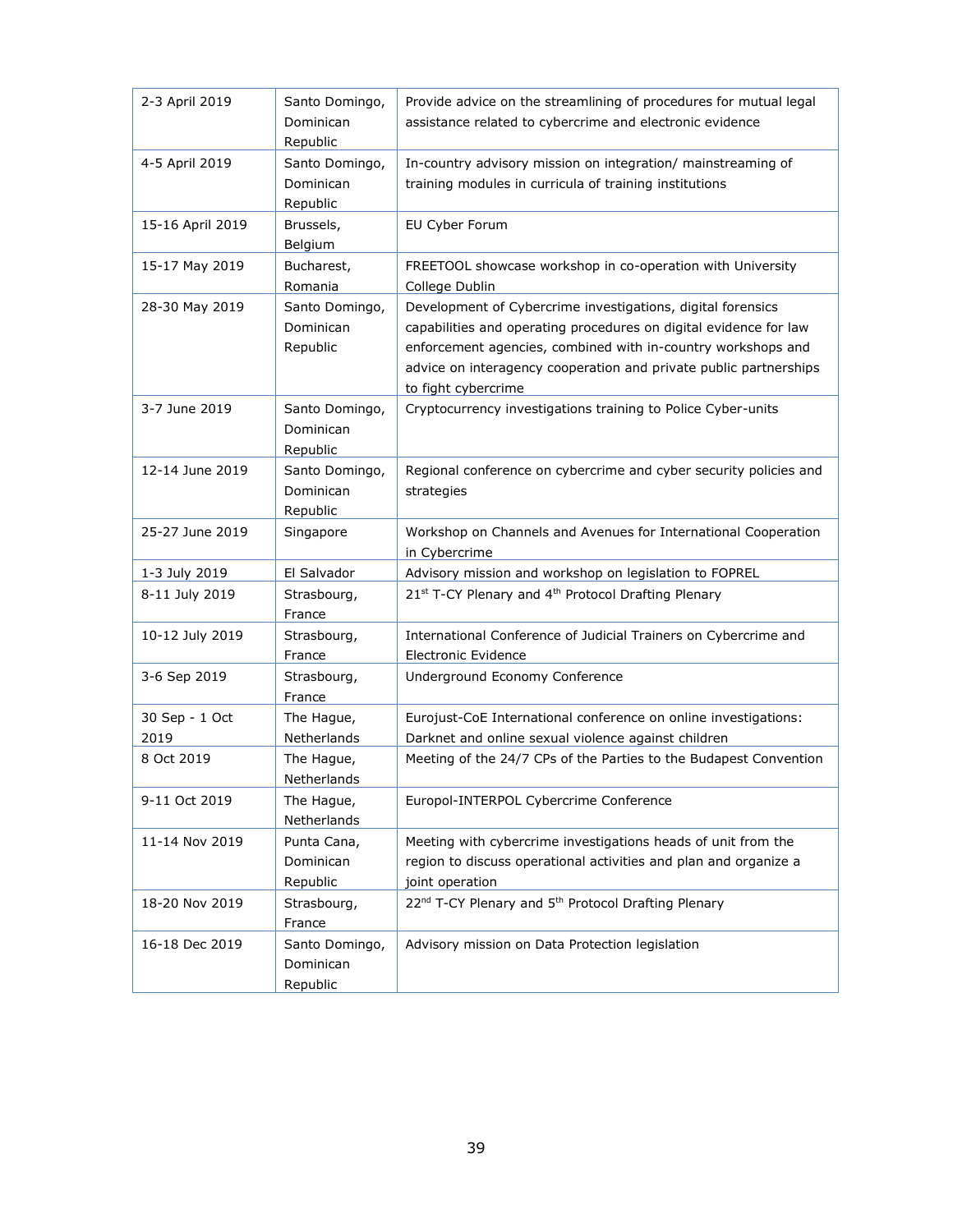<span id="page-38-0"></span>

| 2-3 April 2019   | Santo Domingo,<br>Dominican<br>Republic | Provide advice on the streamlining of procedures for mutual legal<br>assistance related to cybercrime and electronic evidence                                                                                                                                                                |
|------------------|-----------------------------------------|----------------------------------------------------------------------------------------------------------------------------------------------------------------------------------------------------------------------------------------------------------------------------------------------|
| 4-5 April 2019   | Santo Domingo,<br>Dominican<br>Republic | In-country advisory mission on integration/ mainstreaming of<br>training modules in curricula of training institutions                                                                                                                                                                       |
| 15-16 April 2019 | Brussels,<br>Belgium                    | EU Cyber Forum                                                                                                                                                                                                                                                                               |
| 15-17 May 2019   | Bucharest,<br>Romania                   | FREETOOL showcase workshop in co-operation with University<br>College Dublin                                                                                                                                                                                                                 |
| 28-30 May 2019   | Santo Domingo,<br>Dominican<br>Republic | Development of Cybercrime investigations, digital forensics<br>capabilities and operating procedures on digital evidence for law<br>enforcement agencies, combined with in-country workshops and<br>advice on interagency cooperation and private public partnerships<br>to fight cybercrime |
| 3-7 June 2019    | Santo Domingo,<br>Dominican<br>Republic | Cryptocurrency investigations training to Police Cyber-units                                                                                                                                                                                                                                 |
| 12-14 June 2019  | Santo Domingo,<br>Dominican<br>Republic | Regional conference on cybercrime and cyber security policies and<br>strategies                                                                                                                                                                                                              |
| 25-27 June 2019  | Singapore                               | Workshop on Channels and Avenues for International Cooperation<br>in Cybercrime                                                                                                                                                                                                              |
| 1-3 July 2019    | El Salvador                             | Advisory mission and workshop on legislation to FOPREL                                                                                                                                                                                                                                       |
| 8-11 July 2019   | Strasbourg,<br>France                   | 21st T-CY Plenary and 4th Protocol Drafting Plenary                                                                                                                                                                                                                                          |
| 10-12 July 2019  | Strasbourg,<br>France                   | International Conference of Judicial Trainers on Cybercrime and<br><b>Electronic Evidence</b>                                                                                                                                                                                                |
| 3-6 Sep 2019     | Strasbourg,<br>France                   | Underground Economy Conference                                                                                                                                                                                                                                                               |
| 30 Sep - 1 Oct   | The Hague,                              | Eurojust-CoE International conference on online investigations:                                                                                                                                                                                                                              |
| 2019             | Netherlands                             | Darknet and online sexual violence against children                                                                                                                                                                                                                                          |
| 8 Oct 2019       | The Hague,<br>Netherlands               | Meeting of the 24/7 CPs of the Parties to the Budapest Convention                                                                                                                                                                                                                            |
| 9-11 Oct 2019    | The Hague,<br>Netherlands               | Europol-INTERPOL Cybercrime Conference                                                                                                                                                                                                                                                       |
| 11-14 Nov 2019   | Punta Cana,<br>Dominican<br>Republic    | Meeting with cybercrime investigations heads of unit from the<br>region to discuss operational activities and plan and organize a<br>joint operation                                                                                                                                         |
| 18-20 Nov 2019   | Strasbourg,<br>France                   | 22 <sup>nd</sup> T-CY Plenary and 5 <sup>th</sup> Protocol Drafting Plenary                                                                                                                                                                                                                  |
| 16-18 Dec 2019   | Santo Domingo,<br>Dominican<br>Republic | Advisory mission on Data Protection legislation                                                                                                                                                                                                                                              |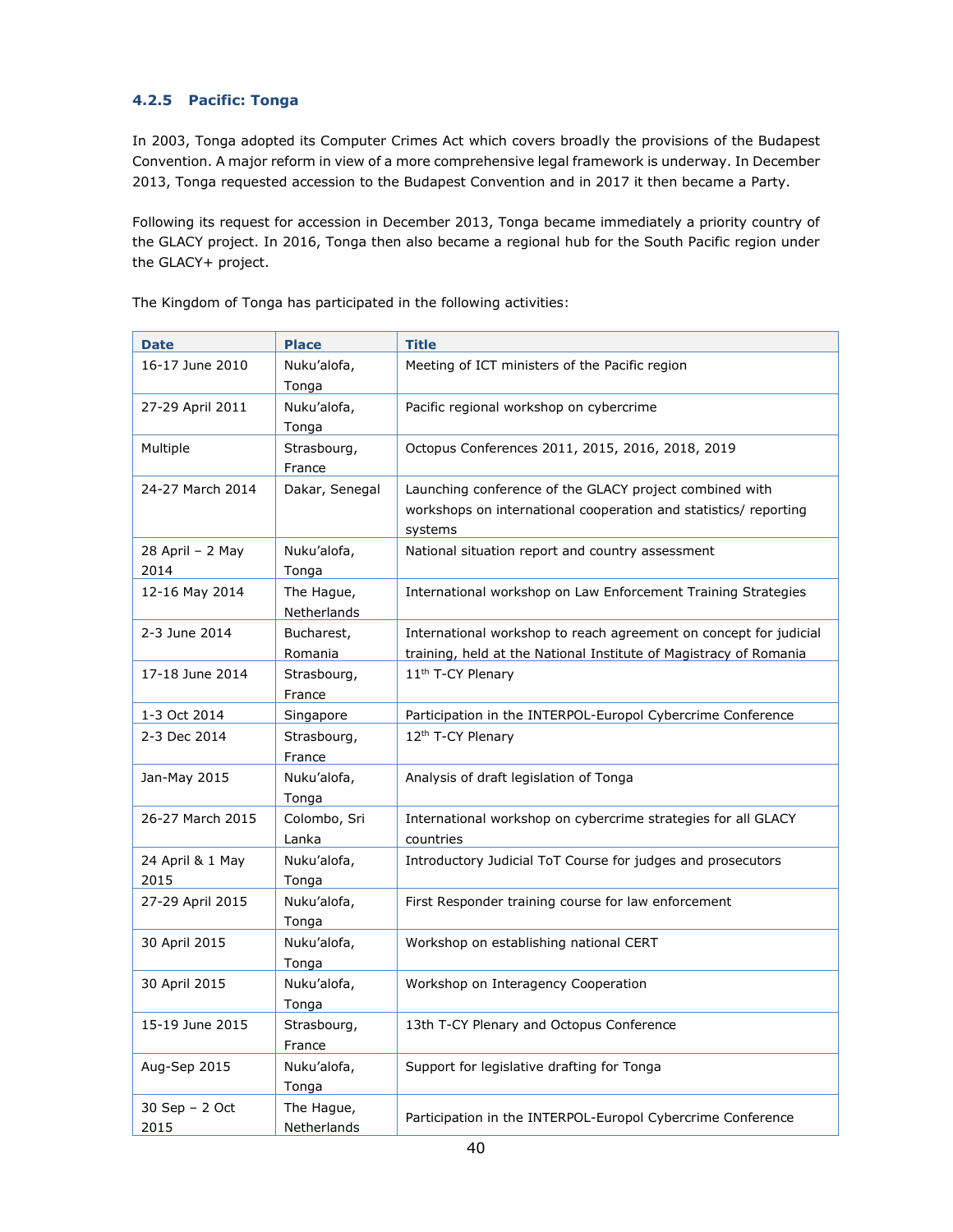#### **4.2.5 Pacific: Tonga**

In 2003, Tonga adopted its Computer Crimes Act which covers broadly the provisions of the Budapest Convention. A major reform in view of a more comprehensive legal framework is underway. In December 2013, Tonga requested accession to the Budapest Convention and in 2017 it then became a Party.

Following its request for accession in December 2013, Tonga became immediately a priority country of the GLACY project. In 2016, Tonga then also became a regional hub for the South Pacific region under the GLACY+ project.

| <b>Date</b>              | <b>Place</b>              | <b>Title</b>                                                                                                                           |
|--------------------------|---------------------------|----------------------------------------------------------------------------------------------------------------------------------------|
| 16-17 June 2010          | Nuku'alofa,<br>Tonga      | Meeting of ICT ministers of the Pacific region                                                                                         |
| 27-29 April 2011         | Nuku'alofa,<br>Tonga      | Pacific regional workshop on cybercrime                                                                                                |
| Multiple                 | Strasbourg,<br>France     | Octopus Conferences 2011, 2015, 2016, 2018, 2019                                                                                       |
| 24-27 March 2014         | Dakar, Senegal            | Launching conference of the GLACY project combined with<br>workshops on international cooperation and statistics/ reporting<br>systems |
| 28 April - 2 May<br>2014 | Nuku'alofa,<br>Tonga      | National situation report and country assessment                                                                                       |
| 12-16 May 2014           | The Hague,<br>Netherlands | International workshop on Law Enforcement Training Strategies                                                                          |
| 2-3 June 2014            | Bucharest,<br>Romania     | International workshop to reach agreement on concept for judicial<br>training, held at the National Institute of Magistracy of Romania |
| 17-18 June 2014          | Strasbourg,<br>France     | 11 <sup>th</sup> T-CY Plenary                                                                                                          |
| 1-3 Oct 2014             | Singapore                 | Participation in the INTERPOL-Europol Cybercrime Conference                                                                            |
| 2-3 Dec 2014             | Strasbourg,<br>France     | 12 <sup>th</sup> T-CY Plenary                                                                                                          |
| Jan-May 2015             | Nuku'alofa,<br>Tonga      | Analysis of draft legislation of Tonga                                                                                                 |
| 26-27 March 2015         | Colombo, Sri<br>Lanka     | International workshop on cybercrime strategies for all GLACY<br>countries                                                             |
| 24 April & 1 May<br>2015 | Nuku'alofa,<br>Tonga      | Introductory Judicial ToT Course for judges and prosecutors                                                                            |
| 27-29 April 2015         | Nuku'alofa,<br>Tonga      | First Responder training course for law enforcement                                                                                    |
| 30 April 2015            | Nuku'alofa,<br>Tonga      | Workshop on establishing national CERT                                                                                                 |
| 30 April 2015            | Nuku'alofa,<br>Tonga      | Workshop on Interagency Cooperation                                                                                                    |
| 15-19 June 2015          | Strasbourg,<br>France     | 13th T-CY Plenary and Octopus Conference                                                                                               |
| Aug-Sep 2015             | Nuku'alofa,<br>Tonga      | Support for legislative drafting for Tonga                                                                                             |
| 30 Sep - 2 Oct<br>2015   | The Hague,<br>Netherlands | Participation in the INTERPOL-Europol Cybercrime Conference                                                                            |

The Kingdom of Tonga has participated in the following activities: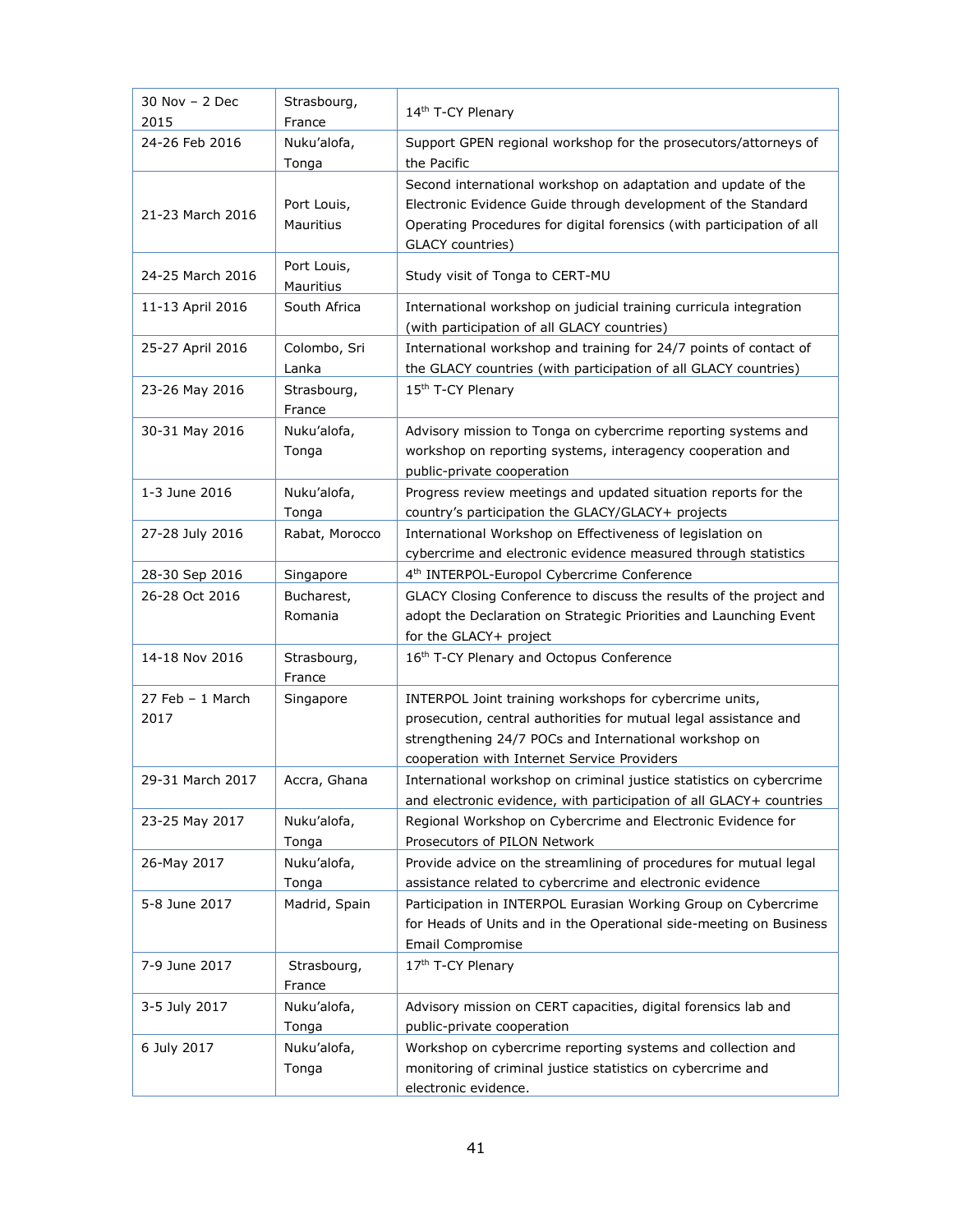| 30 Nov - 2 Dec<br>2015     | Strasbourg,<br>France    | 14th T-CY Plenary                                                                                                                                                                                                                   |
|----------------------------|--------------------------|-------------------------------------------------------------------------------------------------------------------------------------------------------------------------------------------------------------------------------------|
| 24-26 Feb 2016             | Nuku'alofa,<br>Tonga     | Support GPEN regional workshop for the prosecutors/attorneys of<br>the Pacific                                                                                                                                                      |
| 21-23 March 2016           | Port Louis,<br>Mauritius | Second international workshop on adaptation and update of the<br>Electronic Evidence Guide through development of the Standard<br>Operating Procedures for digital forensics (with participation of all<br>GLACY countries)         |
| 24-25 March 2016           | Port Louis,<br>Mauritius | Study visit of Tonga to CERT-MU                                                                                                                                                                                                     |
| 11-13 April 2016           | South Africa             | International workshop on judicial training curricula integration<br>(with participation of all GLACY countries)                                                                                                                    |
| 25-27 April 2016           | Colombo, Sri<br>Lanka    | International workshop and training for 24/7 points of contact of<br>the GLACY countries (with participation of all GLACY countries)                                                                                                |
| 23-26 May 2016             | Strasbourg,<br>France    | 15th T-CY Plenary                                                                                                                                                                                                                   |
| 30-31 May 2016             | Nuku'alofa,<br>Tonga     | Advisory mission to Tonga on cybercrime reporting systems and<br>workshop on reporting systems, interagency cooperation and<br>public-private cooperation                                                                           |
| 1-3 June 2016              | Nuku'alofa,<br>Tonga     | Progress review meetings and updated situation reports for the<br>country's participation the GLACY/GLACY+ projects                                                                                                                 |
| 27-28 July 2016            | Rabat, Morocco           | International Workshop on Effectiveness of legislation on<br>cybercrime and electronic evidence measured through statistics                                                                                                         |
| 28-30 Sep 2016             | Singapore                | 4 <sup>th</sup> INTERPOL-Europol Cybercrime Conference                                                                                                                                                                              |
| 26-28 Oct 2016             | Bucharest,<br>Romania    | GLACY Closing Conference to discuss the results of the project and<br>adopt the Declaration on Strategic Priorities and Launching Event<br>for the GLACY+ project                                                                   |
| 14-18 Nov 2016             | Strasbourg,<br>France    | 16th T-CY Plenary and Octopus Conference                                                                                                                                                                                            |
| $27$ Feb - 1 March<br>2017 | Singapore                | INTERPOL Joint training workshops for cybercrime units,<br>prosecution, central authorities for mutual legal assistance and<br>strengthening 24/7 POCs and International workshop on<br>cooperation with Internet Service Providers |
| 29-31 March 2017           | Accra, Ghana             | International workshop on criminal justice statistics on cybercrime<br>and electronic evidence, with participation of all GLACY+ countries                                                                                          |
| 23-25 May 2017             | Nuku'alofa,<br>Tonga     | Regional Workshop on Cybercrime and Electronic Evidence for<br>Prosecutors of PILON Network                                                                                                                                         |
| 26-May 2017                | Nuku'alofa,<br>Tonga     | Provide advice on the streamlining of procedures for mutual legal<br>assistance related to cybercrime and electronic evidence                                                                                                       |
| 5-8 June 2017              | Madrid, Spain            | Participation in INTERPOL Eurasian Working Group on Cybercrime<br>for Heads of Units and in the Operational side-meeting on Business<br>Email Compromise                                                                            |
| 7-9 June 2017              | Strasbourg,<br>France    | 17th T-CY Plenary                                                                                                                                                                                                                   |
| 3-5 July 2017              | Nuku'alofa,<br>Tonga     | Advisory mission on CERT capacities, digital forensics lab and<br>public-private cooperation                                                                                                                                        |
| 6 July 2017                | Nuku'alofa,<br>Tonga     | Workshop on cybercrime reporting systems and collection and<br>monitoring of criminal justice statistics on cybercrime and<br>electronic evidence.                                                                                  |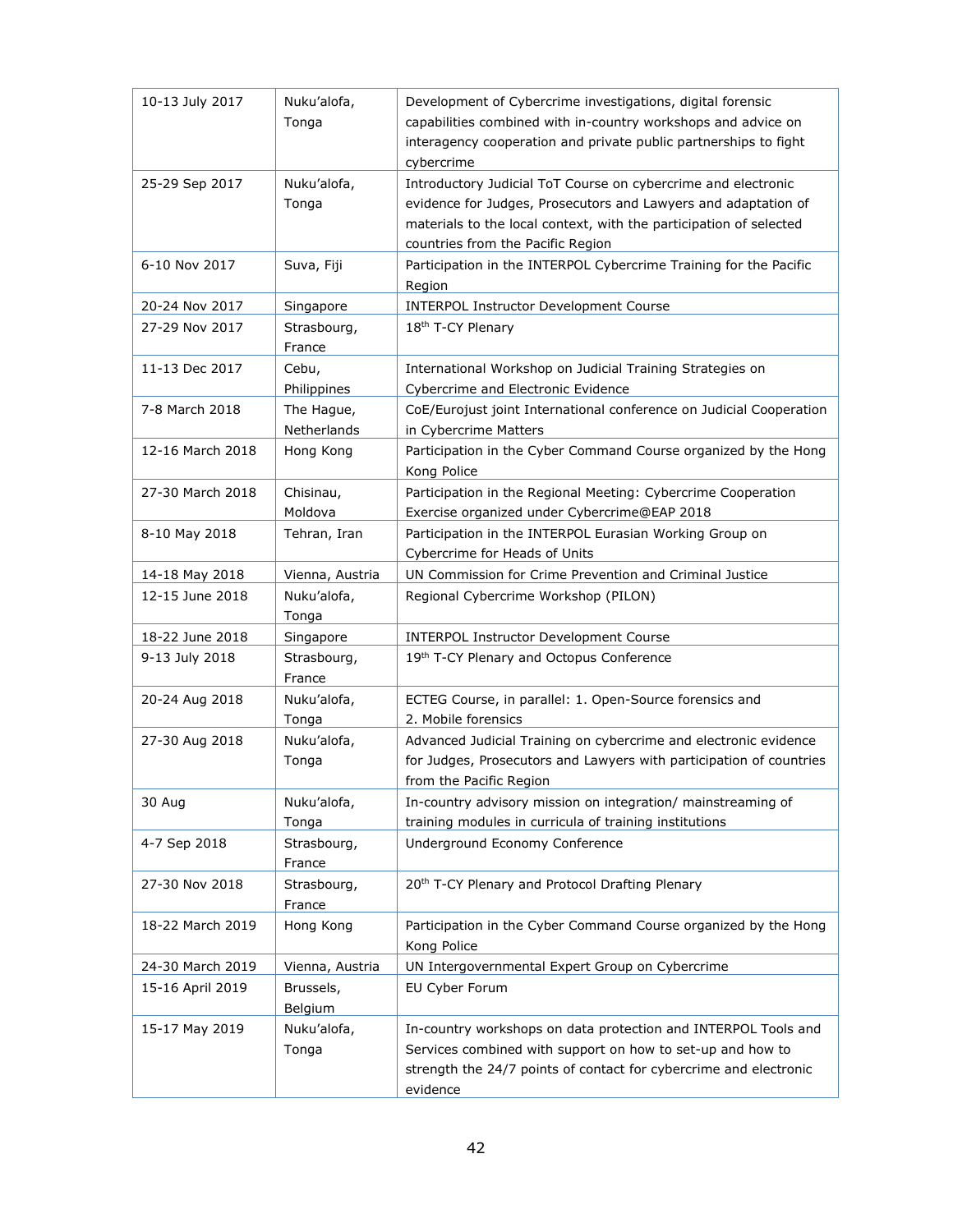| 10-13 July 2017  | Nuku'alofa,<br>Tonga      | Development of Cybercrime investigations, digital forensic<br>capabilities combined with in-country workshops and advice on<br>interagency cooperation and private public partnerships to fight<br>cybercrime                              |
|------------------|---------------------------|--------------------------------------------------------------------------------------------------------------------------------------------------------------------------------------------------------------------------------------------|
| 25-29 Sep 2017   | Nuku'alofa,<br>Tonga      | Introductory Judicial ToT Course on cybercrime and electronic<br>evidence for Judges, Prosecutors and Lawyers and adaptation of<br>materials to the local context, with the participation of selected<br>countries from the Pacific Region |
| 6-10 Nov 2017    | Suva, Fiji                | Participation in the INTERPOL Cybercrime Training for the Pacific<br>Region                                                                                                                                                                |
| 20-24 Nov 2017   | Singapore                 | <b>INTERPOL Instructor Development Course</b>                                                                                                                                                                                              |
| 27-29 Nov 2017   | Strasbourg,<br>France     | 18 <sup>th</sup> T-CY Plenary                                                                                                                                                                                                              |
| 11-13 Dec 2017   | Cebu,<br>Philippines      | International Workshop on Judicial Training Strategies on<br>Cybercrime and Electronic Evidence                                                                                                                                            |
| 7-8 March 2018   | The Hague,<br>Netherlands | CoE/Eurojust joint International conference on Judicial Cooperation<br>in Cybercrime Matters                                                                                                                                               |
| 12-16 March 2018 | Hong Kong                 | Participation in the Cyber Command Course organized by the Hong<br>Kong Police                                                                                                                                                             |
| 27-30 March 2018 | Chisinau,<br>Moldova      | Participation in the Regional Meeting: Cybercrime Cooperation<br>Exercise organized under Cybercrime@EAP 2018                                                                                                                              |
| 8-10 May 2018    | Tehran, Iran              | Participation in the INTERPOL Eurasian Working Group on<br>Cybercrime for Heads of Units                                                                                                                                                   |
| 14-18 May 2018   | Vienna, Austria           | UN Commission for Crime Prevention and Criminal Justice                                                                                                                                                                                    |
| 12-15 June 2018  | Nuku'alofa,<br>Tonga      | Regional Cybercrime Workshop (PILON)                                                                                                                                                                                                       |
| 18-22 June 2018  | Singapore                 | <b>INTERPOL Instructor Development Course</b>                                                                                                                                                                                              |
| 9-13 July 2018   | Strasbourg,<br>France     | 19th T-CY Plenary and Octopus Conference                                                                                                                                                                                                   |
| 20-24 Aug 2018   | Nuku'alofa,<br>Tonga      | ECTEG Course, in parallel: 1. Open-Source forensics and<br>2. Mobile forensics                                                                                                                                                             |
| 27-30 Aug 2018   | Nuku'alofa,<br>Tonga      | Advanced Judicial Training on cybercrime and electronic evidence<br>for Judges, Prosecutors and Lawyers with participation of countries<br>from the Pacific Region                                                                         |
| 30 Aug           | Nuku'alofa,<br>Tonga      | In-country advisory mission on integration/ mainstreaming of<br>training modules in curricula of training institutions                                                                                                                     |
| 4-7 Sep 2018     | Strasbourg,<br>France     | Underground Economy Conference                                                                                                                                                                                                             |
| 27-30 Nov 2018   | Strasbourg,<br>France     | 20 <sup>th</sup> T-CY Plenary and Protocol Drafting Plenary                                                                                                                                                                                |
| 18-22 March 2019 | Hong Kong                 | Participation in the Cyber Command Course organized by the Hong<br>Kong Police                                                                                                                                                             |
| 24-30 March 2019 | Vienna, Austria           | UN Intergovernmental Expert Group on Cybercrime                                                                                                                                                                                            |
| 15-16 April 2019 | Brussels,<br>Belgium      | EU Cyber Forum                                                                                                                                                                                                                             |
| 15-17 May 2019   | Nuku'alofa,<br>Tonga      | In-country workshops on data protection and INTERPOL Tools and<br>Services combined with support on how to set-up and how to<br>strength the 24/7 points of contact for cybercrime and electronic<br>evidence                              |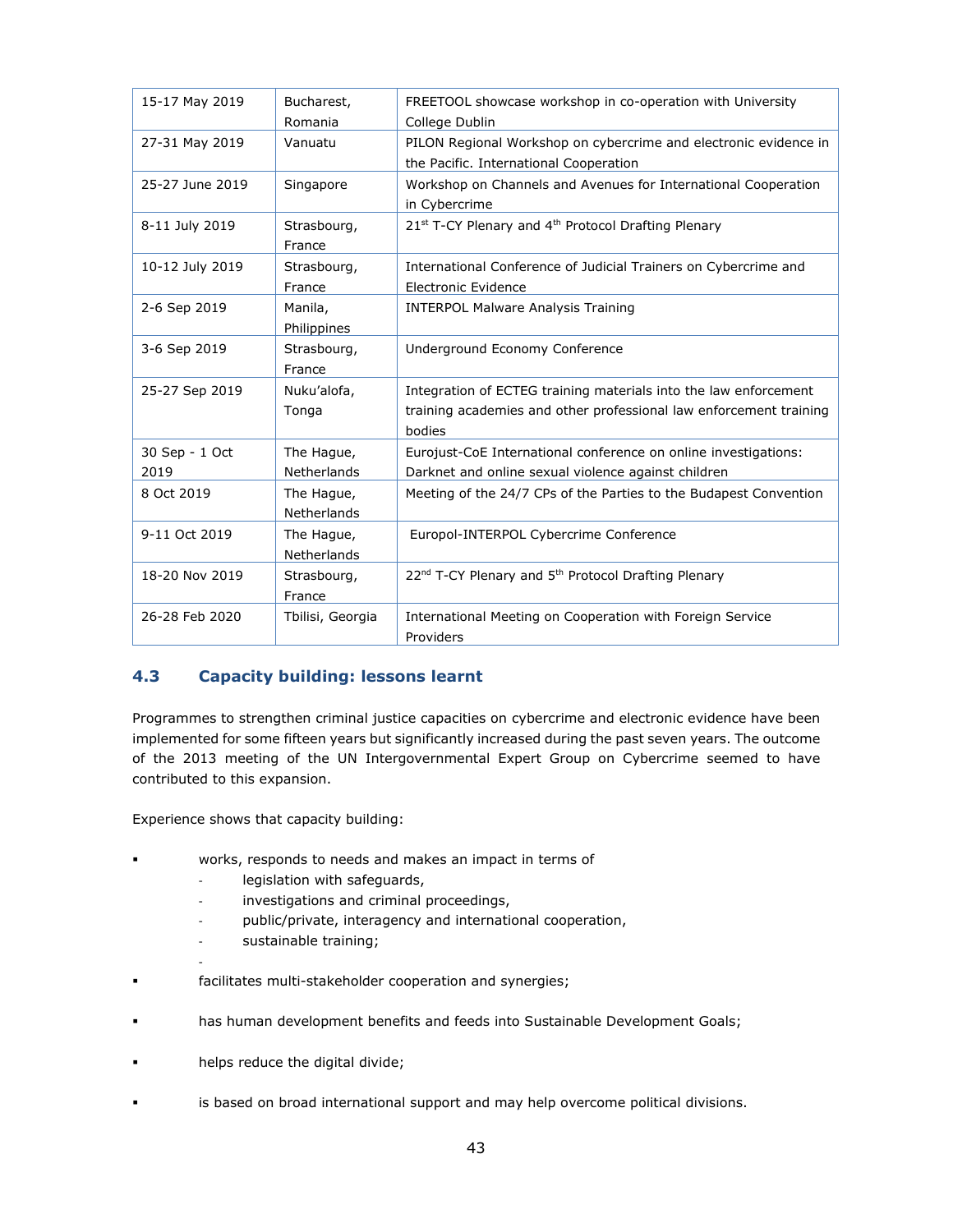| 15-17 May 2019  | Bucharest,         | FREETOOL showcase workshop in co-operation with University                  |  |
|-----------------|--------------------|-----------------------------------------------------------------------------|--|
|                 | Romania            | College Dublin                                                              |  |
| 27-31 May 2019  | Vanuatu            | PILON Regional Workshop on cybercrime and electronic evidence in            |  |
|                 |                    | the Pacific. International Cooperation                                      |  |
| 25-27 June 2019 | Singapore          | Workshop on Channels and Avenues for International Cooperation              |  |
|                 |                    | in Cybercrime                                                               |  |
| 8-11 July 2019  | Strasbourg,        | 21st T-CY Plenary and 4th Protocol Drafting Plenary                         |  |
|                 | France             |                                                                             |  |
| 10-12 July 2019 | Strasbourg,        | International Conference of Judicial Trainers on Cybercrime and             |  |
|                 | France             | <b>Electronic Evidence</b>                                                  |  |
| 2-6 Sep 2019    | Manila,            | <b>INTERPOL Malware Analysis Training</b>                                   |  |
|                 | Philippines        |                                                                             |  |
| 3-6 Sep 2019    | Strasbourg,        | Underground Economy Conference                                              |  |
|                 | France             |                                                                             |  |
| 25-27 Sep 2019  | Nuku'alofa,        | Integration of ECTEG training materials into the law enforcement            |  |
|                 | Tonga              | training academies and other professional law enforcement training          |  |
|                 |                    | bodies                                                                      |  |
| 30 Sep - 1 Oct  | The Hague,         | Eurojust-CoE International conference on online investigations:             |  |
| 2019            | Netherlands        | Darknet and online sexual violence against children                         |  |
| 8 Oct 2019      | The Hague,         | Meeting of the 24/7 CPs of the Parties to the Budapest Convention           |  |
|                 | <b>Netherlands</b> |                                                                             |  |
| 9-11 Oct 2019   | The Hague,         | Europol-INTERPOL Cybercrime Conference                                      |  |
|                 | <b>Netherlands</b> |                                                                             |  |
| 18-20 Nov 2019  | Strasbourg,        | 22 <sup>nd</sup> T-CY Plenary and 5 <sup>th</sup> Protocol Drafting Plenary |  |
|                 | France             |                                                                             |  |
| 26-28 Feb 2020  | Tbilisi, Georgia   | International Meeting on Cooperation with Foreign Service                   |  |
|                 |                    | Providers                                                                   |  |

#### <span id="page-42-0"></span>**4.3 Capacity building: lessons learnt**

Programmes to strengthen criminal justice capacities on cybercrime and electronic evidence have been implemented for some fifteen years but significantly increased during the past seven years. The outcome of the 2013 meeting of the UN Intergovernmental Expert Group on Cybercrime seemed to have contributed to this expansion.

Experience shows that capacity building:

- works, responds to needs and makes an impact in terms of
	- legislation with safeguards,
	- investigations and criminal proceedings,
	- public/private, interagency and international cooperation,
	- sustainable training;
- facilitates multi-stakeholder cooperation and synergies;
- has human development benefits and feeds into Sustainable Development Goals;
- helps reduce the digital divide;

-

▪ is based on broad international support and may help overcome political divisions.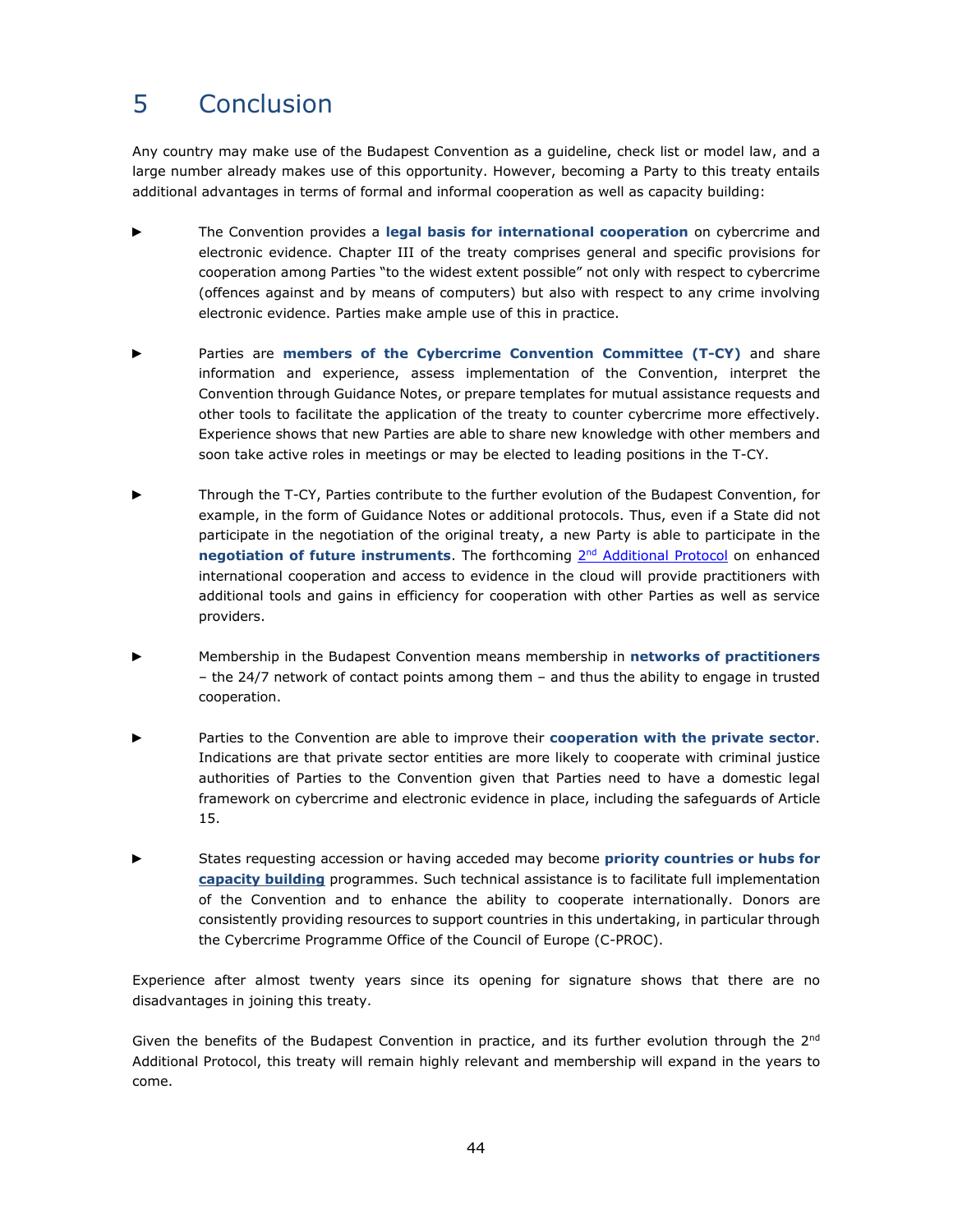# <span id="page-43-0"></span>5 Conclusion

Any country may make use of the Budapest Convention as a guideline, check list or model law, and a large number already makes use of this opportunity. However, becoming a Party to this treaty entails additional advantages in terms of formal and informal cooperation as well as capacity building:

- ► The Convention provides a **legal basis for international cooperation** on cybercrime and electronic evidence. Chapter III of the treaty comprises general and specific provisions for cooperation among Parties "to the widest extent possible" not only with respect to cybercrime (offences against and by means of computers) but also with respect to any crime involving electronic evidence. Parties make ample use of this in practice.
- ► Parties are **members of the Cybercrime Convention Committee (T-CY)** and share information and experience, assess implementation of the Convention, interpret the Convention through Guidance Notes, or prepare templates for mutual assistance requests and other tools to facilitate the application of the treaty to counter cybercrime more effectively. Experience shows that new Parties are able to share new knowledge with other members and soon take active roles in meetings or may be elected to leading positions in the T-CY.
- Through the T-CY, Parties contribute to the further evolution of the Budapest Convention, for example, in the form of Guidance Notes or additional protocols. Thus, even if a State did not participate in the negotiation of the original treaty, a new Party is able to participate in the negotiation of future instruments. The forthcoming 2<sup>nd</sup> [Additional Protocol](https://www.coe.int/en/web/cybercrime/t-cy-drafting-group) on enhanced international cooperation and access to evidence in the cloud will provide practitioners with additional tools and gains in efficiency for cooperation with other Parties as well as service providers.
- ► Membership in the Budapest Convention means membership in **networks of practitioners** – the 24/7 network of contact points among them – and thus the ability to engage in trusted cooperation.
- Parties to the Convention are able to improve their **cooperation with the private sector**. Indications are that private sector entities are more likely to cooperate with criminal justice authorities of Parties to the Convention given that Parties need to have a domestic legal framework on cybercrime and electronic evidence in place, including the safeguards of Article 15.
- ► States requesting accession or having acceded may become **priority countries or hubs for [capacity building](https://www.coe.int/en/web/cybercrime/capacity-building-programmes)** programmes. Such technical assistance is to facilitate full implementation of the Convention and to enhance the ability to cooperate internationally. Donors are consistently providing resources to support countries in this undertaking, in particular through the Cybercrime Programme Office of the Council of Europe (C-PROC).

Experience after almost twenty years since its opening for signature shows that there are no disadvantages in joining this treaty.

Given the benefits of the Budapest Convention in practice, and its further evolution through the 2<sup>nd</sup> Additional Protocol, this treaty will remain highly relevant and membership will expand in the years to come.